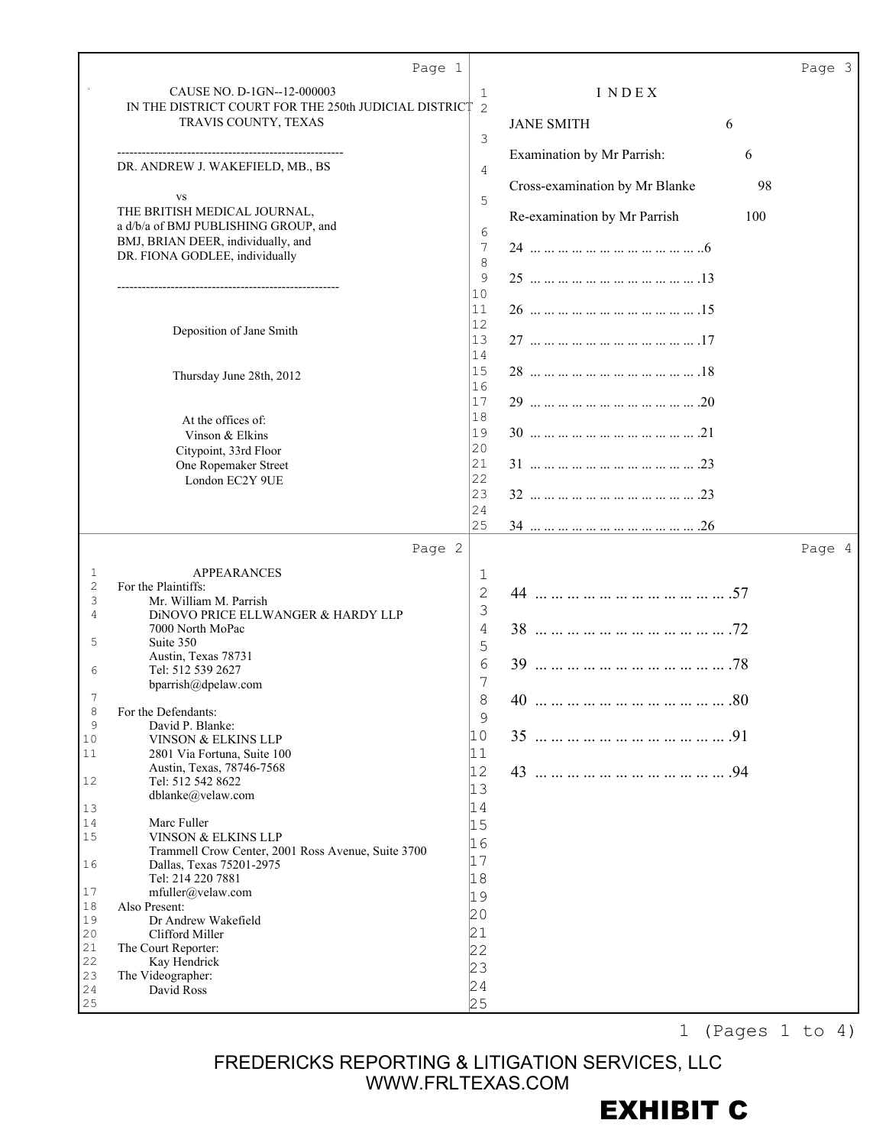|                   | Page 1                                                                         |                     |                                |     | Page 3 |
|-------------------|--------------------------------------------------------------------------------|---------------------|--------------------------------|-----|--------|
|                   | CAUSE NO. D-1GN--12-000003                                                     | 1                   | INDEX                          |     |        |
|                   | IN THE DISTRICT COURT FOR THE 250th JUDICIAL DISTRICT<br>TRAVIS COUNTY, TEXAS  | 2                   | <b>JANE SMITH</b>              | 6   |        |
|                   |                                                                                | 3                   |                                |     |        |
|                   | DR. ANDREW J. WAKEFIELD, MB., BS                                               | 4                   | Examination by Mr Parrish:     | 6   |        |
|                   |                                                                                |                     | Cross-examination by Mr Blanke | 98  |        |
|                   | <b>VS</b><br>THE BRITISH MEDICAL JOURNAL,                                      | 5                   | Re-examination by Mr Parrish   | 100 |        |
|                   | a d/b/a of BMJ PUBLISHING GROUP, and                                           | 6                   |                                |     |        |
|                   | BMJ, BRIAN DEER, individually, and<br>DR. FIONA GODLEE, individually           | 7<br>8              |                                |     |        |
|                   |                                                                                | 9                   |                                |     |        |
|                   |                                                                                | 10<br>11            |                                |     |        |
|                   | Deposition of Jane Smith                                                       | 12                  |                                |     |        |
|                   |                                                                                | 13<br>14            |                                |     |        |
|                   | Thursday June 28th, 2012                                                       | 15                  |                                |     |        |
|                   |                                                                                | 16<br>17            |                                |     |        |
|                   | At the offices of:                                                             | 18                  |                                |     |        |
|                   | Vinson & Elkins<br>Citypoint, 33rd Floor                                       | 19<br>$ 20\rangle$  |                                |     |        |
|                   | One Ropemaker Street                                                           | 21                  |                                |     |        |
|                   | London EC2Y 9UE                                                                | 22<br>23            |                                |     |        |
|                   |                                                                                | 24                  |                                |     |        |
|                   |                                                                                | 25                  |                                |     |        |
|                   | Page 2                                                                         |                     |                                |     | Page 4 |
| 1<br>$\mathbf{2}$ | <b>APPEARANCES</b><br>For the Plaintiffs:                                      | 1<br>$\overline{c}$ |                                |     |        |
| 3<br>4            | Mr. William M. Parrish<br>DINOVO PRICE ELLWANGER & HARDY LLP                   | 3                   |                                |     |        |
|                   | 7000 North MoPac                                                               | 4                   |                                |     |        |
| 5                 | Suite 350<br>Austin, Texas 78731                                               | 5                   |                                |     |        |
| 6                 | Tel: 512 539 2627                                                              | 6<br>7              |                                |     |        |
|                   | bparrish@dpelaw.com                                                            | $\mathsf{R}$        | 40                             | .80 |        |
| 8<br>$\mathsf 9$  | For the Defendants:<br>David P. Blanke:                                        | $\mathsf 9$         |                                |     |        |
| 10<br>$1\,1$      | VINSON & ELKINS LLP<br>2801 Via Fortuna, Suite 100                             | 10<br>11            |                                |     |        |
|                   | Austin, Texas, 78746-7568                                                      | 12                  |                                |     |        |
| 12                | Tel: 512 542 8622<br>dblanke@velaw.com                                         | 13                  |                                |     |        |
| 13<br>14          | Marc Fuller                                                                    | 14                  |                                |     |        |
| 15                | VINSON & ELKINS LLP                                                            | 15<br>16            |                                |     |        |
| 16                | Trammell Crow Center, 2001 Ross Avenue, Suite 3700<br>Dallas, Texas 75201-2975 | 17                  |                                |     |        |
| 17                | Tel: 214 220 7881                                                              | 18                  |                                |     |        |
| 18                | mfuller@velaw.com<br>Also Present:                                             | 19<br>20            |                                |     |        |
| 19<br>20          | Dr Andrew Wakefield<br>Clifford Miller                                         | 21                  |                                |     |        |
| 21<br>22          | The Court Reporter:                                                            | 22                  |                                |     |        |
| 23                | Kay Hendrick<br>The Videographer:                                              | 23                  |                                |     |        |
| 24                | David Ross                                                                     | 24<br>25            |                                |     |        |
| 25                |                                                                                |                     |                                |     |        |

1 (Pages 1 to 4)

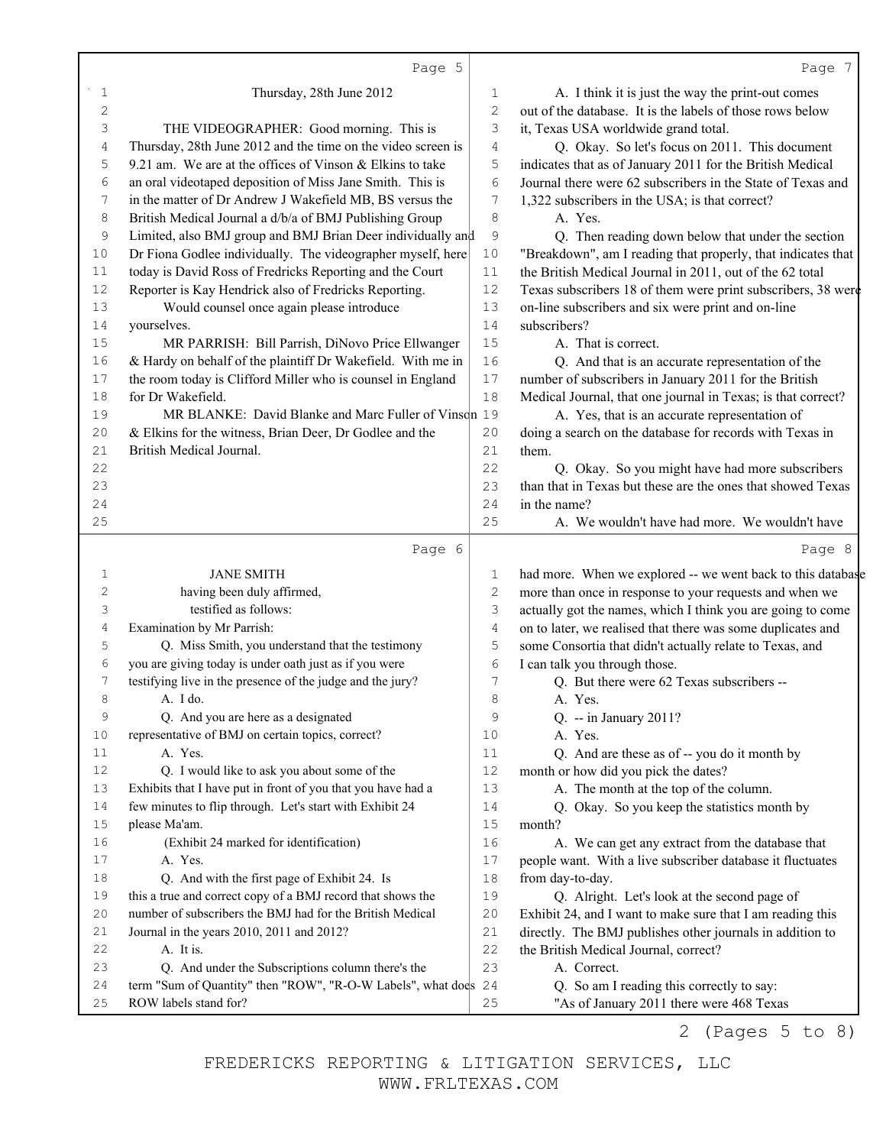|                   | Page 5                                                                                                                   |                | Page 7                                                                                                                 |
|-------------------|--------------------------------------------------------------------------------------------------------------------------|----------------|------------------------------------------------------------------------------------------------------------------------|
| 1                 | Thursday, 28th June 2012                                                                                                 | 1              | A. I think it is just the way the print-out comes                                                                      |
| 2                 |                                                                                                                          | 2              | out of the database. It is the labels of those rows below                                                              |
| 3                 | THE VIDEOGRAPHER: Good morning. This is                                                                                  | 3              | it, Texas USA worldwide grand total.                                                                                   |
| 4                 | Thursday, 28th June 2012 and the time on the video screen is                                                             | $\overline{4}$ | Q. Okay. So let's focus on 2011. This document                                                                         |
| 5                 | 9.21 am. We are at the offices of Vinson $&$ Elkins to take                                                              | 5              | indicates that as of January 2011 for the British Medical                                                              |
| 6                 | an oral videotaped deposition of Miss Jane Smith. This is                                                                | 6              | Journal there were 62 subscribers in the State of Texas and                                                            |
| 7                 | in the matter of Dr Andrew J Wakefield MB, BS versus the                                                                 | 7              | 1,322 subscribers in the USA; is that correct?                                                                         |
| 8                 | British Medical Journal a d/b/a of BMJ Publishing Group                                                                  | 8              | A. Yes.                                                                                                                |
| 9                 | Limited, also BMJ group and BMJ Brian Deer individually and                                                              | 9              | Q. Then reading down below that under the section                                                                      |
| 10                | Dr Fiona Godlee individually. The videographer myself, here                                                              | 10             | "Breakdown", am I reading that properly, that indicates that                                                           |
| 11                | today is David Ross of Fredricks Reporting and the Court                                                                 | 11             | the British Medical Journal in 2011, out of the 62 total                                                               |
| 12                | Reporter is Kay Hendrick also of Fredricks Reporting.                                                                    | $12$           | Texas subscribers 18 of them were print subscribers, 38 were                                                           |
| 13                | Would counsel once again please introduce                                                                                | 13             | on-line subscribers and six were print and on-line                                                                     |
| 14                | yourselves.                                                                                                              | 14             | subscribers?                                                                                                           |
| 15                | MR PARRISH: Bill Parrish, DiNovo Price Ellwanger                                                                         | 15             | A. That is correct.                                                                                                    |
| 16                | & Hardy on behalf of the plaintiff Dr Wakefield. With me in                                                              | 16             | Q. And that is an accurate representation of the                                                                       |
| 17                | the room today is Clifford Miller who is counsel in England                                                              | $17$           | number of subscribers in January 2011 for the British                                                                  |
| 18                | for Dr Wakefield.                                                                                                        | 18             | Medical Journal, that one journal in Texas; is that correct?                                                           |
| 19                | MR BLANKE: David Blanke and Marc Fuller of Vinson 19                                                                     |                | A. Yes, that is an accurate representation of                                                                          |
| 20                | & Elkins for the witness, Brian Deer, Dr Godlee and the                                                                  | 20             | doing a search on the database for records with Texas in                                                               |
| 21                | British Medical Journal.                                                                                                 | 21             | them.                                                                                                                  |
| 22                |                                                                                                                          | 22             | Q. Okay. So you might have had more subscribers                                                                        |
| 23                |                                                                                                                          | 23             | than that in Texas but these are the ones that showed Texas                                                            |
| 24                |                                                                                                                          | 24             | in the name?                                                                                                           |
| 25                |                                                                                                                          | 25             | A. We wouldn't have had more. We wouldn't have                                                                         |
|                   | Page 6                                                                                                                   |                | Page 8                                                                                                                 |
|                   | <b>JANE SMITH</b>                                                                                                        |                |                                                                                                                        |
| $\mathbf{1}$<br>2 | having been duly affirmed,                                                                                               | 1<br>2         | had more. When we explored -- we went back to this database                                                            |
| 3                 | testified as follows:                                                                                                    | 3              | more than once in response to your requests and when we<br>actually got the names, which I think you are going to come |
| 4                 | Examination by Mr Parrish:                                                                                               | 4              | on to later, we realised that there was some duplicates and                                                            |
| 5                 | Q. Miss Smith, you understand that the testimony                                                                         | 5              | some Consortia that didn't actually relate to Texas, and                                                               |
| 6                 | you are giving today is under oath just as if you were                                                                   | 6              |                                                                                                                        |
| 7                 | testifying live in the presence of the judge and the jury?                                                               | 7              | I can talk you through those.<br>Q. But there were 62 Texas subscribers --                                             |
| 8                 |                                                                                                                          | 8              |                                                                                                                        |
| 9                 | $A. I$ do.<br>Q. And you are here as a designated                                                                        | 9              | A. Yes.                                                                                                                |
| 10                | representative of BMJ on certain topics, correct?                                                                        | 10             | Q. -- in January 2011?<br>A. Yes.                                                                                      |
| 11                | A. Yes.                                                                                                                  | 11             | Q. And are these as of -- you do it month by                                                                           |
| 12                | Q. I would like to ask you about some of the                                                                             | 12             | month or how did you pick the dates?                                                                                   |
| 13                | Exhibits that I have put in front of you that you have had a                                                             | 13             |                                                                                                                        |
| 14                | few minutes to flip through. Let's start with Exhibit 24                                                                 | 14             | A. The month at the top of the column.                                                                                 |
| 15                | please Ma'am.                                                                                                            | 15             | Q. Okay. So you keep the statistics month by                                                                           |
| 16                | (Exhibit 24 marked for identification)                                                                                   | 16             | month?                                                                                                                 |
|                   |                                                                                                                          |                | A. We can get any extract from the database that                                                                       |
| 17                | A. Yes.                                                                                                                  | 17<br>18       | people want. With a live subscriber database it fluctuates                                                             |
| 18                | Q. And with the first page of Exhibit 24. Is                                                                             |                | from day-to-day.                                                                                                       |
| 19                | this a true and correct copy of a BMJ record that shows the<br>number of subscribers the BMJ had for the British Medical | 19             | Q. Alright. Let's look at the second page of                                                                           |
| 20<br>21          |                                                                                                                          | $20$           | Exhibit 24, and I want to make sure that I am reading this                                                             |
|                   | Journal in the years 2010, 2011 and 2012?                                                                                | 21             | directly. The BMJ publishes other journals in addition to                                                              |
| 22                | A. It is.                                                                                                                | 22             | the British Medical Journal, correct?                                                                                  |
| 23                | Q. And under the Subscriptions column there's the                                                                        | 23             | A. Correct.                                                                                                            |
| 24<br>25          | term "Sum of Quantity" then "ROW", "R-O-W Labels", what does<br>ROW labels stand for?                                    | 24<br>25       | Q. So am I reading this correctly to say:<br>"As of January 2011 there were 468 Texas                                  |
|                   |                                                                                                                          |                |                                                                                                                        |
|                   |                                                                                                                          |                | (Pages 5 to 8)<br>2                                                                                                    |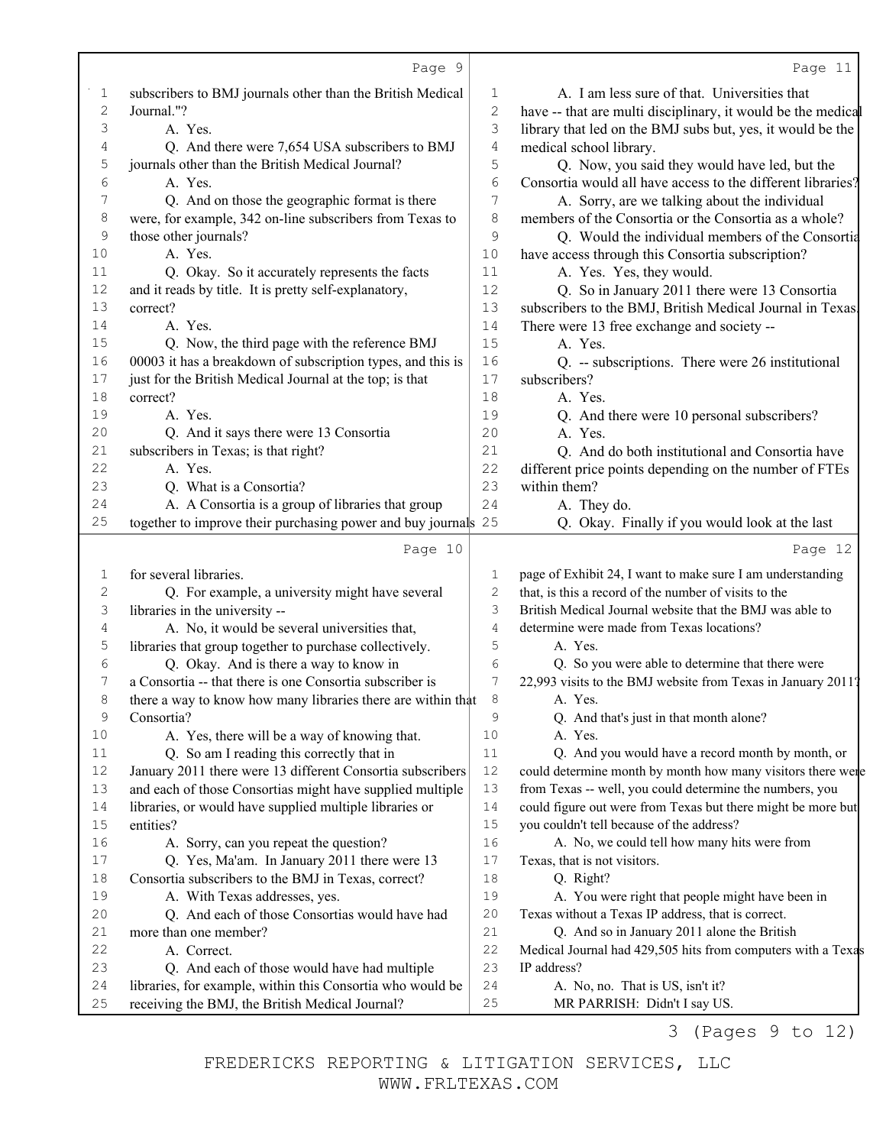|                | Page 9                                                                                                        |                | Page 11                                                          |
|----------------|---------------------------------------------------------------------------------------------------------------|----------------|------------------------------------------------------------------|
| 1              | subscribers to BMJ journals other than the British Medical                                                    | 1              | A. I am less sure of that. Universities that                     |
| $\overline{c}$ | Journal."?                                                                                                    | $\mathbf{2}$   | have -- that are multi disciplinary, it would be the medical     |
| 3              | A. Yes.                                                                                                       | 3              | library that led on the BMJ subs but, yes, it would be the       |
| 4              | Q. And there were 7,654 USA subscribers to BMJ                                                                | $\overline{4}$ | medical school library.                                          |
| 5              | journals other than the British Medical Journal?                                                              | 5              | Q. Now, you said they would have led, but the                    |
| 6              | A. Yes.                                                                                                       | 6              | Consortia would all have access to the different libraries?      |
| 7              | Q. And on those the geographic format is there                                                                | 7              | A. Sorry, are we talking about the individual                    |
| 8              | were, for example, 342 on-line subscribers from Texas to                                                      | 8              | members of the Consortia or the Consortia as a whole?            |
| 9              | those other journals?                                                                                         | 9              | Q. Would the individual members of the Consortia                 |
| 10             | A. Yes.                                                                                                       | 10             | have access through this Consortia subscription?                 |
| 11             | Q. Okay. So it accurately represents the facts                                                                | 11             | A. Yes. Yes, they would.                                         |
| 12             | and it reads by title. It is pretty self-explanatory,                                                         | 12             | Q. So in January 2011 there were 13 Consortia                    |
| 13             | correct?                                                                                                      | 13             | subscribers to the BMJ, British Medical Journal in Texas.        |
| 14             | A. Yes.                                                                                                       | 14             | There were 13 free exchange and society --                       |
| 15             | Q. Now, the third page with the reference BMJ                                                                 | 15             | A. Yes.                                                          |
| 16             | 00003 it has a breakdown of subscription types, and this is                                                   | 16             | Q. -- subscriptions. There were 26 institutional                 |
| 17             | just for the British Medical Journal at the top; is that                                                      | 17             | subscribers?                                                     |
| 18             | correct?                                                                                                      | 18             | A. Yes.                                                          |
| 19             | A. Yes.                                                                                                       | 19             | Q. And there were 10 personal subscribers?                       |
| 20             | Q. And it says there were 13 Consortia                                                                        | 20             | A. Yes.                                                          |
| 21             | subscribers in Texas; is that right?                                                                          | 21             | Q. And do both institutional and Consortia have                  |
| 22             | A. Yes.                                                                                                       | 22             | different price points depending on the number of FTEs           |
| 23             | Q. What is a Consortia?                                                                                       | 23             | within them?                                                     |
| 24             | A. A Consortia is a group of libraries that group                                                             | 24             | A. They do.                                                      |
| 25             | together to improve their purchasing power and buy journals 25                                                |                | Q. Okay. Finally if you would look at the last                   |
|                | Page 10                                                                                                       |                | Page 12                                                          |
|                |                                                                                                               |                |                                                                  |
|                |                                                                                                               |                |                                                                  |
| 1              | for several libraries.                                                                                        | 1              | page of Exhibit 24, I want to make sure I am understanding       |
| $\overline{c}$ | Q. For example, a university might have several                                                               | 2              | that, is this a record of the number of visits to the            |
| 3              | libraries in the university --                                                                                | 3              | British Medical Journal website that the BMJ was able to         |
| 4              | A. No, it would be several universities that,                                                                 | 4              | determine were made from Texas locations?                        |
| 5              | libraries that group together to purchase collectively.                                                       | 5              | A. Yes.                                                          |
| 6              | Q. Okay. And is there a way to know in                                                                        | 6              | Q. So you were able to determine that there were                 |
| 7              | a Consortia -- that there is one Consortia subscriber is                                                      | 7              | 22,993 visits to the BMJ website from Texas in January 2011?     |
| 8              | there a way to know how many libraries there are within that                                                  | 8              | A. Yes.                                                          |
| 9              | Consortia?                                                                                                    | 9              | Q. And that's just in that month alone?                          |
| 10             | A. Yes, there will be a way of knowing that.                                                                  | 10             | A. Yes.                                                          |
| 11             | Q. So am I reading this correctly that in                                                                     | 11             | Q. And you would have a record month by month, or                |
| 12             | January 2011 there were 13 different Consortia subscribers                                                    | 12             | could determine month by month how many visitors there were      |
| 13             | and each of those Consortias might have supplied multiple                                                     | 13             | from Texas -- well, you could determine the numbers, you         |
| 14             | libraries, or would have supplied multiple libraries or                                                       | 14             | could figure out were from Texas but there might be more but     |
| 15             | entities?                                                                                                     | 15             | you couldn't tell because of the address?                        |
| 16             | A. Sorry, can you repeat the question?                                                                        | 16             | A. No, we could tell how many hits were from                     |
| 17             | Q. Yes, Ma'am. In January 2011 there were 13                                                                  | 17             | Texas, that is not visitors.                                     |
| 18             | Consortia subscribers to the BMJ in Texas, correct?                                                           | 18             | Q. Right?                                                        |
| 19             | A. With Texas addresses, yes.                                                                                 | 19             | A. You were right that people might have been in                 |
| 20             | Q. And each of those Consortias would have had                                                                | 20             | Texas without a Texas IP address, that is correct.               |
| 21             | more than one member?                                                                                         | 21             | Q. And so in January 2011 alone the British                      |
| 22             | A. Correct.                                                                                                   | 22             | Medical Journal had 429,505 hits from computers with a Texas     |
| 23             | Q. And each of those would have had multiple                                                                  | 23             | IP address?                                                      |
| 24<br>$25$     | libraries, for example, within this Consortia who would be<br>receiving the BMJ, the British Medical Journal? | 24<br>25       | A. No, no. That is US, isn't it?<br>MR PARRISH: Didn't I say US. |

3 (Pages 9 to 12)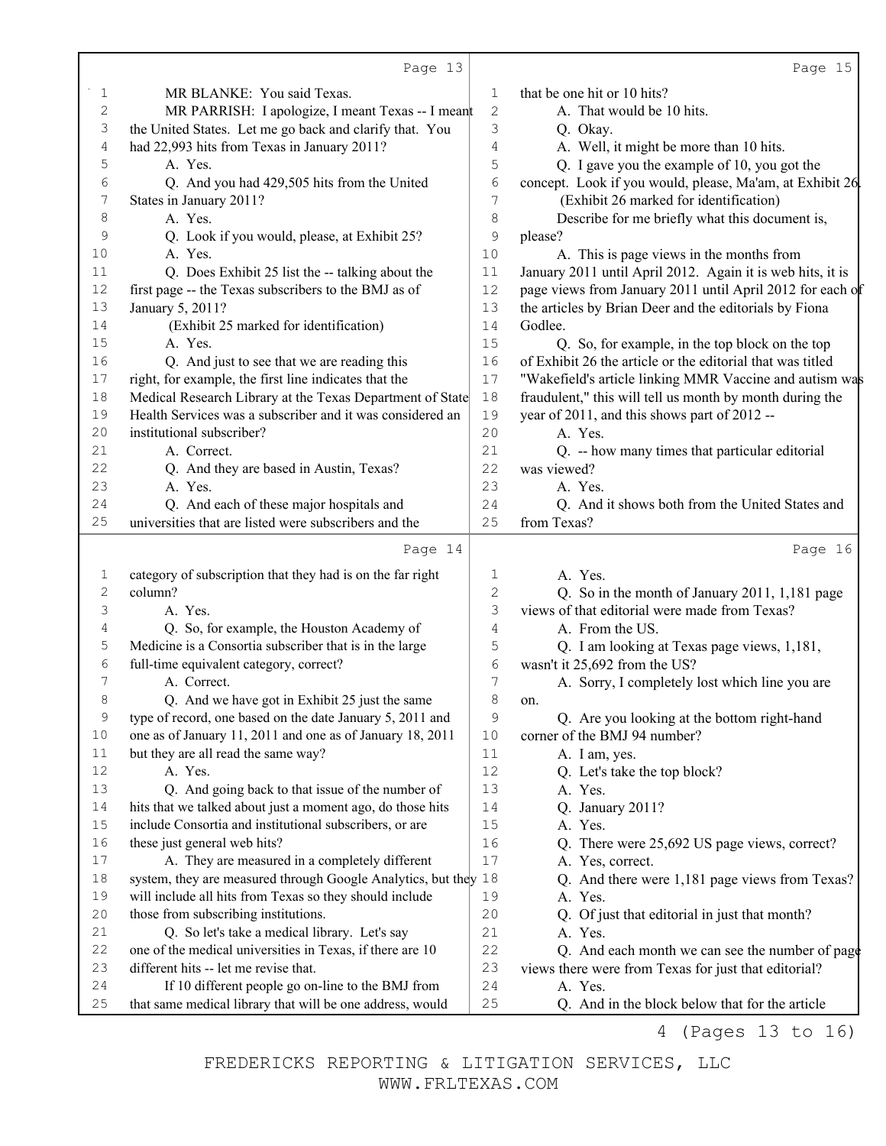|            | Page 13                                                          |                  | Page 15                                                    |
|------------|------------------------------------------------------------------|------------------|------------------------------------------------------------|
| 1          | MR BLANKE: You said Texas.                                       | 1                | that be one hit or 10 hits?                                |
| $\sqrt{2}$ | MR PARRISH: I apologize, I meant Texas -- I meant                | $\mathbf{2}$     | A. That would be 10 hits.                                  |
| 3          | the United States. Let me go back and clarify that. You          | 3                | Q. Okay.                                                   |
| 4          | had 22,993 hits from Texas in January 2011?                      | 4                | A. Well, it might be more than 10 hits.                    |
| 5          | A. Yes.                                                          | 5                | Q. I gave you the example of 10, you got the               |
| 6          | Q. And you had 429,505 hits from the United                      | $\sqrt{6}$       | concept. Look if you would, please, Ma'am, at Exhibit 26.  |
| 7          | States in January 2011?                                          | 7                | (Exhibit 26 marked for identification)                     |
| 8          | A. Yes.                                                          | 8                | Describe for me briefly what this document is,             |
| 9          | Q. Look if you would, please, at Exhibit 25?                     | 9                | please?                                                    |
| 10         | A. Yes.                                                          | 10               | A. This is page views in the months from                   |
| 11         | Q. Does Exhibit 25 list the -- talking about the                 | 11               | January 2011 until April 2012. Again it is web hits, it is |
| 12         | first page -- the Texas subscribers to the BMJ as of             | 12               | page views from January 2011 until April 2012 for each of  |
| 13         | January 5, 2011?                                                 | 13               | the articles by Brian Deer and the editorials by Fiona     |
| 14         | (Exhibit 25 marked for identification)                           | 14               | Godlee.                                                    |
| 15         | A. Yes.                                                          | 15               | Q. So, for example, in the top block on the top            |
| 16         | Q. And just to see that we are reading this                      | 16               | of Exhibit 26 the article or the editorial that was titled |
| 17         | right, for example, the first line indicates that the            | $17$             | "Wakefield's article linking MMR Vaccine and autism was    |
| 18         | Medical Research Library at the Texas Department of State        | $18$             | fraudulent," this will tell us month by month during the   |
| 19         | Health Services was a subscriber and it was considered an        | 19               | year of 2011, and this shows part of 2012 --               |
| 20         | institutional subscriber?                                        | 20               | A. Yes.                                                    |
| 21         | A. Correct.                                                      | 21               | Q. -- how many times that particular editorial             |
| 22         | Q. And they are based in Austin, Texas?                          | 22               | was viewed?                                                |
| 23         | A. Yes.                                                          | 23               | A. Yes.                                                    |
| 24         | Q. And each of these major hospitals and                         | 24               | Q. And it shows both from the United States and            |
| 25         | universities that are listed were subscribers and the            | 25               | from Texas?                                                |
|            | Page 14                                                          |                  | Page 16                                                    |
| 1          | category of subscription that they had is on the far right       | 1                | A. Yes.                                                    |
| 2          | column?                                                          | $\mathbf{2}$     | Q. So in the month of January 2011, 1,181 page             |
| 3          | A. Yes.                                                          | 3                | views of that editorial were made from Texas?              |
| 4          | Q. So, for example, the Houston Academy of                       | 4                | A. From the US.                                            |
| 5          | Medicine is a Consortia subscriber that is in the large          | 5                | Q. I am looking at Texas page views, 1,181,                |
| 6          | full-time equivalent category, correct?                          | 6                | wasn't it 25,692 from the US?                              |
| 7          | A. Correct.                                                      | $\boldsymbol{7}$ | A. Sorry, I completely lost which line you are             |
| 8          | Q. And we have got in Exhibit 25 just the same                   | $\,8\,$          | on.                                                        |
| 9          | type of record, one based on the date January 5, 2011 and        | 9                | Q. Are you looking at the bottom right-hand                |
| 10         | one as of January 11, 2011 and one as of January 18, 2011        | 10               | corner of the BMJ 94 number?                               |
| 11         | but they are all read the same way?                              | $11\,$           | A. I am, yes.                                              |
| 12         | A. Yes.                                                          | 12               | Q. Let's take the top block?                               |
| 13         | Q. And going back to that issue of the number of                 | 13               | A. Yes.                                                    |
| 14         | hits that we talked about just a moment ago, do those hits       | 14               | Q. January 2011?                                           |
| 15         | include Consortia and institutional subscribers, or are          | 15               | A. Yes.                                                    |
| 16         | these just general web hits?                                     | 16               | Q. There were 25,692 US page views, correct?               |
| 17         | A. They are measured in a completely different                   | 17               | A. Yes, correct.                                           |
| 18         | system, they are measured through Google Analytics, but the y 18 |                  | Q. And there were 1,181 page views from Texas?             |
| 19         | will include all hits from Texas so they should include          | 19               | A. Yes.                                                    |
| 20         | those from subscribing institutions.                             | 20               | Q. Of just that editorial in just that month?              |
| 21         | Q. So let's take a medical library. Let's say                    | 21               | A. Yes.                                                    |
| 22         | one of the medical universities in Texas, if there are 10        | 22               | Q. And each month we can see the number of page            |
| 23         | different hits -- let me revise that.                            | 23               | views there were from Texas for just that editorial?       |
| 24         | If 10 different people go on-line to the BMJ from                | 24               | A. Yes.                                                    |
|            |                                                                  |                  |                                                            |
| 25         | that same medical library that will be one address, would        | 25               | Q. And in the block below that for the article             |

4 (Pages 13 to 16)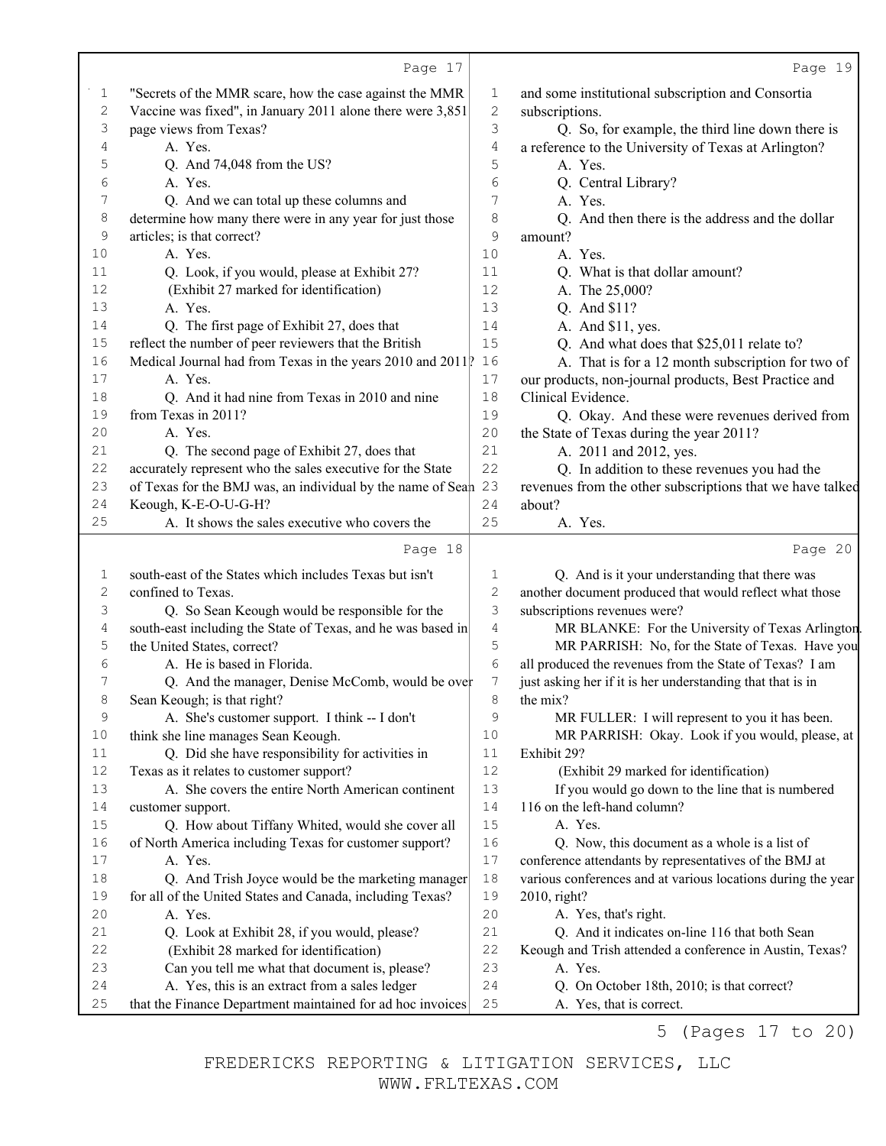|                | Page 17                                                                                                      |              | Page 19                                                                |
|----------------|--------------------------------------------------------------------------------------------------------------|--------------|------------------------------------------------------------------------|
| 1              | "Secrets of the MMR scare, how the case against the MMR                                                      | 1            | and some institutional subscription and Consortia                      |
| $\overline{c}$ | Vaccine was fixed", in January 2011 alone there were 3,851                                                   | $\mathbf{2}$ | subscriptions.                                                         |
| 3              | page views from Texas?                                                                                       | 3            | Q. So, for example, the third line down there is                       |
| 4              | A. Yes.                                                                                                      | 4            | a reference to the University of Texas at Arlington?                   |
| 5              | Q. And 74,048 from the US?                                                                                   | 5            | A. Yes.                                                                |
| 6              | A. Yes.                                                                                                      | 6            | Q. Central Library?                                                    |
| 7              | Q. And we can total up these columns and                                                                     | 7            | A. Yes.                                                                |
| 8              | determine how many there were in any year for just those                                                     | 8            | Q. And then there is the address and the dollar                        |
| 9              | articles; is that correct?                                                                                   | 9            | amount?                                                                |
| 10             | A. Yes.                                                                                                      | 10           | A. Yes.                                                                |
| 11             | Q. Look, if you would, please at Exhibit 27?                                                                 | 11           | Q. What is that dollar amount?                                         |
| 12             | (Exhibit 27 marked for identification)                                                                       | 12           | A. The 25,000?                                                         |
| 13             | A. Yes.                                                                                                      | 13           | Q. And \$11?                                                           |
| 14             | Q. The first page of Exhibit 27, does that                                                                   | 14           | A. And \$11, yes.                                                      |
| 15             | reflect the number of peer reviewers that the British                                                        | 15           | Q. And what does that \$25,011 relate to?                              |
| 16             | Medical Journal had from Texas in the years 2010 and 2011.                                                   | 16           | A. That is for a 12 month subscription for two of                      |
| 17             | A. Yes.                                                                                                      | $17$         | our products, non-journal products, Best Practice and                  |
| 18             | Q. And it had nine from Texas in 2010 and nine                                                               | 18           | Clinical Evidence.                                                     |
| 19             | from Texas in 2011?                                                                                          | 19           | Q. Okay. And these were revenues derived from                          |
| 20             | A. Yes.                                                                                                      | 20           | the State of Texas during the year 2011?                               |
| 21             | Q. The second page of Exhibit 27, does that                                                                  | 21           | A. 2011 and 2012, yes.                                                 |
| 22             | accurately represent who the sales executive for the State                                                   | 22           | Q. In addition to these revenues you had the                           |
| 23             | of Texas for the BMJ was, an individual by the name of Seah 23                                               |              | revenues from the other subscriptions that we have talked              |
| 24             | Keough, K-E-O-U-G-H?                                                                                         | 24           | about?                                                                 |
| 25             | A. It shows the sales executive who covers the                                                               | 25           | A. Yes.                                                                |
|                | Page 18                                                                                                      |              | Page 20                                                                |
| 1              | south-east of the States which includes Texas but isn't                                                      | 1            | Q. And is it your understanding that there was                         |
| 2              | confined to Texas.                                                                                           | $\sqrt{2}$   | another document produced that would reflect what those                |
| 3              | Q. So Sean Keough would be responsible for the                                                               | 3            | subscriptions revenues were?                                           |
| 4              | south-east including the State of Texas, and he was based in                                                 | 4            | MR BLANKE: For the University of Texas Arlington                       |
| 5              | the United States, correct?                                                                                  | 5            | MR PARRISH: No, for the State of Texas. Have you                       |
| 6              | A. He is based in Florida.                                                                                   | 6            | all produced the revenues from the State of Texas? I am                |
| 7              | Q. And the manager, Denise McComb, would be over                                                             | 7            | just asking her if it is her understanding that that is in             |
| 8              | Sean Keough; is that right?                                                                                  | 8            | the mix?                                                               |
| 9              | A. She's customer support. I think -- I don't                                                                | 9            | MR FULLER: I will represent to you it has been.                        |
| $10$           | think she line manages Sean Keough.                                                                          | 10           | MR PARRISH: Okay. Look if you would, please, at                        |
| 11             | Q. Did she have responsibility for activities in                                                             | 11           | Exhibit 29?                                                            |
| 12             | Texas as it relates to customer support?                                                                     | 12           | (Exhibit 29 marked for identification)                                 |
| 13             | A. She covers the entire North American continent                                                            | 13           | If you would go down to the line that is numbered                      |
| 14             | customer support.                                                                                            | 14           | 116 on the left-hand column?                                           |
| 15             | Q. How about Tiffany Whited, would she cover all                                                             | 15           | A. Yes.                                                                |
| 16             | of North America including Texas for customer support?                                                       | 16           | Q. Now, this document as a whole is a list of                          |
| 17             |                                                                                                              |              |                                                                        |
|                | A. Yes.                                                                                                      | 17           | conference attendants by representatives of the BMJ at                 |
| 18             | Q. And Trish Joyce would be the marketing manager                                                            | 18           | various conferences and at various locations during the year           |
| 19             | for all of the United States and Canada, including Texas?                                                    | 19           | 2010, right?                                                           |
| $20$           | A. Yes.                                                                                                      | 20           | A. Yes, that's right.                                                  |
| 21             | Q. Look at Exhibit 28, if you would, please?                                                                 | 21           | Q. And it indicates on-line 116 that both Sean                         |
| 22             | (Exhibit 28 marked for identification)                                                                       | 22           | Keough and Trish attended a conference in Austin, Texas?               |
| 23             | Can you tell me what that document is, please?                                                               | 23           | A. Yes.                                                                |
| 24<br>25       | A. Yes, this is an extract from a sales ledger<br>that the Finance Department maintained for ad hoc invoices | 24<br>25     | Q. On October 18th, 2010; is that correct?<br>A. Yes, that is correct. |

5 (Pages 17 to 20)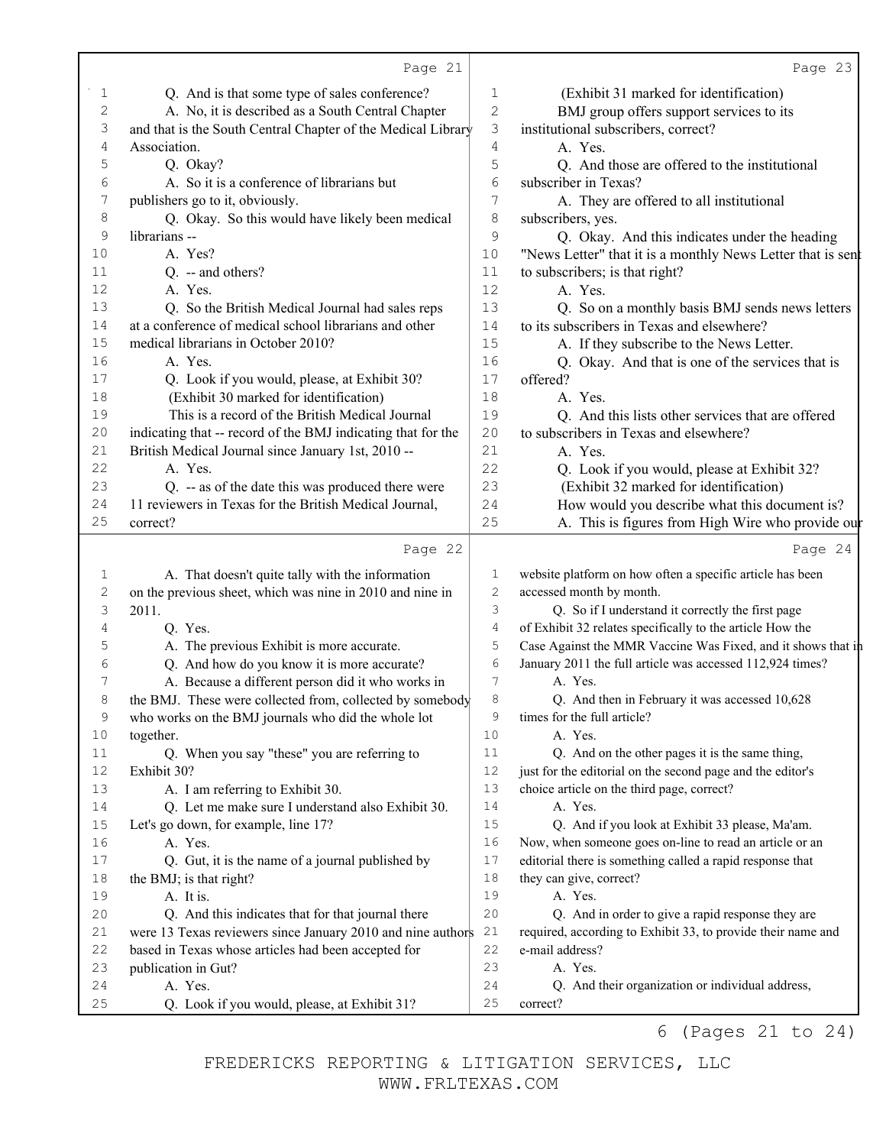|                | Page 21                                                                                          |            | Page 23                                                                                                                   |
|----------------|--------------------------------------------------------------------------------------------------|------------|---------------------------------------------------------------------------------------------------------------------------|
| 1              | Q. And is that some type of sales conference?                                                    | 1          | (Exhibit 31 marked for identification)                                                                                    |
| $\overline{c}$ | A. No, it is described as a South Central Chapter                                                | $\sqrt{2}$ | BMJ group offers support services to its                                                                                  |
| 3              | and that is the South Central Chapter of the Medical Library                                     | 3          | institutional subscribers, correct?                                                                                       |
| 4              | Association.                                                                                     | 4          | A. Yes.                                                                                                                   |
| 5              | Q. Okay?                                                                                         | 5          | Q. And those are offered to the institutional                                                                             |
| 6              | A. So it is a conference of librarians but                                                       | 6          | subscriber in Texas?                                                                                                      |
| 7              | publishers go to it, obviously.                                                                  | 7          | A. They are offered to all institutional                                                                                  |
| 8              | Q. Okay. So this would have likely been medical                                                  | 8          | subscribers, yes.                                                                                                         |
| 9              | librarians --                                                                                    | 9          | Q. Okay. And this indicates under the heading                                                                             |
| 10             | A. Yes?                                                                                          | 10         | "News Letter" that it is a monthly News Letter that is sent                                                               |
| 11             | Q. -- and others?                                                                                | 11         | to subscribers; is that right?                                                                                            |
| 12             | A. Yes.                                                                                          | 12         | A. Yes.                                                                                                                   |
| 13             | Q. So the British Medical Journal had sales reps                                                 | 13         | Q. So on a monthly basis BMJ sends news letters                                                                           |
| 14             | at a conference of medical school librarians and other                                           | 14         | to its subscribers in Texas and elsewhere?                                                                                |
| 15             | medical librarians in October 2010?                                                              | 15         | A. If they subscribe to the News Letter.                                                                                  |
| 16             | A. Yes.                                                                                          | 16         | Q. Okay. And that is one of the services that is                                                                          |
| 17             | Q. Look if you would, please, at Exhibit 30?                                                     | 17         | offered?                                                                                                                  |
| 18             | (Exhibit 30 marked for identification)                                                           | 18         | A. Yes.                                                                                                                   |
| 19             | This is a record of the British Medical Journal                                                  | 19         | Q. And this lists other services that are offered                                                                         |
| 20             | indicating that -- record of the BMJ indicating that for the                                     | 20         | to subscribers in Texas and elsewhere?                                                                                    |
| 21             | British Medical Journal since January 1st, 2010 --                                               | 21         | A. Yes.                                                                                                                   |
| 22             | A. Yes.                                                                                          | 22         | Q. Look if you would, please at Exhibit 32?                                                                               |
| 23             | Q. -- as of the date this was produced there were                                                | 23         | (Exhibit 32 marked for identification)                                                                                    |
| 24             | 11 reviewers in Texas for the British Medical Journal,                                           | 24         | How would you describe what this document is?                                                                             |
| 25             | correct?                                                                                         | 25         | A. This is figures from High Wire who provide ou                                                                          |
|                | Page 22                                                                                          |            | Page 24                                                                                                                   |
|                |                                                                                                  |            |                                                                                                                           |
| 1              |                                                                                                  | 1          |                                                                                                                           |
| $\sqrt{2}$     | A. That doesn't quite tally with the information                                                 | 2          | website platform on how often a specific article has been                                                                 |
| 3              | on the previous sheet, which was nine in 2010 and nine in<br>2011.                               | 3          | accessed month by month.                                                                                                  |
| 4              |                                                                                                  | 4          | Q. So if I understand it correctly the first page<br>of Exhibit 32 relates specifically to the article How the            |
| 5              | Q. Yes.                                                                                          | 5          |                                                                                                                           |
| 6              | A. The previous Exhibit is more accurate.                                                        | 6          | Case Against the MMR Vaccine Was Fixed, and it shows that in<br>January 2011 the full article was accessed 112,924 times? |
| 7              | Q. And how do you know it is more accurate?<br>A. Because a different person did it who works in | 7          | A. Yes.                                                                                                                   |
| 8              | the BMJ. These were collected from, collected by somebody                                        | 8          | Q. And then in February it was accessed 10,628                                                                            |
| 9              | who works on the BMJ journals who did the whole lot                                              | 9          | times for the full article?                                                                                               |
| 10             | together.                                                                                        | 10         | A. Yes.                                                                                                                   |
| 11             | Q. When you say "these" you are referring to                                                     | 11         | Q. And on the other pages it is the same thing,                                                                           |
| 12             | Exhibit 30?                                                                                      | 12         | just for the editorial on the second page and the editor's                                                                |
| 13             | A. I am referring to Exhibit 30.                                                                 | 13         | choice article on the third page, correct?                                                                                |
| 14             | Q. Let me make sure I understand also Exhibit 30.                                                | 14         | A. Yes.                                                                                                                   |
| 15             | Let's go down, for example, line 17?                                                             | 15         | Q. And if you look at Exhibit 33 please, Ma'am.                                                                           |
| 16             | A. Yes.                                                                                          | 16         | Now, when someone goes on-line to read an article or an                                                                   |
| 17             | Q. Gut, it is the name of a journal published by                                                 | 17         | editorial there is something called a rapid response that                                                                 |
| 18             | the BMJ; is that right?                                                                          | 18         | they can give, correct?                                                                                                   |
| 19             | A. It is.                                                                                        | 19         | A. Yes.                                                                                                                   |
| 20             | Q. And this indicates that for that journal there                                                | 20         | Q. And in order to give a rapid response they are                                                                         |
| $2\,1$         | were 13 Texas reviewers since January 2010 and nine authors                                      | 21         | required, according to Exhibit 33, to provide their name and                                                              |
| 22             | based in Texas whose articles had been accepted for                                              | 22         | e-mail address?                                                                                                           |
| 23             | publication in Gut?                                                                              | 23         | A. Yes.                                                                                                                   |
| 24<br>$25$     | A. Yes.                                                                                          | 24         | Q. And their organization or individual address,                                                                          |

6 (Pages 21 to 24)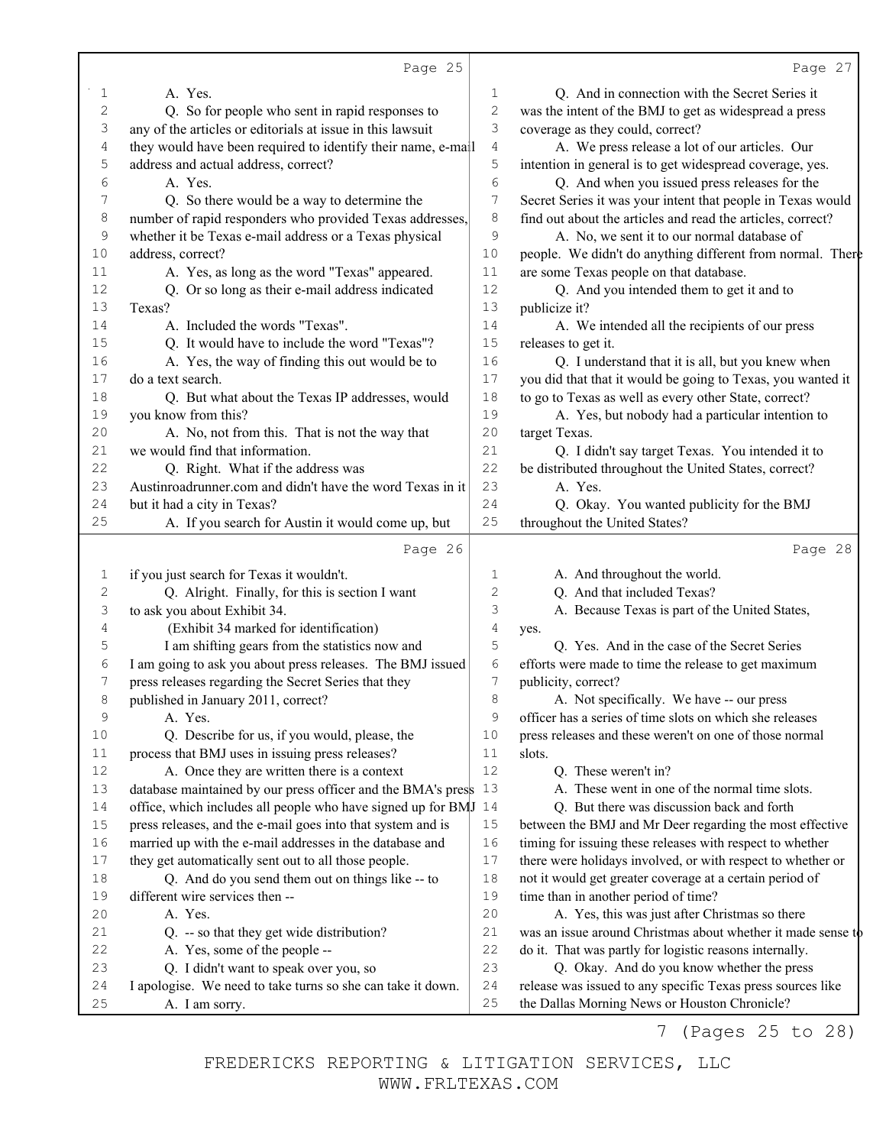|             | Page 25                                                                                                       |              | Page 27                                                                                                      |
|-------------|---------------------------------------------------------------------------------------------------------------|--------------|--------------------------------------------------------------------------------------------------------------|
| 1           | A. Yes.                                                                                                       | $\mathbf{1}$ | Q. And in connection with the Secret Series it                                                               |
| 2           | Q. So for people who sent in rapid responses to                                                               | $\sqrt{2}$   | was the intent of the BMJ to get as widespread a press                                                       |
| 3           | any of the articles or editorials at issue in this lawsuit                                                    | 3            | coverage as they could, correct?                                                                             |
| 4           | they would have been required to identify their name, e-mall                                                  | $\sqrt{4}$   | A. We press release a lot of our articles. Our                                                               |
| 5           | address and actual address, correct?                                                                          | 5            | intention in general is to get widespread coverage, yes.                                                     |
| 6           | A. Yes.                                                                                                       | 6            | Q. And when you issued press releases for the                                                                |
| 7           | Q. So there would be a way to determine the                                                                   | 7            | Secret Series it was your intent that people in Texas would                                                  |
| 8           | number of rapid responders who provided Texas addresses,                                                      | 8            | find out about the articles and read the articles, correct?                                                  |
| 9           | whether it be Texas e-mail address or a Texas physical                                                        | $\mathsf 9$  | A. No, we sent it to our normal database of                                                                  |
| 10          | address, correct?                                                                                             | 10           | people. We didn't do anything different from normal. There                                                   |
| 11          | A. Yes, as long as the word "Texas" appeared.                                                                 | 11           | are some Texas people on that database.                                                                      |
| 12          | Q. Or so long as their e-mail address indicated                                                               | 12           | Q. And you intended them to get it and to                                                                    |
| 13          | Texas?                                                                                                        | 13           | publicize it?                                                                                                |
| 14          | A. Included the words "Texas".                                                                                | 14           | A. We intended all the recipients of our press                                                               |
| 15          | Q. It would have to include the word "Texas"?                                                                 | 15           | releases to get it.                                                                                          |
| 16          | A. Yes, the way of finding this out would be to                                                               | 16           | Q. I understand that it is all, but you knew when                                                            |
| 17          | do a text search.                                                                                             | 17           | you did that that it would be going to Texas, you wanted it                                                  |
| 18          | Q. But what about the Texas IP addresses, would                                                               | 18           | to go to Texas as well as every other State, correct?                                                        |
| 19          | you know from this?                                                                                           | 19           | A. Yes, but nobody had a particular intention to                                                             |
| 20          | A. No, not from this. That is not the way that                                                                | 20           | target Texas.                                                                                                |
| 21          | we would find that information.                                                                               | 21           | Q. I didn't say target Texas. You intended it to                                                             |
| 22          | Q. Right. What if the address was                                                                             | 22           | be distributed throughout the United States, correct?                                                        |
| 23          | Austinroadrunner.com and didn't have the word Texas in it                                                     | 23           | A. Yes.                                                                                                      |
| 24          | but it had a city in Texas?                                                                                   | 24           | Q. Okay. You wanted publicity for the BMJ                                                                    |
| 25          | A. If you search for Austin it would come up, but                                                             | 25           | throughout the United States?                                                                                |
|             | Page 26                                                                                                       |              | Page 28                                                                                                      |
|             |                                                                                                               |              |                                                                                                              |
|             |                                                                                                               | 1            |                                                                                                              |
| 1           | if you just search for Texas it wouldn't.                                                                     | 2            | A. And throughout the world.                                                                                 |
| $\mathbf 2$ | Q. Alright. Finally, for this is section I want                                                               | 3            | Q. And that included Texas?                                                                                  |
| 3<br>4      | to ask you about Exhibit 34.                                                                                  | 4            | A. Because Texas is part of the United States,                                                               |
| 5           | (Exhibit 34 marked for identification)                                                                        | 5            | yes.<br>Q. Yes. And in the case of the Secret Series                                                         |
| 6           | I am shifting gears from the statistics now and<br>I am going to ask you about press releases. The BMJ issued | 6            | efforts were made to time the release to get maximum                                                         |
| 7           | press releases regarding the Secret Series that they                                                          | 7            | publicity, correct?                                                                                          |
| 8           | published in January 2011, correct?                                                                           | 8            | A. Not specifically. We have -- our press                                                                    |
| 9           | A. Yes.                                                                                                       | 9            | officer has a series of time slots on which she releases                                                     |
| 10          | Q. Describe for us, if you would, please, the                                                                 | 10           | press releases and these weren't on one of those normal                                                      |
| 11          | process that BMJ uses in issuing press releases?                                                              | 11           | slots.                                                                                                       |
| 12          | A. Once they are written there is a context                                                                   | 12           | Q. These weren't in?                                                                                         |
| 13          | database maintained by our press officer and the BMA's press                                                  | 13           | A. These went in one of the normal time slots.                                                               |
| 14          | office, which includes all people who have signed up for BMJ 14                                               |              | Q. But there was discussion back and forth                                                                   |
| 15          | press releases, and the e-mail goes into that system and is                                                   | 15           | between the BMJ and Mr Deer regarding the most effective                                                     |
| 16          | married up with the e-mail addresses in the database and                                                      | 16           | timing for issuing these releases with respect to whether                                                    |
| 17          | they get automatically sent out to all those people.                                                          | 17           | there were holidays involved, or with respect to whether or                                                  |
| 18          | Q. And do you send them out on things like -- to                                                              | 18           | not it would get greater coverage at a certain period of                                                     |
| 19          | different wire services then --                                                                               | 19           | time than in another period of time?                                                                         |
| 20          | A. Yes.                                                                                                       | 20           | A. Yes, this was just after Christmas so there                                                               |
| 21          | Q. -- so that they get wide distribution?                                                                     | 21           | was an issue around Christmas about whether it made sense to                                                 |
| 22          | A. Yes, some of the people --                                                                                 | 22           | do it. That was partly for logistic reasons internally.                                                      |
| 23          | Q. I didn't want to speak over you, so                                                                        | 23           | Q. Okay. And do you know whether the press                                                                   |
| 24<br>25    | I apologise. We need to take turns so she can take it down.<br>A. I am sorry.                                 | 24<br>25     | release was issued to any specific Texas press sources like<br>the Dallas Morning News or Houston Chronicle? |

7 (Pages 25 to 28)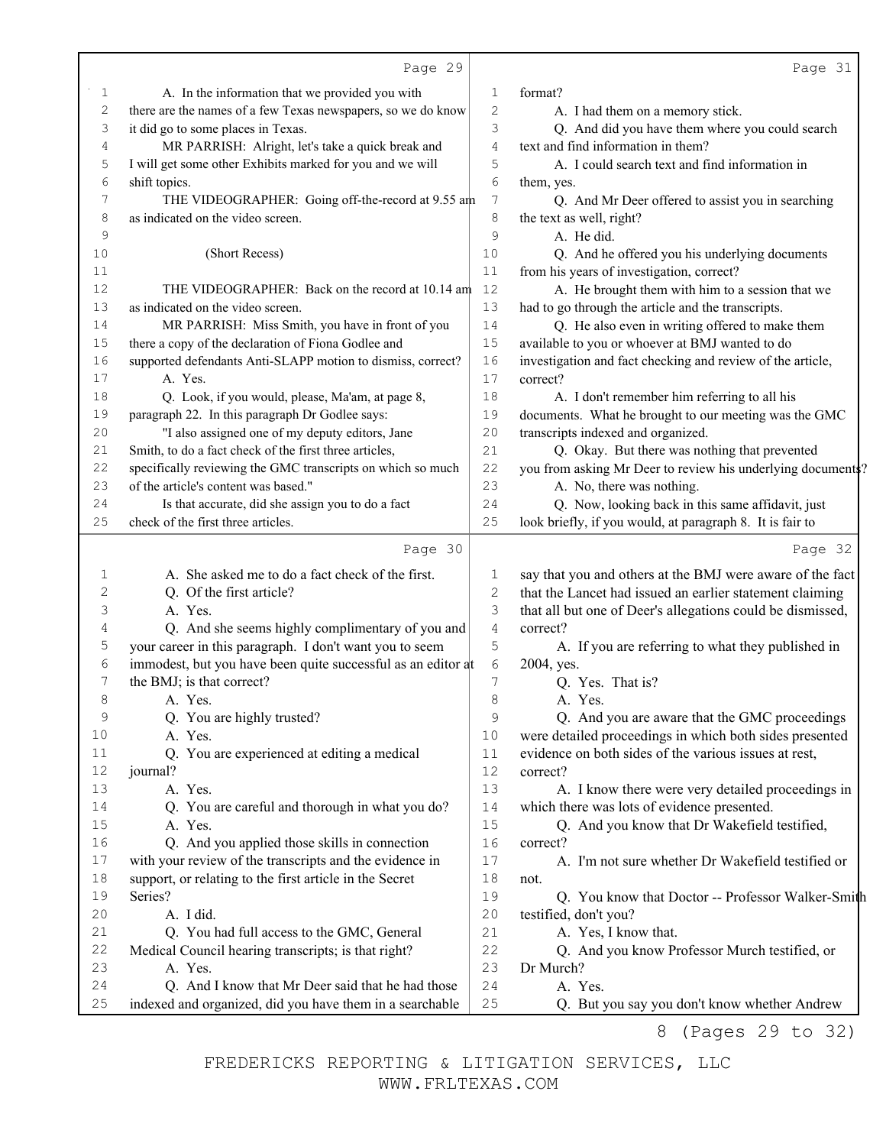|          | Page 29                                                                                                       |                   | Page 31                                                                                                               |
|----------|---------------------------------------------------------------------------------------------------------------|-------------------|-----------------------------------------------------------------------------------------------------------------------|
| 1        | A. In the information that we provided you with                                                               | 1                 | format?                                                                                                               |
| 2        | there are the names of a few Texas newspapers, so we do know                                                  | $\mathbf{2}$      | A. I had them on a memory stick.                                                                                      |
| 3        | it did go to some places in Texas.                                                                            | 3                 | Q. And did you have them where you could search                                                                       |
| 4        | MR PARRISH: Alright, let's take a quick break and                                                             | 4                 | text and find information in them?                                                                                    |
| 5        | I will get some other Exhibits marked for you and we will                                                     | 5                 | A. I could search text and find information in                                                                        |
| 6        | shift topics.                                                                                                 | 6                 | them, yes.                                                                                                            |
| 7        | THE VIDEOGRAPHER: Going off-the-record at 9.55 am                                                             | 7                 | Q. And Mr Deer offered to assist you in searching                                                                     |
| 8        | as indicated on the video screen.                                                                             | 8                 | the text as well, right?                                                                                              |
| 9        |                                                                                                               | 9                 | A. He did.                                                                                                            |
| 10       | (Short Recess)                                                                                                | 10                | Q. And he offered you his underlying documents                                                                        |
| 11       |                                                                                                               | 11                | from his years of investigation, correct?                                                                             |
| $12\,$   | THE VIDEOGRAPHER: Back on the record at 10.14 am                                                              | 12                | A. He brought them with him to a session that we                                                                      |
| 13       | as indicated on the video screen.                                                                             | 13                | had to go through the article and the transcripts.                                                                    |
| 14       | MR PARRISH: Miss Smith, you have in front of you                                                              | 14                | Q. He also even in writing offered to make them                                                                       |
| 15       | there a copy of the declaration of Fiona Godlee and                                                           | 15                | available to you or whoever at BMJ wanted to do                                                                       |
| 16       | supported defendants Anti-SLAPP motion to dismiss, correct?                                                   | 16                | investigation and fact checking and review of the article,                                                            |
| 17       | A. Yes.                                                                                                       | 17                | correct?                                                                                                              |
| 18       | Q. Look, if you would, please, Ma'am, at page 8,                                                              | 18                | A. I don't remember him referring to all his                                                                          |
| 19       | paragraph 22. In this paragraph Dr Godlee says:                                                               | 19                | documents. What he brought to our meeting was the GMC                                                                 |
| 20       | "I also assigned one of my deputy editors, Jane                                                               | 20                | transcripts indexed and organized.                                                                                    |
| 21       | Smith, to do a fact check of the first three articles,                                                        | 21                | Q. Okay. But there was nothing that prevented                                                                         |
| 22       | specifically reviewing the GMC transcripts on which so much                                                   | 22                | you from asking Mr Deer to review his underlying documents?                                                           |
| 23       | of the article's content was based."                                                                          | 23                | A. No, there was nothing.                                                                                             |
| 24       | Is that accurate, did she assign you to do a fact                                                             | 24                | Q. Now, looking back in this same affidavit, just                                                                     |
| 25       | check of the first three articles.                                                                            | 25                | look briefly, if you would, at paragraph 8. It is fair to                                                             |
|          | Page 30                                                                                                       |                   | Page 32                                                                                                               |
|          | A. She asked me to do a fact check of the first.                                                              |                   |                                                                                                                       |
| 1<br>2   | Q. Of the first article?                                                                                      | 1<br>$\mathbf{2}$ | say that you and others at the BMJ were aware of the fact<br>that the Lancet had issued an earlier statement claiming |
| 3        | A. Yes.                                                                                                       | 3                 |                                                                                                                       |
| 4        | Q. And she seems highly complimentary of you and                                                              | $\sqrt{4}$        | that all but one of Deer's allegations could be dismissed,<br>correct?                                                |
| 5        | your career in this paragraph. I don't want you to seem                                                       | 5                 |                                                                                                                       |
| 6        | immodest, but you have been quite successful as an editor at                                                  | 6                 | A. If you are referring to what they published in                                                                     |
| 7        | the BMJ; is that correct?                                                                                     | 7                 | 2004, yes.<br>Q. Yes. That is?                                                                                        |
| 8        |                                                                                                               | 8                 |                                                                                                                       |
| 9        | A. Yes.                                                                                                       | 9                 | A. Yes.                                                                                                               |
| 10       | Q. You are highly trusted?<br>A. Yes.                                                                         | 10                | Q. And you are aware that the GMC proceedings<br>were detailed proceedings in which both sides presented              |
| 11       | Q. You are experienced at editing a medical                                                                   | 11                | evidence on both sides of the various issues at rest,                                                                 |
| 12       | journal?                                                                                                      | 12                | correct?                                                                                                              |
| 13       | A. Yes.                                                                                                       | 13                | A. I know there were very detailed proceedings in                                                                     |
| 14       | Q. You are careful and thorough in what you do?                                                               | 14                | which there was lots of evidence presented.                                                                           |
| 15       | A. Yes.                                                                                                       | 15                | Q. And you know that Dr Wakefield testified,                                                                          |
| 16       | Q. And you applied those skills in connection                                                                 | 16                | correct?                                                                                                              |
| 17       | with your review of the transcripts and the evidence in                                                       | 17                |                                                                                                                       |
|          |                                                                                                               |                   | A. I'm not sure whether Dr Wakefield testified or                                                                     |
| 18<br>19 | support, or relating to the first article in the Secret<br>Series?                                            | 18<br>19          | not.<br>Q. You know that Doctor -- Professor Walker-Smith                                                             |
| 20       |                                                                                                               |                   |                                                                                                                       |
| 21       | A. I did.                                                                                                     | 20<br>21          | testified, don't you?                                                                                                 |
| 22       | Q. You had full access to the GMC, General<br>Medical Council hearing transcripts; is that right?             | 22                | A. Yes, I know that.<br>Q. And you know Professor Murch testified, or                                                 |
| 23       |                                                                                                               |                   |                                                                                                                       |
|          |                                                                                                               |                   |                                                                                                                       |
|          | A. Yes.                                                                                                       | 23                | Dr Murch?                                                                                                             |
| 24<br>25 | Q. And I know that Mr Deer said that he had those<br>indexed and organized, did you have them in a searchable | 24<br>25          | A. Yes.<br>Q. But you say you don't know whether Andrew                                                               |

8 (Pages 29 to 32)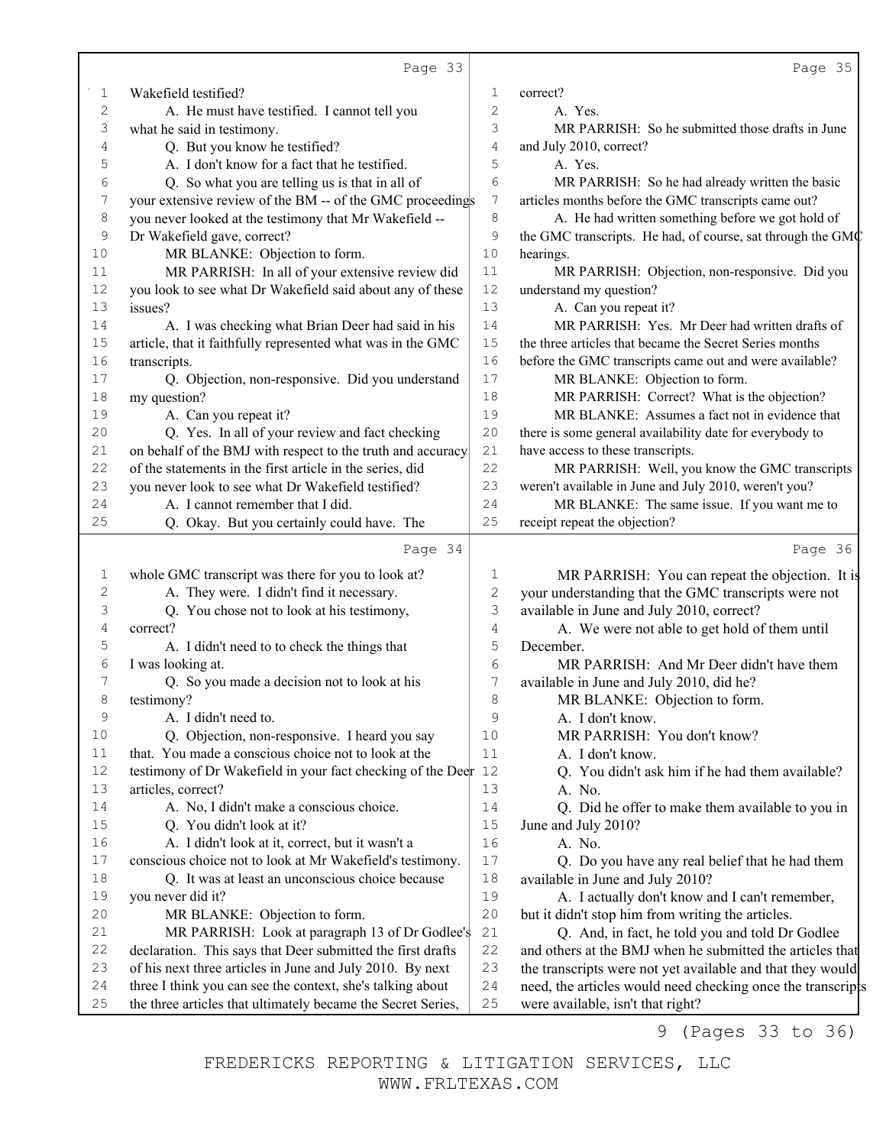|                | Page 33                                                                                                                    |                | Page 35                                                                                          |
|----------------|----------------------------------------------------------------------------------------------------------------------------|----------------|--------------------------------------------------------------------------------------------------|
| 1              | Wakefield testified?                                                                                                       | 1              | correct?                                                                                         |
| $\overline{c}$ | A. He must have testified. I cannot tell you                                                                               | 2              | A. Yes.                                                                                          |
| 3              | what he said in testimony.                                                                                                 | 3              | MR PARRISH: So he submitted those drafts in June                                                 |
| 4              | Q. But you know he testified?                                                                                              | $\overline{4}$ | and July 2010, correct?                                                                          |
| 5              | A. I don't know for a fact that he testified.                                                                              | 5              | A. Yes.                                                                                          |
| 6              | Q. So what you are telling us is that in all of                                                                            | 6              | MR PARRISH: So he had already written the basic                                                  |
| 7              | your extensive review of the BM -- of the GMC proceedings                                                                  | 7              | articles months before the GMC transcripts came out?                                             |
| 8              | you never looked at the testimony that Mr Wakefield --                                                                     | 8              | A. He had written something before we got hold of                                                |
| 9              | Dr Wakefield gave, correct?                                                                                                | 9              | the GMC transcripts. He had, of course, sat through the GMC                                      |
| 10             | MR BLANKE: Objection to form.                                                                                              | 10             | hearings.                                                                                        |
| 11             | MR PARRISH: In all of your extensive review did                                                                            | 11             | MR PARRISH: Objection, non-responsive. Did you                                                   |
| 12             | you look to see what Dr Wakefield said about any of these                                                                  | 12             | understand my question?                                                                          |
| 13             | issues?                                                                                                                    | 13             | A. Can you repeat it?                                                                            |
| 14             | A. I was checking what Brian Deer had said in his                                                                          | 14             | MR PARRISH: Yes. Mr Deer had written drafts of                                                   |
| 15             | article, that it faithfully represented what was in the GMC                                                                | 15             | the three articles that became the Secret Series months                                          |
| 16             | transcripts.                                                                                                               | 16             | before the GMC transcripts came out and were available?                                          |
| 17             | Q. Objection, non-responsive. Did you understand                                                                           | 17             | MR BLANKE: Objection to form.                                                                    |
| 18             | my question?                                                                                                               | 18             | MR PARRISH: Correct? What is the objection?                                                      |
| 19             | A. Can you repeat it?                                                                                                      | 19             | MR BLANKE: Assumes a fact not in evidence that                                                   |
| 20             | Q. Yes. In all of your review and fact checking                                                                            | 20             | there is some general availability date for everybody to                                         |
| 21             | on behalf of the BMJ with respect to the truth and accuracy                                                                | 21             | have access to these transcripts.                                                                |
| 22             | of the statements in the first article in the series, did                                                                  | 22             | MR PARRISH: Well, you know the GMC transcripts                                                   |
| 23             | you never look to see what Dr Wakefield testified?                                                                         | 23             | weren't available in June and July 2010, weren't you?                                            |
| 24             | A. I cannot remember that I did.                                                                                           | 24             | MR BLANKE: The same issue. If you want me to                                                     |
| 25             | Q. Okay. But you certainly could have. The                                                                                 | 25             | receipt repeat the objection?                                                                    |
|                | Page 34                                                                                                                    |                | Page 36                                                                                          |
| 1              | whole GMC transcript was there for you to look at?                                                                         | 1              | MR PARRISH: You can repeat the objection. It is                                                  |
| 2              | A. They were. I didn't find it necessary.                                                                                  | $\mathbf{2}$   | your understanding that the GMC transcripts were not                                             |
| 3              | Q. You chose not to look at his testimony,                                                                                 | 3              | available in June and July 2010, correct?                                                        |
| 4              | correct?                                                                                                                   | 4              | A. We were not able to get hold of them until                                                    |
| 5              | A. I didn't need to to check the things that                                                                               | 5              | December.                                                                                        |
| 6              | I was looking at.                                                                                                          | 6              | MR PARRISH: And Mr Deer didn't have them                                                         |
| 7              | Q. So you made a decision not to look at his                                                                               | 7              | available in June and July 2010, did he?                                                         |
| 8              | testimony?                                                                                                                 | 8              | MR BLANKE: Objection to form.                                                                    |
| 9              | A. I didn't need to.                                                                                                       | $\mathsf 9$    | A. I don't know.                                                                                 |
| 10             | Q. Objection, non-responsive. I heard you say                                                                              | 10             | MR PARRISH: You don't know?                                                                      |
| 11             | that. You made a conscious choice not to look at the                                                                       | 11             | A. I don't know.                                                                                 |
| 12             | testimony of Dr Wakefield in your fact checking of the Deer 12                                                             |                | Q. You didn't ask him if he had them available?                                                  |
| 13             | articles, correct?                                                                                                         | 13             | A. No.                                                                                           |
| 14             | A. No, I didn't make a conscious choice.                                                                                   | 14             | Q. Did he offer to make them available to you in                                                 |
| 15             | Q. You didn't look at it?                                                                                                  | 15             | June and July 2010?                                                                              |
| 16             | A. I didn't look at it, correct, but it wasn't a                                                                           | 16             | A. No.                                                                                           |
| 17             | conscious choice not to look at Mr Wakefield's testimony.                                                                  | $17$           | Q. Do you have any real belief that he had them                                                  |
| 18             | Q. It was at least an unconscious choice because                                                                           | $18\,$         | available in June and July 2010?                                                                 |
| 19             | you never did it?                                                                                                          | 19             | A. I actually don't know and I can't remember,                                                   |
| 20             | MR BLANKE: Objection to form.                                                                                              | 20             | but it didn't stop him from writing the articles.                                                |
| 21             | MR PARRISH: Look at paragraph 13 of Dr Godlee's                                                                            | 21             | Q. And, in fact, he told you and told Dr Godlee                                                  |
| 22             | declaration. This says that Deer submitted the first drafts                                                                | 22             | and others at the BMJ when he submitted the articles that                                        |
| 23             | of his next three articles in June and July 2010. By next                                                                  | 23             | the transcripts were not yet available and that they would                                       |
| 24             |                                                                                                                            |                |                                                                                                  |
|                |                                                                                                                            |                |                                                                                                  |
| 25             | three I think you can see the context, she's talking about<br>the three articles that ultimately became the Secret Series, | 24<br>25       | need, the articles would need checking once the transcripts<br>were available, isn't that right? |

9 (Pages 33 to 36)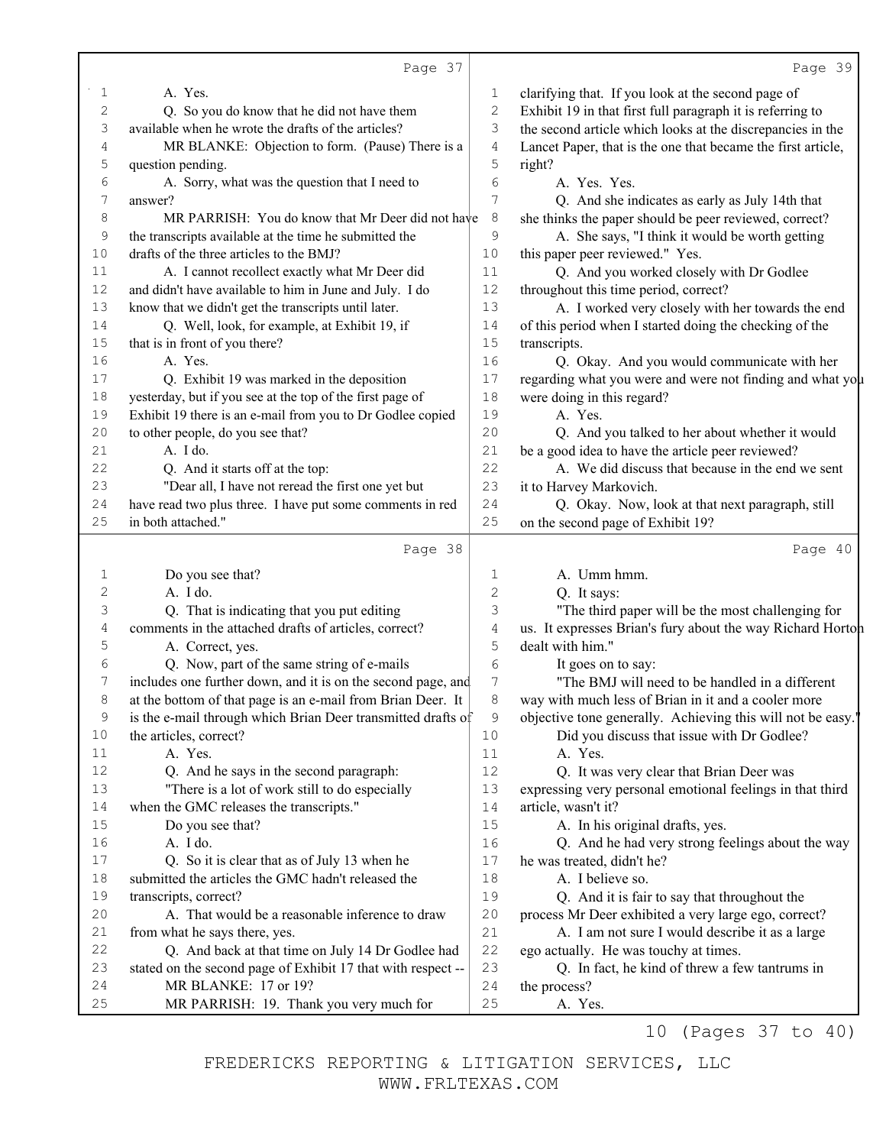|                  | Page 37                                                         |          | Page 39                                                      |
|------------------|-----------------------------------------------------------------|----------|--------------------------------------------------------------|
| 1                | A. Yes.                                                         | 1        | clarifying that. If you look at the second page of           |
| $\mathbf{2}$     | Q. So you do know that he did not have them                     | 2        | Exhibit 19 in that first full paragraph it is referring to   |
| 3                | available when he wrote the drafts of the articles?             | 3        | the second article which looks at the discrepancies in the   |
| 4                | MR BLANKE: Objection to form. (Pause) There is a                | 4        | Lancet Paper, that is the one that became the first article, |
| 5                | question pending.                                               | 5        | right?                                                       |
| 6                | A. Sorry, what was the question that I need to                  | 6        | A. Yes. Yes.                                                 |
| 7                | answer?                                                         | 7        | Q. And she indicates as early as July 14th that              |
| 8                | MR PARRISH: You do know that Mr Deer did not have               | 8        | she thinks the paper should be peer reviewed, correct?       |
| 9                | the transcripts available at the time he submitted the          | 9        | A. She says, "I think it would be worth getting              |
| 10               | drafts of the three articles to the BMJ?                        | 10       | this paper peer reviewed." Yes.                              |
| 11               | A. I cannot recollect exactly what Mr Deer did                  | 11       | Q. And you worked closely with Dr Godlee                     |
| 12               | and didn't have available to him in June and July. I do         | 12       | throughout this time period, correct?                        |
| 13               | know that we didn't get the transcripts until later.            | 13       | A. I worked very closely with her towards the end            |
| 14               | Q. Well, look, for example, at Exhibit 19, if                   | 14       | of this period when I started doing the checking of the      |
| 15               | that is in front of you there?                                  | 15       | transcripts.                                                 |
| 16               | A. Yes.                                                         | 16       | Q. Okay. And you would communicate with her                  |
| 17               | Q. Exhibit 19 was marked in the deposition                      | 17       | regarding what you were and were not finding and what you    |
| 18               | yesterday, but if you see at the top of the first page of       | 18       | were doing in this regard?                                   |
| 19               | Exhibit 19 there is an e-mail from you to Dr Godlee copied      | 19       | A. Yes.                                                      |
| 20               | to other people, do you see that?                               | 20       | Q. And you talked to her about whether it would              |
| 21               | A. I do.                                                        | 21       | be a good idea to have the article peer reviewed?            |
| 22               | Q. And it starts off at the top:                                | 22       | A. We did discuss that because in the end we sent            |
| 23               | "Dear all, I have not reread the first one yet but              | 23       | it to Harvey Markovich.                                      |
| 24               | have read two plus three. I have put some comments in red       | 24       | Q. Okay. Now, look at that next paragraph, still             |
| 25               | in both attached."                                              | 25       | on the second page of Exhibit 19?                            |
|                  | Page 38                                                         |          | Page 40                                                      |
| 1                | Do you see that?                                                | 1        | A. Umm hmm.                                                  |
| 2                | A. I do.                                                        | 2        | Q. It says:                                                  |
| 3                | Q. That is indicating that you put editing                      | 3        | "The third paper will be the most challenging for            |
| $\overline{4}$   | comments in the attached drafts of articles, correct?           | 4        | us. It expresses Brian's fury about the way Richard Horton   |
| 5                | A. Correct, yes.                                                | 5        | dealt with him."                                             |
| 6                | Q. Now, part of the same string of e-mails                      | 6        | It goes on to say:                                           |
| $\boldsymbol{7}$ | includes one further down, and it is on the second page, and    | 7        | "The BMJ will need to be handled in a different              |
| 8                | at the bottom of that page is an e-mail from Brian Deer. It     | 8        | way with much less of Brian in it and a cooler more          |
| 9                | is the e-mail through which Brian Deer transmitted drafts of    | 9        | objective tone generally. Achieving this will not be easy.'  |
| 10               | the articles, correct?                                          | $10$     | Did you discuss that issue with Dr Godlee?                   |
| 11               | A. Yes.                                                         | 11       | A. Yes.                                                      |
| 12               | Q. And he says in the second paragraph:                         | 12       | Q. It was very clear that Brian Deer was                     |
| 13               | "There is a lot of work still to do especially                  | 13       | expressing very personal emotional feelings in that third    |
| 14               | when the GMC releases the transcripts."                         | 14       | article, wasn't it?                                          |
| 15               | Do you see that?                                                | 15       | A. In his original drafts, yes.                              |
| 16               | A. I do.                                                        | 16       | Q. And he had very strong feelings about the way             |
| 17               | Q. So it is clear that as of July 13 when he                    | 17       | he was treated, didn't he?                                   |
| $1\,8$           | submitted the articles the GMC hadn't released the              | 18       | A. I believe so.                                             |
| 19               | transcripts, correct?                                           | 19       | Q. And it is fair to say that throughout the                 |
| 20               | A. That would be a reasonable inference to draw                 | 20       | process Mr Deer exhibited a very large ego, correct?         |
| 21               | from what he says there, yes.                                   | 21       | A. I am not sure I would describe it as a large              |
| 22               | Q. And back at that time on July 14 Dr Godlee had               | 22       | ego actually. He was touchy at times.                        |
| 23               | stated on the second page of Exhibit 17 that with respect --    | 23       | Q. In fact, he kind of threw a few tantrums in               |
|                  |                                                                 |          |                                                              |
| 24<br>25         | MR BLANKE: 17 or 19?<br>MR PARRISH: 19. Thank you very much for | 24<br>25 | the process?<br>A. Yes.                                      |

10 (Pages 37 to 40)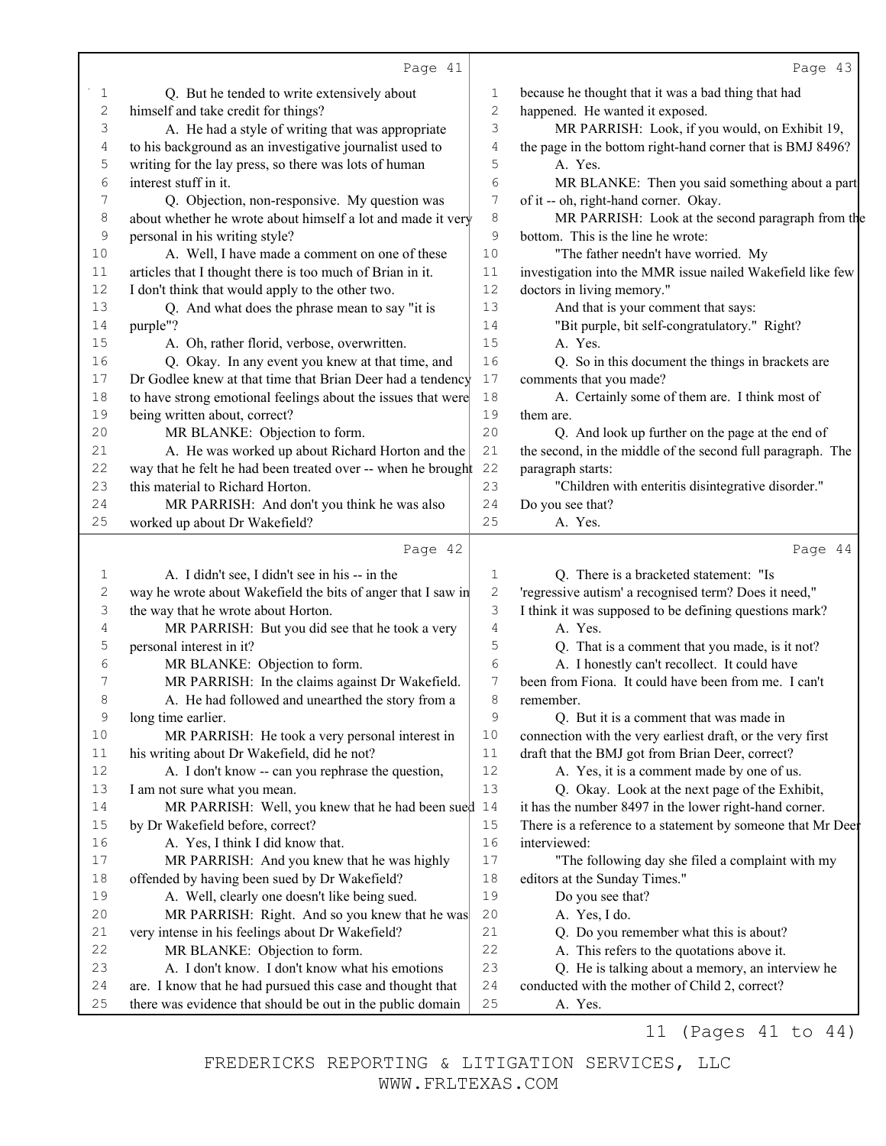|                                      | Page 41                                                      |                  | Page 43                                                     |
|--------------------------------------|--------------------------------------------------------------|------------------|-------------------------------------------------------------|
| 1                                    | Q. But he tended to write extensively about                  | 1                | because he thought that it was a bad thing that had         |
| $\mathfrak{2}% _{G}(\mathbb{Z}_{+})$ | himself and take credit for things?                          | $\overline{c}$   | happened. He wanted it exposed.                             |
| 3                                    | A. He had a style of writing that was appropriate            | $\mathsf 3$      | MR PARRISH: Look, if you would, on Exhibit 19,              |
| 4                                    | to his background as an investigative journalist used to     | $\overline{4}$   | the page in the bottom right-hand corner that is BMJ 8496?  |
| 5                                    | writing for the lay press, so there was lots of human        | 5                | A. Yes.                                                     |
| 6                                    | interest stuff in it.                                        | 6                | MR BLANKE: Then you said something about a part             |
| 7                                    | Q. Objection, non-responsive. My question was                | $\boldsymbol{7}$ | of it -- oh, right-hand corner. Okay.                       |
| $\,8\,$                              | about whether he wrote about himself a lot and made it very  | 8                | MR PARRISH: Look at the second paragraph from the           |
| 9                                    | personal in his writing style?                               | $\mathcal{G}$    | bottom. This is the line he wrote:                          |
| 10                                   | A. Well, I have made a comment on one of these               | 10               | "The father needn't have worried. My                        |
| $11\,$                               | articles that I thought there is too much of Brian in it.    | 11               | investigation into the MMR issue nailed Wakefield like few  |
| 12                                   | I don't think that would apply to the other two.             | 12               | doctors in living memory."                                  |
| 13                                   | Q. And what does the phrase mean to say "it is               | 13               | And that is your comment that says:                         |
| 14                                   | purple"?                                                     | 14               | "Bit purple, bit self-congratulatory." Right?               |
| 15                                   | A. Oh, rather florid, verbose, overwritten.                  | 15               | A. Yes.                                                     |
| 16                                   | Q. Okay. In any event you knew at that time, and             | 16               | Q. So in this document the things in brackets are           |
| 17                                   | Dr Godlee knew at that time that Brian Deer had a tendency   | 17               | comments that you made?                                     |
| 18                                   | to have strong emotional feelings about the issues that were | 18               | A. Certainly some of them are. I think most of              |
| 19                                   | being written about, correct?                                | 19               | them are.                                                   |
| 20                                   | MR BLANKE: Objection to form.                                | 20               | Q. And look up further on the page at the end of            |
| 21                                   | A. He was worked up about Richard Horton and the             | 21               | the second, in the middle of the second full paragraph. The |
| 22                                   | way that he felt he had been treated over -- when he brought | 22               | paragraph starts:                                           |
| 23                                   | this material to Richard Horton.                             | 23               | "Children with enteritis disintegrative disorder."          |
| 24                                   | MR PARRISH: And don't you think he was also                  | 24               | Do you see that?                                            |
| 25                                   | worked up about Dr Wakefield?                                | 25               | A. Yes.                                                     |
|                                      | Page 42                                                      |                  | Page 44                                                     |
| 1                                    | A. I didn't see, I didn't see in his -- in the               | $\mathbf 1$      | Q. There is a bracketed statement: "Is                      |
| $\sqrt{2}$                           | way he wrote about Wakefield the bits of anger that I saw in | $\mathbf{2}$     | 'regressive autism' a recognised term? Does it need,"       |
| 3                                    | the way that he wrote about Horton.                          | 3                | I think it was supposed to be defining questions mark?      |
| 4                                    | MR PARRISH: But you did see that he took a very              | $\overline{4}$   | A. Yes.                                                     |
| 5                                    | personal interest in it?                                     | 5                | Q. That is a comment that you made, is it not?              |
| 6                                    | MR BLANKE: Objection to form.                                | 6                | A. I honestly can't recollect. It could have                |
| 7                                    | MR PARRISH: In the claims against Dr Wakefield.              | $\sqrt{ }$       | been from Fiona. It could have been from me. I can't        |
| 8                                    | A. He had followed and unearthed the story from a            | 8                | remember.                                                   |
| $\mathsf 9$                          | long time earlier.                                           | 9                | Q. But it is a comment that was made in                     |
| 10                                   | MR PARRISH: He took a very personal interest in              | 10               | connection with the very earliest draft, or the very first  |
| 11                                   | his writing about Dr Wakefield, did he not?                  | 11               | draft that the BMJ got from Brian Deer, correct?            |
| $12$                                 | A. I don't know -- can you rephrase the question,            | 12               | A. Yes, it is a comment made by one of us.                  |
| 13                                   | I am not sure what you mean.                                 | 13               | Q. Okay. Look at the next page of the Exhibit,              |
| 14                                   | MR PARRISH: Well, you knew that he had been sued 14          |                  | it has the number 8497 in the lower right-hand corner.      |
| 15                                   | by Dr Wakefield before, correct?                             | 15               | There is a reference to a statement by someone that Mr Deer |
| 16                                   | A. Yes, I think I did know that.                             | 16               | interviewed:                                                |
| 17                                   | MR PARRISH: And you knew that he was highly                  | 17               | "The following day she filed a complaint with my            |
| $1\,8$                               | offended by having been sued by Dr Wakefield?                | 18               | editors at the Sunday Times."                               |
| 19                                   | A. Well, clearly one doesn't like being sued.                | 19               | Do you see that?                                            |
| 20                                   | MR PARRISH: Right. And so you knew that he was               | 20               | A. Yes, I do.                                               |
| 21                                   | very intense in his feelings about Dr Wakefield?             | 21               | Q. Do you remember what this is about?                      |
| 22                                   | MR BLANKE: Objection to form.                                | 22               | A. This refers to the quotations above it.                  |
| 23                                   |                                                              | 23               | Q. He is talking about a memory, an interview he            |
|                                      | A. I don't know. I don't know what his emotions              |                  |                                                             |
| 24                                   | are. I know that he had pursued this case and thought that   | 24               | conducted with the mother of Child 2, correct?              |
| 25                                   | there was evidence that should be out in the public domain   | 25               | A. Yes.                                                     |

11 (Pages 41 to 44)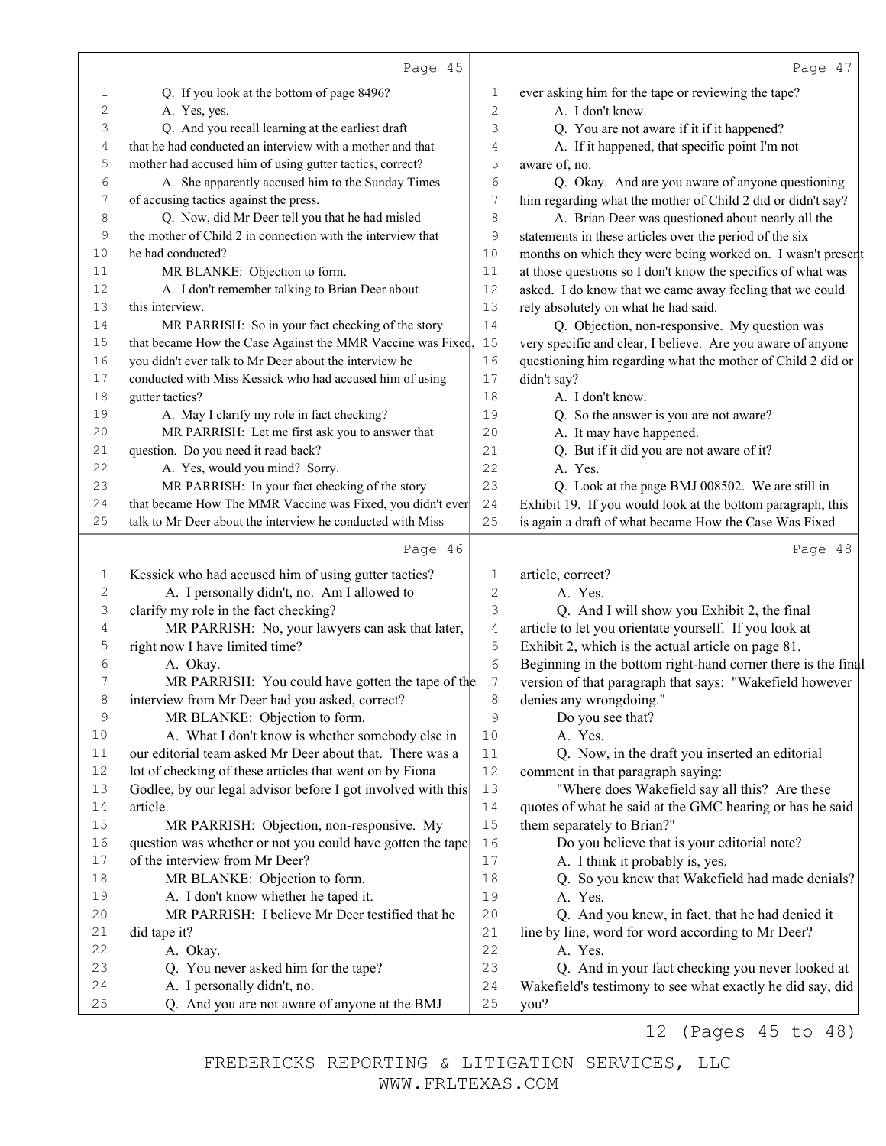|                                      | Page 45                                                                      |          | Page 47                                                           |
|--------------------------------------|------------------------------------------------------------------------------|----------|-------------------------------------------------------------------|
| 1                                    | Q. If you look at the bottom of page 8496?                                   | 1        | ever asking him for the tape or reviewing the tape?               |
| $\sqrt{2}$                           | A. Yes, yes.                                                                 | 2        | A. I don't know.                                                  |
| 3                                    | Q. And you recall learning at the earliest draft                             | 3        | Q. You are not aware if it if it happened?                        |
| 4                                    | that he had conducted an interview with a mother and that                    | 4        | A. If it happened, that specific point I'm not                    |
| 5                                    | mother had accused him of using gutter tactics, correct?                     | 5        | aware of, no.                                                     |
| 6                                    | A. She apparently accused him to the Sunday Times                            | 6        | Q. Okay. And are you aware of anyone questioning                  |
| 7                                    | of accusing tactics against the press.                                       | 7        | him regarding what the mother of Child 2 did or didn't say?       |
| 8                                    | Q. Now, did Mr Deer tell you that he had misled                              | 8        | A. Brian Deer was questioned about nearly all the                 |
| 9                                    | the mother of Child 2 in connection with the interview that                  | 9        | statements in these articles over the period of the six           |
| 10                                   | he had conducted?                                                            | 10       | months on which they were being worked on. I wasn't present       |
| 11                                   | MR BLANKE: Objection to form.                                                | 11       | at those questions so I don't know the specifics of what was      |
| 12                                   | A. I don't remember talking to Brian Deer about                              | 12       | asked. I do know that we came away feeling that we could          |
| 13                                   | this interview.                                                              | 13       | rely absolutely on what he had said.                              |
| 14                                   | MR PARRISH: So in your fact checking of the story                            | 14       | Q. Objection, non-responsive. My question was                     |
| 15                                   | that became How the Case Against the MMR Vaccine was Fixed,                  | 15       | very specific and clear, I believe. Are you aware of anyone       |
| 16                                   | you didn't ever talk to Mr Deer about the interview he                       | 16       | questioning him regarding what the mother of Child 2 did or       |
| 17                                   | conducted with Miss Kessick who had accused him of using                     | 17       | didn't say?                                                       |
| 18                                   | gutter tactics?                                                              | 18       | A. I don't know.                                                  |
| 19                                   | A. May I clarify my role in fact checking?                                   | 19       | Q. So the answer is you are not aware?                            |
| 20                                   | MR PARRISH: Let me first ask you to answer that                              | 20       | A. It may have happened.                                          |
| 21                                   | question. Do you need it read back?                                          | 21       | Q. But if it did you are not aware of it?                         |
| 22                                   | A. Yes, would you mind? Sorry.                                               | 22       | A. Yes.                                                           |
| 23                                   | MR PARRISH: In your fact checking of the story                               | 23       | Q. Look at the page BMJ 008502. We are still in                   |
| 24                                   | that became How The MMR Vaccine was Fixed, you didn't ever                   | 24       | Exhibit 19. If you would look at the bottom paragraph, this       |
| 25                                   | talk to Mr Deer about the interview he conducted with Miss                   | 25       | is again a draft of what became How the Case Was Fixed            |
|                                      | Page 46                                                                      |          | Page 48                                                           |
|                                      |                                                                              |          |                                                                   |
| 1                                    | Kessick who had accused him of using gutter tactics?                         | 1        | article, correct?                                                 |
| $\mathfrak{2}% _{G}(\mathbb{Z}_{+})$ | A. I personally didn't, no. Am I allowed to                                  | 2        | A. Yes.                                                           |
| 3                                    | clarify my role in the fact checking?                                        | 3        | Q. And I will show you Exhibit 2, the final                       |
| 4                                    | MR PARRISH: No, your lawyers can ask that later,                             | 4        | article to let you orientate yourself. If you look at             |
| 5                                    | right now I have limited time?                                               | 5        | Exhibit 2, which is the actual article on page 81.                |
| 6                                    | A. Okay.                                                                     | 6        | Beginning in the bottom right-hand corner there is the final      |
| 7                                    | MR PARRISH: You could have gotten the tape of the                            | 7        | version of that paragraph that says: "Wakefield however           |
| 8                                    | interview from Mr Deer had you asked, correct?                               | 8        | denies any wrongdoing."                                           |
| 9                                    | MR BLANKE: Objection to form.                                                | 9        | Do you see that?                                                  |
| 10                                   | A. What I don't know is whether somebody else in                             | 10       | A. Yes.                                                           |
| 11                                   | our editorial team asked Mr Deer about that. There was a                     | 11       | Q. Now, in the draft you inserted an editorial                    |
| 12                                   | lot of checking of these articles that went on by Fiona                      | $12$     | comment in that paragraph saying:                                 |
| 13                                   | Godlee, by our legal advisor before I got involved with this                 | 13       | "Where does Wakefield say all this? Are these                     |
| 14                                   | article.                                                                     | 14       | quotes of what he said at the GMC hearing or has he said          |
| 15                                   | MR PARRISH: Objection, non-responsive. My                                    | 15       | them separately to Brian?"                                        |
| 16                                   | question was whether or not you could have gotten the tape                   | 16       | Do you believe that is your editorial note?                       |
| 17                                   | of the interview from Mr Deer?                                               | $17$     | A. I think it probably is, yes.                                   |
| 18                                   | MR BLANKE: Objection to form.                                                | 18       | Q. So you knew that Wakefield had made denials?                   |
| 19                                   | A. I don't know whether he taped it.                                         | 19       | A. Yes.                                                           |
| 20                                   | MR PARRISH: I believe Mr Deer testified that he                              | 20       | Q. And you knew, in fact, that he had denied it                   |
| 21                                   | did tape it?                                                                 | 21       | line by line, word for word according to Mr Deer?                 |
| 22                                   | A. Okay.                                                                     | 22       | A. Yes.                                                           |
| 23                                   | Q. You never asked him for the tape?                                         | 23       | Q. And in your fact checking you never looked at                  |
| 24<br>25                             | A. I personally didn't, no.<br>Q. And you are not aware of anyone at the BMJ | 24<br>25 | Wakefield's testimony to see what exactly he did say, did<br>you? |

12 (Pages 45 to 48)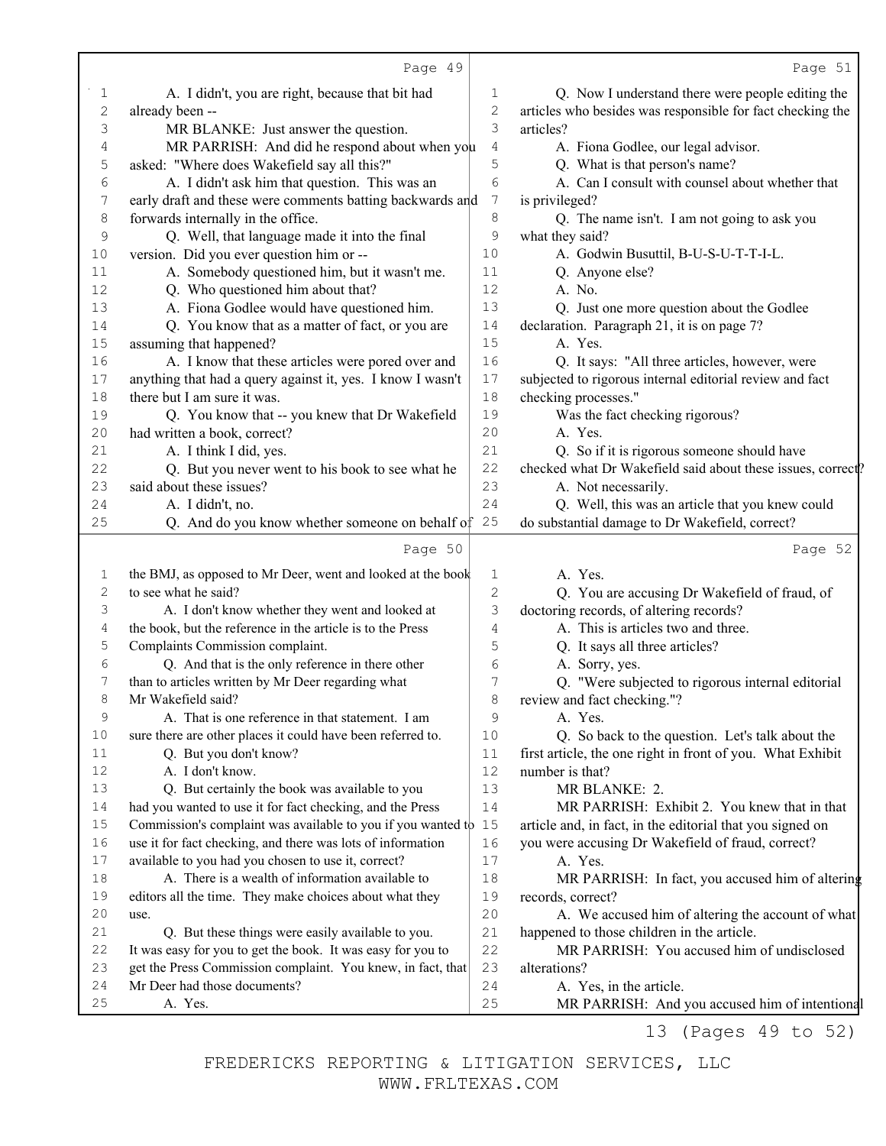|             | Page 49                                                      |                | Page 51                                                                   |
|-------------|--------------------------------------------------------------|----------------|---------------------------------------------------------------------------|
| 1           | A. I didn't, you are right, because that bit had             | 1              | Q. Now I understand there were people editing the                         |
| $\mathbf 2$ | already been --                                              | 2              | articles who besides was responsible for fact checking the                |
| 3           | MR BLANKE: Just answer the question.                         | 3              | articles?                                                                 |
| 4           | MR PARRISH: And did he respond about when you                | 4              | A. Fiona Godlee, our legal advisor.                                       |
| 5           | asked: "Where does Wakefield say all this?"                  | 5              | Q. What is that person's name?                                            |
| 6           | A. I didn't ask him that question. This was an               | 6              | A. Can I consult with counsel about whether that                          |
| 7           | early draft and these were comments batting backwards and    | 7              | is privileged?                                                            |
| 8           | forwards internally in the office.                           | 8              | Q. The name isn't. I am not going to ask you                              |
| 9           | Q. Well, that language made it into the final                | 9              | what they said?                                                           |
| 10          | version. Did you ever question him or --                     | 10             | A. Godwin Busuttil, B-U-S-U-T-T-I-L.                                      |
| 11          | A. Somebody questioned him, but it wasn't me.                | 11             | Q. Anyone else?                                                           |
| 12          | Q. Who questioned him about that?                            | 12             | A. No.                                                                    |
| 13          | A. Fiona Godlee would have questioned him.                   | 13             | Q. Just one more question about the Godlee                                |
| 14          | Q. You know that as a matter of fact, or you are             | 14             | declaration. Paragraph 21, it is on page 7?                               |
| 15          | assuming that happened?                                      | 15             | A. Yes.                                                                   |
| 16          | A. I know that these articles were pored over and            | 16             | Q. It says: "All three articles, however, were                            |
| 17          | anything that had a query against it, yes. I know I wasn't   | 17             | subjected to rigorous internal editorial review and fact                  |
| 18          | there but I am sure it was.                                  | 18             | checking processes."                                                      |
| 19          | Q. You know that -- you knew that Dr Wakefield               | 19             | Was the fact checking rigorous?                                           |
| 20          | had written a book, correct?                                 | 20             | A. Yes.                                                                   |
| 21          | A. I think I did, yes.                                       | 21             | Q. So if it is rigorous someone should have                               |
| 22          | Q. But you never went to his book to see what he             | 22             | checked what Dr Wakefield said about these issues, correct?               |
| 23          | said about these issues?                                     | 23             | A. Not necessarily.                                                       |
| 24          | A. I didn't, no.                                             | 24             | Q. Well, this was an article that you knew could                          |
| 25          | Q. And do you know whether someone on behalf of              | 25             | do substantial damage to Dr Wakefield, correct?                           |
|             | Page 50                                                      |                | Page 52                                                                   |
| 1           | the BMJ, as opposed to Mr Deer, went and looked at the book  | 1              | A. Yes.                                                                   |
| 2           | to see what he said?                                         | $\overline{c}$ | Q. You are accusing Dr Wakefield of fraud, of                             |
| 3           | A. I don't know whether they went and looked at              | 3              | doctoring records, of altering records?                                   |
| 4           | the book, but the reference in the article is to the Press   | 4              | A. This is articles two and three.                                        |
| 5           | Complaints Commission complaint.                             | 5              | Q. It says all three articles?                                            |
| 6           | Q. And that is the only reference in there other             | 6              | A. Sorry, yes.                                                            |
| 7           | than to articles written by Mr Deer regarding what           | 7              | Q. "Were subjected to rigorous internal editorial                         |
| 8           | Mr Wakefield said?                                           | 8              | review and fact checking."?                                               |
| 9           | A. That is one reference in that statement. I am             | 9              | A. Yes.                                                                   |
| 10          | sure there are other places it could have been referred to.  | 10             | Q. So back to the question. Let's talk about the                          |
| 11          | Q. But you don't know?                                       | 11             | first article, the one right in front of you. What Exhibit                |
| 12          | A. I don't know.                                             | 12             | number is that?                                                           |
| 13          | Q. But certainly the book was available to you               | 13             | MR BLANKE: 2.                                                             |
| 14          | had you wanted to use it for fact checking, and the Press    | 14             | MR PARRISH: Exhibit 2. You knew that in that                              |
| $15$        | Commission's complaint was available to you if you wanted to | 15             | article and, in fact, in the editorial that you signed on                 |
| 16          | use it for fact checking, and there was lots of information  | 16             | you were accusing Dr Wakefield of fraud, correct?                         |
| 17          | available to you had you chosen to use it, correct?          | 17             | A. Yes.                                                                   |
| 18          | A. There is a wealth of information available to             | 18             | MR PARRISH: In fact, you accused him of altering                          |
| 19          | editors all the time. They make choices about what they      | 19             | records, correct?                                                         |
| 20          | use.                                                         | 20             | A. We accused him of altering the account of what                         |
| 21          | Q. But these things were easily available to you.            | 21             | happened to those children in the article.                                |
| 22          | It was easy for you to get the book. It was easy for you to  | 22             | MR PARRISH: You accused him of undisclosed                                |
| 23          | get the Press Commission complaint. You knew, in fact, that  | 23             | alterations?                                                              |
| 24          |                                                              |                |                                                                           |
| 25          | Mr Deer had those documents?<br>A. Yes.                      | 24<br>25       | A. Yes, in the article.<br>MR PARRISH: And you accused him of intentional |

13 (Pages 49 to 52)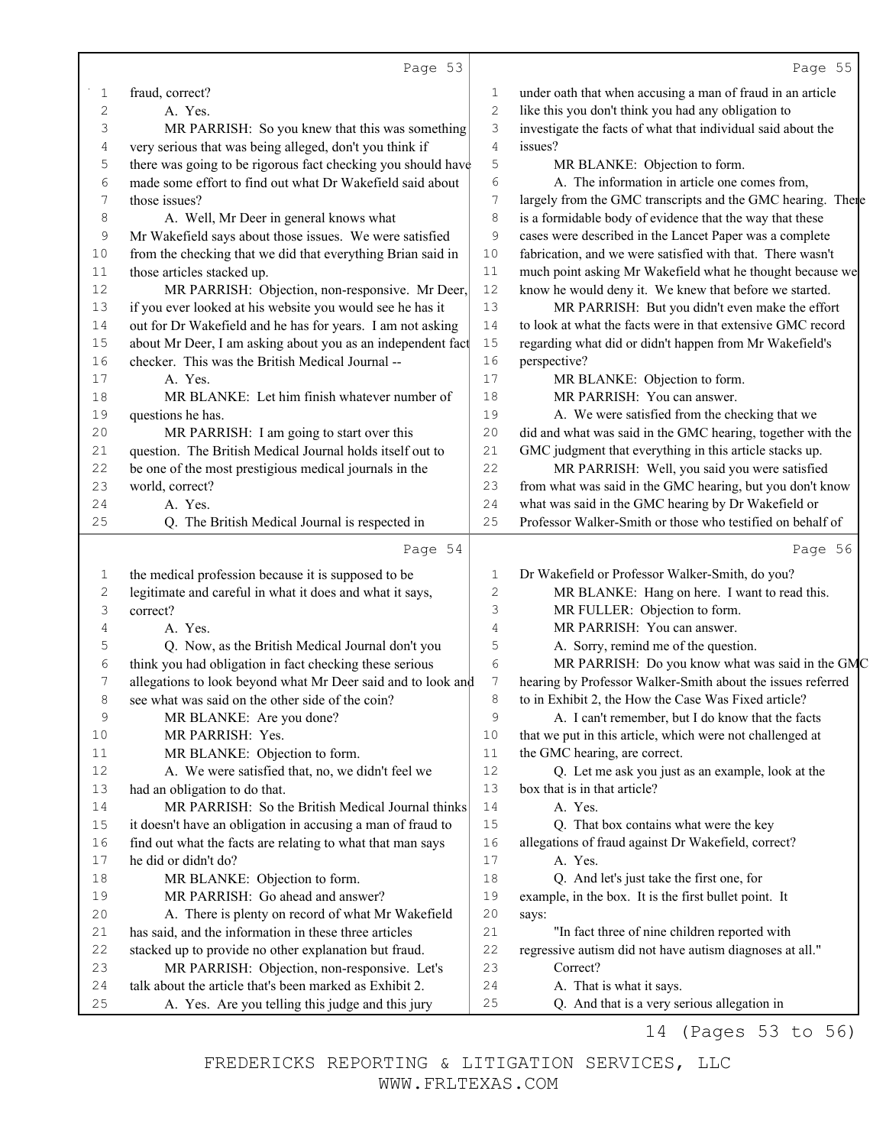|             | Page 53                                                                                                         |             | Page 55                                                                                          |
|-------------|-----------------------------------------------------------------------------------------------------------------|-------------|--------------------------------------------------------------------------------------------------|
| 1           | fraud, correct?                                                                                                 | 1           | under oath that when accusing a man of fraud in an article                                       |
| $\mathbf 2$ | A. Yes.                                                                                                         | 2           | like this you don't think you had any obligation to                                              |
| 3           | MR PARRISH: So you knew that this was something                                                                 | 3           | investigate the facts of what that individual said about the                                     |
| 4           | very serious that was being alleged, don't you think if                                                         | 4           | issues?                                                                                          |
| 5           | there was going to be rigorous fact checking you should have                                                    | 5           | MR BLANKE: Objection to form.                                                                    |
| 6           | made some effort to find out what Dr Wakefield said about                                                       | 6           | A. The information in article one comes from,                                                    |
| 7           | those issues?                                                                                                   | 7           | largely from the GMC transcripts and the GMC hearing. There                                      |
| 8           | A. Well, Mr Deer in general knows what                                                                          | 8           | is a formidable body of evidence that the way that these                                         |
| 9           | Mr Wakefield says about those issues. We were satisfied                                                         | 9           | cases were described in the Lancet Paper was a complete                                          |
| 10          | from the checking that we did that everything Brian said in                                                     | 10          | fabrication, and we were satisfied with that. There wasn't                                       |
| $11\,$      | those articles stacked up.                                                                                      | 11          | much point asking Mr Wakefield what he thought because we                                        |
| 12          | MR PARRISH: Objection, non-responsive. Mr Deer,                                                                 | 12          | know he would deny it. We knew that before we started.                                           |
| 13          | if you ever looked at his website you would see he has it                                                       | 13          | MR PARRISH: But you didn't even make the effort                                                  |
| 14          | out for Dr Wakefield and he has for years. I am not asking                                                      | 14          | to look at what the facts were in that extensive GMC record                                      |
| 15          | about Mr Deer, I am asking about you as an independent fact                                                     | 15          | regarding what did or didn't happen from Mr Wakefield's                                          |
| 16          | checker. This was the British Medical Journal --                                                                | 16          | perspective?                                                                                     |
| 17          | A. Yes.                                                                                                         | 17          | MR BLANKE: Objection to form.                                                                    |
| 18          | MR BLANKE: Let him finish whatever number of                                                                    | 18          | MR PARRISH: You can answer.                                                                      |
| 19          | questions he has.                                                                                               | 19          | A. We were satisfied from the checking that we                                                   |
| 20          | MR PARRISH: I am going to start over this                                                                       | 20          | did and what was said in the GMC hearing, together with the                                      |
| 21          | question. The British Medical Journal holds itself out to                                                       | 21          | GMC judgment that everything in this article stacks up.                                          |
| 22          | be one of the most prestigious medical journals in the                                                          | 22          | MR PARRISH: Well, you said you were satisfied                                                    |
| 23          | world, correct?                                                                                                 | 23          | from what was said in the GMC hearing, but you don't know                                        |
| 24          | A. Yes.                                                                                                         | 24          | what was said in the GMC hearing by Dr Wakefield or                                              |
| 25          | Q. The British Medical Journal is respected in                                                                  | 25          | Professor Walker-Smith or those who testified on behalf of                                       |
|             | Page 54                                                                                                         |             | Page 56                                                                                          |
|             |                                                                                                                 |             |                                                                                                  |
| 1<br>2      | the medical profession because it is supposed to be<br>legitimate and careful in what it does and what it says, | 1<br>2      | Dr Wakefield or Professor Walker-Smith, do you?<br>MR BLANKE: Hang on here. I want to read this. |
| 3           | correct?                                                                                                        | 3           | MR FULLER: Objection to form.                                                                    |
| 4           | A. Yes.                                                                                                         | 4           | MR PARRISH: You can answer.                                                                      |
| 5           | Q. Now, as the British Medical Journal don't you                                                                | 5           | A. Sorry, remind me of the question.                                                             |
| 6           | think you had obligation in fact checking these serious                                                         | 6           | MR PARRISH: Do you know what was said in the GMC                                                 |
| 7           | allegations to look beyond what Mr Deer said and to look and                                                    | 7           | hearing by Professor Walker-Smith about the issues referred                                      |
| 8           | see what was said on the other side of the coin?                                                                | 8           | to in Exhibit 2, the How the Case Was Fixed article?                                             |
| $\mathsf 9$ | MR BLANKE: Are you done?                                                                                        | 9           | A. I can't remember, but I do know that the facts                                                |
| $10$        | MR PARRISH: Yes.                                                                                                | 10          | that we put in this article, which were not challenged at                                        |
| 11          | MR BLANKE: Objection to form.                                                                                   | 11          | the GMC hearing, are correct.                                                                    |
| $12$        | A. We were satisfied that, no, we didn't feel we                                                                | 12          | Q. Let me ask you just as an example, look at the                                                |
| 13          | had an obligation to do that.                                                                                   | 13          | box that is in that article?                                                                     |
| 14          | MR PARRISH: So the British Medical Journal thinks                                                               | 14          | A. Yes.                                                                                          |
| $15\,$      | it doesn't have an obligation in accusing a man of fraud to                                                     | 15          | Q. That box contains what were the key                                                           |
| 16          | find out what the facts are relating to what that man says                                                      | 16          | allegations of fraud against Dr Wakefield, correct?                                              |
| 17          | he did or didn't do?                                                                                            | 17          | A. Yes.                                                                                          |
| 18          | MR BLANKE: Objection to form.                                                                                   | 18          | Q. And let's just take the first one, for                                                        |
| 19          | MR PARRISH: Go ahead and answer?                                                                                | 19          | example, in the box. It is the first bullet point. It                                            |
| 20          | A. There is plenty on record of what Mr Wakefield                                                               | $20$        | says:                                                                                            |
| 21          | has said, and the information in these three articles                                                           | $2\sqrt{1}$ | "In fact three of nine children reported with                                                    |
| 22          | stacked up to provide no other explanation but fraud.                                                           | 22          | regressive autism did not have autism diagnoses at all."                                         |
| 23          | MR PARRISH: Objection, non-responsive. Let's                                                                    | 23          | Correct?                                                                                         |
| 24          | talk about the article that's been marked as Exhibit 2.                                                         | 24          | A. That is what it says.                                                                         |
| 25          |                                                                                                                 | 25          | Q. And that is a very serious allegation in                                                      |

14 (Pages 53 to 56)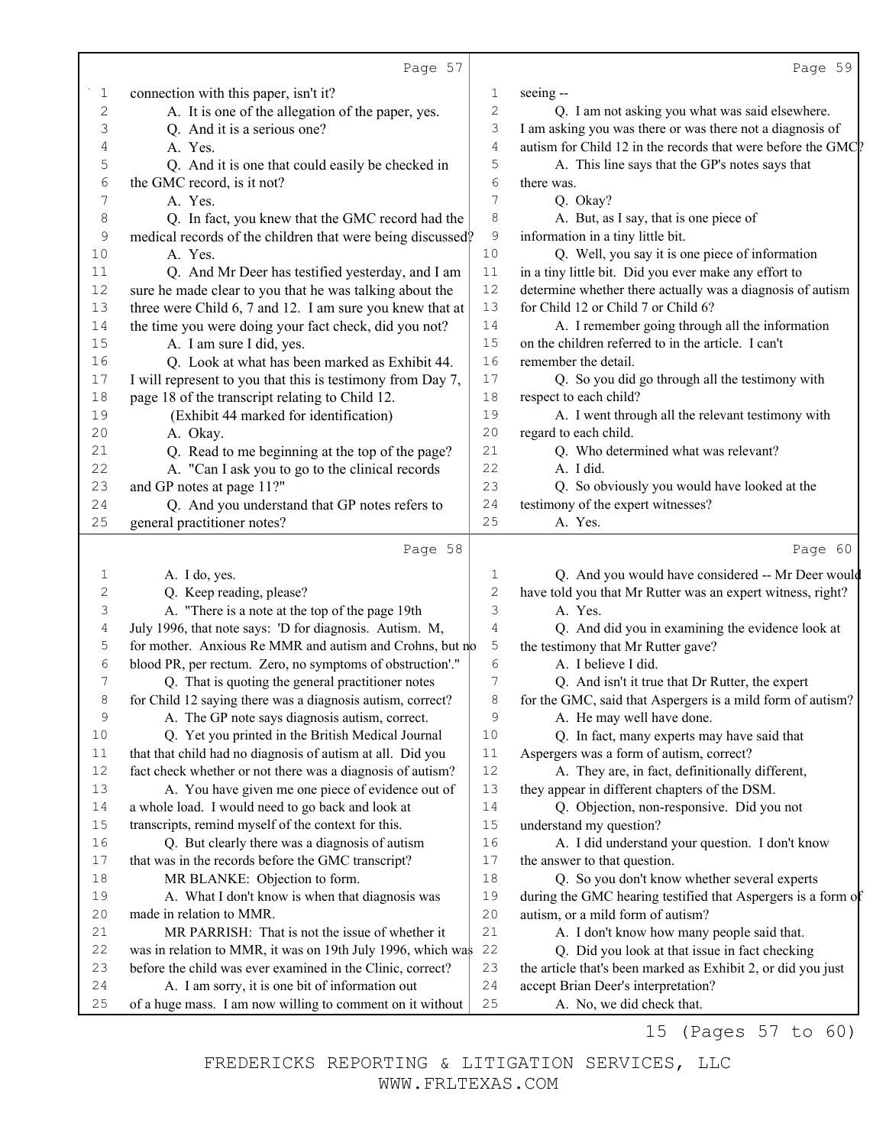|             | Page 57                                                     |              | Page 59                                                      |
|-------------|-------------------------------------------------------------|--------------|--------------------------------------------------------------|
| 1           | connection with this paper, isn't it?                       | $\mathbf 1$  | seeing --                                                    |
| $\sqrt{2}$  | A. It is one of the allegation of the paper, yes.           | $\mathbf{2}$ | Q. I am not asking you what was said elsewhere.              |
| 3           | Q. And it is a serious one?                                 | 3            | I am asking you was there or was there not a diagnosis of    |
| 4           | A. Yes.                                                     | 4            | autism for Child 12 in the records that were before the GMC? |
| 5           | Q. And it is one that could easily be checked in            | 5            | A. This line says that the GP's notes says that              |
| 6           | the GMC record, is it not?                                  | 6            | there was.                                                   |
| 7           | A. Yes.                                                     | 7            | Q. Okay?                                                     |
| 8           | Q. In fact, you knew that the GMC record had the            | 8            | A. But, as I say, that is one piece of                       |
| 9           | medical records of the children that were being discussed?  | $\mathsf 9$  | information in a tiny little bit.                            |
| 10          | A. Yes.                                                     | 10           | Q. Well, you say it is one piece of information              |
| 11          | Q. And Mr Deer has testified yesterday, and I am            | 11           | in a tiny little bit. Did you ever make any effort to        |
| 12          | sure he made clear to you that he was talking about the     | 12           | determine whether there actually was a diagnosis of autism   |
| 13          | three were Child 6, 7 and 12. I am sure you knew that at    | 13           | for Child 12 or Child 7 or Child 6?                          |
| 14          | the time you were doing your fact check, did you not?       | 14           | A. I remember going through all the information              |
| 15          | A. I am sure I did, yes.                                    | 15           | on the children referred to in the article. I can't          |
| 16          | Q. Look at what has been marked as Exhibit 44.              | 16           | remember the detail.                                         |
| 17          | I will represent to you that this is testimony from Day 7,  | 17           | Q. So you did go through all the testimony with              |
| 18          | page 18 of the transcript relating to Child 12.             | $18\,$       | respect to each child?                                       |
| 19          | (Exhibit 44 marked for identification)                      | 19           | A. I went through all the relevant testimony with            |
| 20          | A. Okay.                                                    | 20           | regard to each child.                                        |
| 21          | Q. Read to me beginning at the top of the page?             | 21           | Q. Who determined what was relevant?                         |
| 22          | A. "Can I ask you to go to the clinical records             | 22           | A. I did.                                                    |
| 23          | and GP notes at page 11?"                                   | 23           | Q. So obviously you would have looked at the                 |
| 24          | Q. And you understand that GP notes refers to               | 24           | testimony of the expert witnesses?                           |
| 25          | general practitioner notes?                                 | 25           | A. Yes.                                                      |
|             | Page 58                                                     |              | Page 60                                                      |
| 1           | A. I do, yes.                                               | 1            | Q. And you would have considered -- Mr Deer would            |
| $\mathbf 2$ | Q. Keep reading, please?                                    | $\sqrt{2}$   | have told you that Mr Rutter was an expert witness, right?   |
| 3           | A. "There is a note at the top of the page 19th             | 3            | A. Yes.                                                      |
| 4           | July 1996, that note says: 'D for diagnosis. Autism. M,     | 4            | Q. And did you in examining the evidence look at             |
| 5           | for mother. Anxious Re MMR and autism and Crohns, but no    | 5            | the testimony that Mr Rutter gave?                           |
| 6           | blood PR, per rectum. Zero, no symptoms of obstruction'."   | 6            | A. I believe I did.                                          |
| 7           | Q. That is quoting the general practitioner notes           | 7            | Q. And isn't it true that Dr Rutter, the expert              |
|             | for Child 12 saying there was a diagnosis autism, correct?  | 8            | for the GMC, said that Aspergers is a mild form of autism?   |
| 9           | A. The GP note says diagnosis autism, correct.              | 9            | A. He may well have done.                                    |
| 10          | Q. Yet you printed in the British Medical Journal           | 10           | Q. In fact, many experts may have said that                  |
| 11          | that that child had no diagnosis of autism at all. Did you  | 11           | Aspergers was a form of autism, correct?                     |
| 12          | fact check whether or not there was a diagnosis of autism?  | 12           | A. They are, in fact, definitionally different,              |
| 13          | A. You have given me one piece of evidence out of           | 13           | they appear in different chapters of the DSM.                |
| $1\,4$      | a whole load. I would need to go back and look at           | 14           | Q. Objection, non-responsive. Did you not                    |
| 15          | transcripts, remind myself of the context for this.         | 15           | understand my question?                                      |
| 16          | Q. But clearly there was a diagnosis of autism              | 16           | A. I did understand your question. I don't know              |
| 17          | that was in the records before the GMC transcript?          | $17$         | the answer to that question.                                 |
| 18          | MR BLANKE: Objection to form.                               | 18           | Q. So you don't know whether several experts                 |
| 19          | A. What I don't know is when that diagnosis was             | 19           | during the GMC hearing testified that Aspergers is a form of |
| 20          | made in relation to MMR.                                    | 20           | autism, or a mild form of autism?                            |
| 21          | MR PARRISH: That is not the issue of whether it             | 21           | A. I don't know how many people said that.                   |
| 22          | was in relation to MMR, it was on 19th July 1996, which was | 22           | Q. Did you look at that issue in fact checking               |
| 23          | before the child was ever examined in the Clinic, correct?  | 23           | the article that's been marked as Exhibit 2, or did you just |
| 24          | A. I am sorry, it is one bit of information out             | 24           | accept Brian Deer's interpretation?                          |
| $25$        | of a huge mass. I am now willing to comment on it without   | 25           | A. No, we did check that.                                    |

15 (Pages 57 to 60)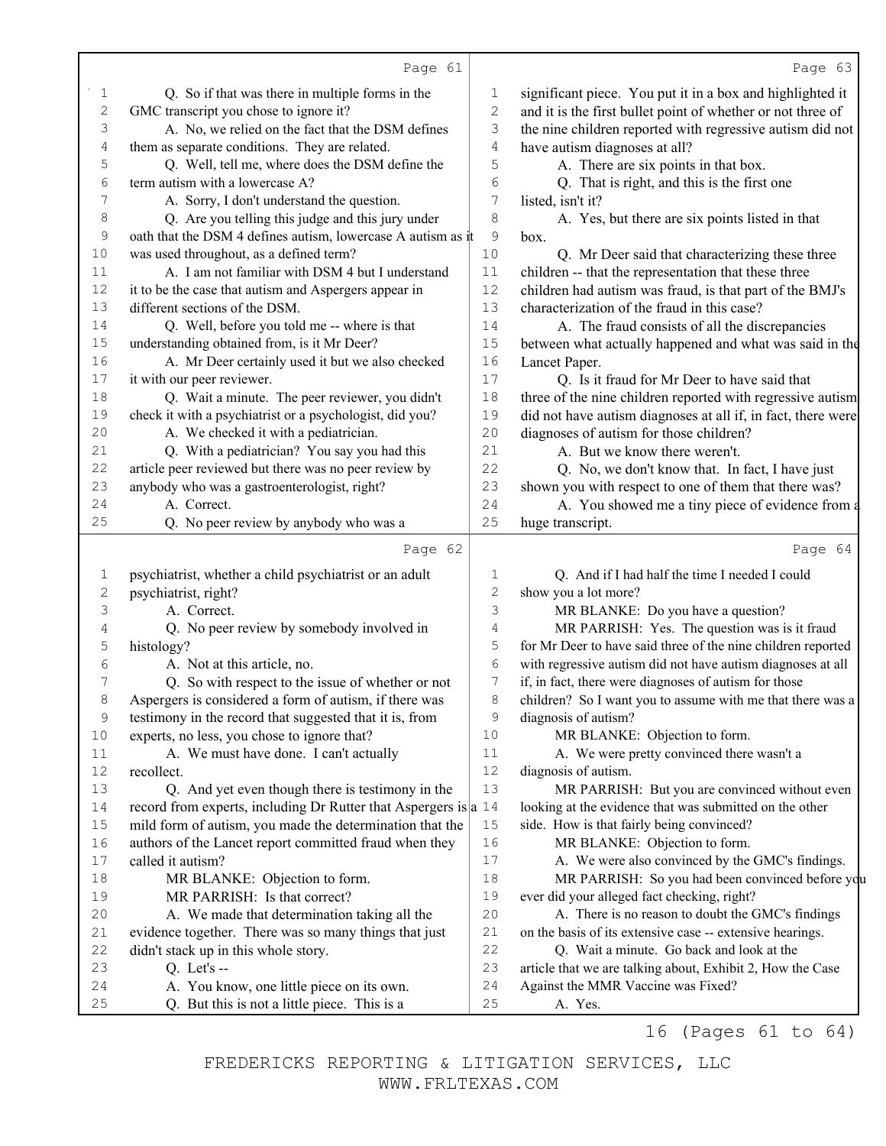|                | Page 61                                                                                   |                | Page 63                                                      |
|----------------|-------------------------------------------------------------------------------------------|----------------|--------------------------------------------------------------|
| 1              | Q. So if that was there in multiple forms in the                                          | 1              | significant piece. You put it in a box and highlighted it    |
| $\mathbf{2}$   | GMC transcript you chose to ignore it?                                                    | $\overline{2}$ | and it is the first bullet point of whether or not three of  |
| 3              | A. No, we relied on the fact that the DSM defines                                         | 3              | the nine children reported with regressive autism did not    |
| 4              | them as separate conditions. They are related.                                            | $\sqrt{4}$     | have autism diagnoses at all?                                |
| 5              | Q. Well, tell me, where does the DSM define the                                           | 5              | A. There are six points in that box.                         |
| 6              | term autism with a lowercase A?                                                           | 6              | Q. That is right, and this is the first one                  |
| 7              | A. Sorry, I don't understand the question.                                                | 7              | listed, isn't it?                                            |
| 8              | Q. Are you telling this judge and this jury under                                         | 8              | A. Yes, but there are six points listed in that              |
| $\mathsf 9$    | oath that the DSM 4 defines autism, lowercase A autism as it                              | 9              | box.                                                         |
| 10             | was used throughout, as a defined term?                                                   | 10             | Q. Mr Deer said that characterizing these three              |
| 11             | A. I am not familiar with DSM 4 but I understand                                          | $11$           | children -- that the representation that these three         |
| 12             | it to be the case that autism and Aspergers appear in                                     | 12             | children had autism was fraud, is that part of the BMJ's     |
| 13             | different sections of the DSM.                                                            | 13             | characterization of the fraud in this case?                  |
| 14             | Q. Well, before you told me -- where is that                                              | 14             | A. The fraud consists of all the discrepancies               |
| 15             | understanding obtained from, is it Mr Deer?                                               | $15$           | between what actually happened and what was said in the      |
| 16             | A. Mr Deer certainly used it but we also checked                                          | 16             | Lancet Paper.                                                |
| $17$           | it with our peer reviewer.                                                                | $17$           | Q. Is it fraud for Mr Deer to have said that                 |
| 18             | Q. Wait a minute. The peer reviewer, you didn't                                           | $18\,$         | three of the nine children reported with regressive autism   |
| 19             | check it with a psychiatrist or a psychologist, did you?                                  | 19             | did not have autism diagnoses at all if, in fact, there were |
| 20             | A. We checked it with a pediatrician.                                                     | 20             | diagnoses of autism for those children?                      |
| 21             | Q. With a pediatrician? You say you had this                                              | 21             | A. But we know there weren't.                                |
| 22             | article peer reviewed but there was no peer review by                                     | 22             | Q. No, we don't know that. In fact, I have just              |
| 23             | anybody who was a gastroenterologist, right?                                              | 23             | shown you with respect to one of them that there was?        |
| 24             | A. Correct.                                                                               | 24             | A. You showed me a tiny piece of evidence from a             |
| 25             | Q. No peer review by anybody who was a                                                    | 25             | huge transcript.                                             |
|                |                                                                                           |                |                                                              |
|                |                                                                                           |                |                                                              |
|                | Page 62                                                                                   |                | Page 64                                                      |
| 1              | psychiatrist, whether a child psychiatrist or an adult                                    | 1              | Q. And if I had half the time I needed I could               |
| $\overline{c}$ | psychiatrist, right?                                                                      | $\mathbf{2}$   | show you a lot more?                                         |
| 3              | A. Correct.                                                                               | 3              | MR BLANKE: Do you have a question?                           |
| 4              | Q. No peer review by somebody involved in                                                 | 4              | MR PARRISH: Yes. The question was is it fraud                |
| 5              | histology?                                                                                | 5              | for Mr Deer to have said three of the nine children reported |
| 6              | A. Not at this article, no.                                                               | 6              | with regressive autism did not have autism diagnoses at all  |
| 7              | Q. So with respect to the issue of whether or not                                         | 7              | if, in fact, there were diagnoses of autism for those        |
| 8              | Aspergers is considered a form of autism, if there was                                    | 8              | children? So I want you to assume with me that there was a   |
| $\mathsf 9$    | testimony in the record that suggested that it is, from                                   | 9              | diagnosis of autism?                                         |
| 10             | experts, no less, you chose to ignore that?                                               | $10$           | MR BLANKE: Objection to form.                                |
| 11             | A. We must have done. I can't actually                                                    | 11             | A. We were pretty convinced there wasn't a                   |
| 12             | recollect.                                                                                | 12             | diagnosis of autism.                                         |
| 13             | Q. And yet even though there is testimony in the                                          | 13             | MR PARRISH: But you are convinced without even               |
| 14             | record from experts, including Dr Rutter that Aspergers is $ a $ 14                       |                | looking at the evidence that was submitted on the other      |
| 15             | mild form of autism, you made the determination that the                                  | $15$           | side. How is that fairly being convinced?                    |
| 16             | authors of the Lancet report committed fraud when they                                    | 16             | MR BLANKE: Objection to form.                                |
| 17             | called it autism?                                                                         | 17             | A. We were also convinced by the GMC's findings.             |
| 18             | MR BLANKE: Objection to form.                                                             | 18             | MR PARRISH: So you had been convinced before you             |
| 19             | MR PARRISH: Is that correct?                                                              | 19             | ever did your alleged fact checking, right?                  |
| 20             | A. We made that determination taking all the                                              | 20             | A. There is no reason to doubt the GMC's findings            |
| 21             | evidence together. There was so many things that just                                     | 21             | on the basis of its extensive case -- extensive hearings.    |
| 22             | didn't stack up in this whole story.                                                      | 22             | Q. Wait a minute. Go back and look at the                    |
| 23             | Q. Let's $-$                                                                              | 23             | article that we are talking about, Exhibit 2, How the Case   |
| 24<br>$25$     | A. You know, one little piece on its own.<br>Q. But this is not a little piece. This is a | 24<br>$25$     | Against the MMR Vaccine was Fixed?<br>A. Yes.                |

16 (Pages 61 to 64)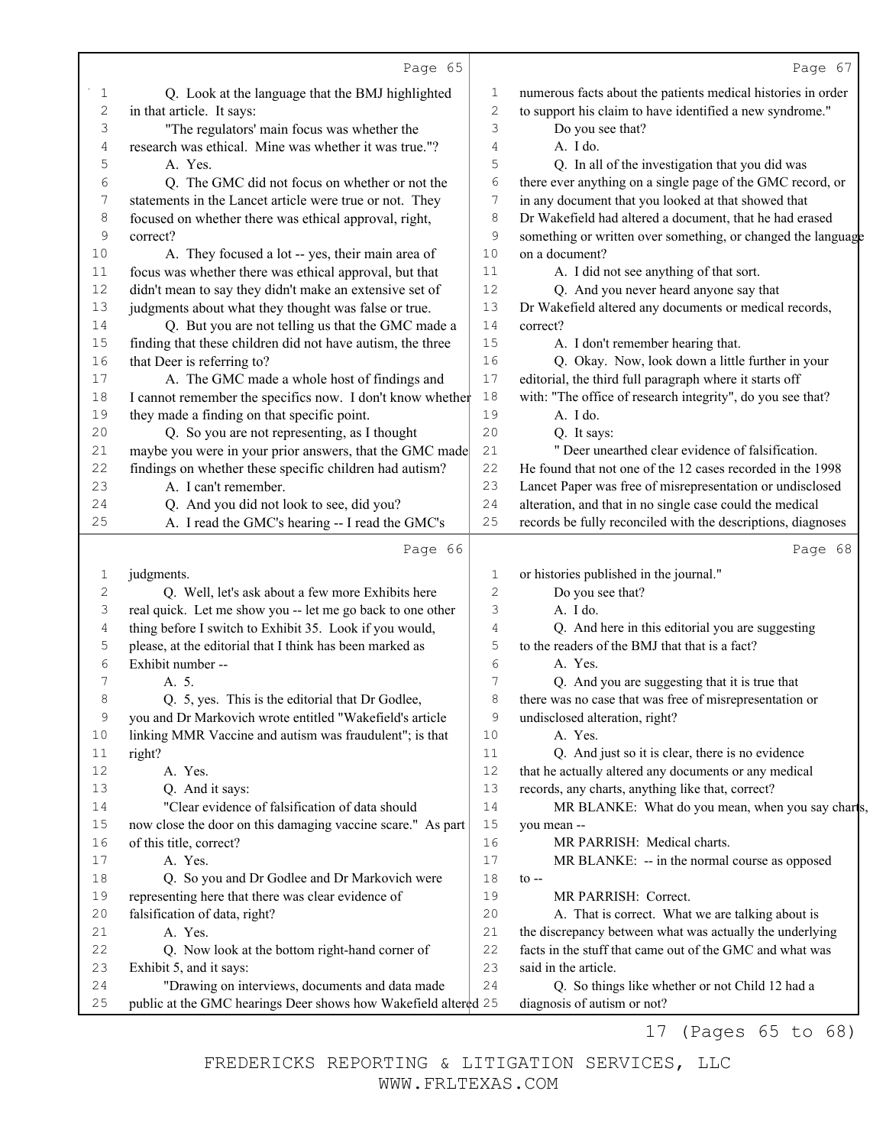|             | Page 65                                                        |                  | Page 67                                                      |
|-------------|----------------------------------------------------------------|------------------|--------------------------------------------------------------|
| 1           | Q. Look at the language that the BMJ highlighted               | 1                | numerous facts about the patients medical histories in order |
| $\sqrt{2}$  | in that article. It says:                                      | $\sqrt{2}$       | to support his claim to have identified a new syndrome."     |
| 3           | "The regulators' main focus was whether the                    | 3                | Do you see that?                                             |
| 4           | research was ethical. Mine was whether it was true."?          | 4                | A. I do.                                                     |
| 5           | A. Yes.                                                        | 5                | Q. In all of the investigation that you did was              |
| 6           | Q. The GMC did not focus on whether or not the                 | 6                | there ever anything on a single page of the GMC record, or   |
| 7           | statements in the Lancet article were true or not. They        | $\boldsymbol{7}$ | in any document that you looked at that showed that          |
| 8           | focused on whether there was ethical approval, right,          | 8                | Dr Wakefield had altered a document, that he had erased      |
| $\mathsf 9$ | correct?                                                       | $\mathcal{G}$    | something or written over something, or changed the language |
| 10          | A. They focused a lot -- yes, their main area of               | 10               | on a document?                                               |
| $11$        | focus was whether there was ethical approval, but that         | 11               | A. I did not see anything of that sort.                      |
| 12          | didn't mean to say they didn't make an extensive set of        | 12               | Q. And you never heard anyone say that                       |
| 13          | judgments about what they thought was false or true.           | 13               | Dr Wakefield altered any documents or medical records,       |
| 14          | Q. But you are not telling us that the GMC made a              | 14               | correct?                                                     |
| 15          | finding that these children did not have autism, the three     | 15               | A. I don't remember hearing that.                            |
| 16          | that Deer is referring to?                                     | 16               | Q. Okay. Now, look down a little further in your             |
| 17          | A. The GMC made a whole host of findings and                   | 17               | editorial, the third full paragraph where it starts off      |
| 18          | I cannot remember the specifics now. I don't know whether      | 18               | with: "The office of research integrity", do you see that?   |
| 19          | they made a finding on that specific point.                    | 19               | A. I do.                                                     |
| 20          | Q. So you are not representing, as I thought                   | 20               | Q. It says:                                                  |
| 21          | maybe you were in your prior answers, that the GMC made        | 21               | " Deer unearthed clear evidence of falsification.            |
| 22          | findings on whether these specific children had autism?        | 22               | He found that not one of the 12 cases recorded in the 1998   |
| 23          | A. I can't remember.                                           | 23               | Lancet Paper was free of misrepresentation or undisclosed    |
| 24          | Q. And you did not look to see, did you?                       | 24               | alteration, and that in no single case could the medical     |
| 25          | A. I read the GMC's hearing -- I read the GMC's                | 25               | records be fully reconciled with the descriptions, diagnoses |
|             | Page 66                                                        |                  | Page 68                                                      |
| 1           | judgments.                                                     | $\mathbf 1$      | or histories published in the journal."                      |
| 2           | Q. Well, let's ask about a few more Exhibits here              | $\sqrt{2}$       | Do you see that?                                             |
| 3           | real quick. Let me show you -- let me go back to one other     | 3                | A. I do.                                                     |
| 4           | thing before I switch to Exhibit 35. Look if you would,        | 4                | Q. And here in this editorial you are suggesting             |
| 5           | please, at the editorial that I think has been marked as       | 5                | to the readers of the BMJ that that is a fact?               |
| 6           | Exhibit number --                                              | 6                | A. Yes.                                                      |
| 7           | A. 5.                                                          | 7                | Q. And you are suggesting that it is true that               |
| 8           | Q. 5, yes. This is the editorial that Dr Godlee,               | 8                | there was no case that was free of misrepresentation or      |
| 9           | you and Dr Markovich wrote entitled "Wakefield's article       | 9                | undisclosed alteration, right?                               |
| 10          | linking MMR Vaccine and autism was fraudulent"; is that        | 10               | A. Yes.                                                      |
| 11          | right?                                                         | 11               | Q. And just so it is clear, there is no evidence             |
| 12          | A. Yes.                                                        | 12               | that he actually altered any documents or any medical        |
| 13          | Q. And it says:                                                | 13               | records, any charts, anything like that, correct?            |
| 14          | "Clear evidence of falsification of data should                | 14               | MR BLANKE: What do you mean, when you say charts,            |
| 15          | now close the door on this damaging vaccine scare." As part    | 15               | you mean --                                                  |
| 16          | of this title, correct?                                        | 16               | MR PARRISH: Medical charts.                                  |
| 17          | A. Yes.                                                        | 17               | MR BLANKE: -- in the normal course as opposed                |
| 18          | Q. So you and Dr Godlee and Dr Markovich were                  | 18               | $\mathfrak{t}$ --                                            |
| 19          | representing here that there was clear evidence of             | 19               | MR PARRISH: Correct.                                         |
| 20          | falsification of data, right?                                  | 20               | A. That is correct. What we are talking about is             |
| 21          | A. Yes.                                                        | 21               | the discrepancy between what was actually the underlying     |
| 22          | Q. Now look at the bottom right-hand corner of                 | 22               | facts in the stuff that came out of the GMC and what was     |
| 23          | Exhibit 5, and it says:                                        | 23               | said in the article.                                         |
| 24          | "Drawing on interviews, documents and data made                | 24               | Q. So things like whether or not Child 12 had a              |
|             |                                                                |                  |                                                              |
| $25$        | public at the GMC hearings Deer shows how Wakefield altered 25 |                  | diagnosis of autism or not?                                  |

17 (Pages 65 to 68)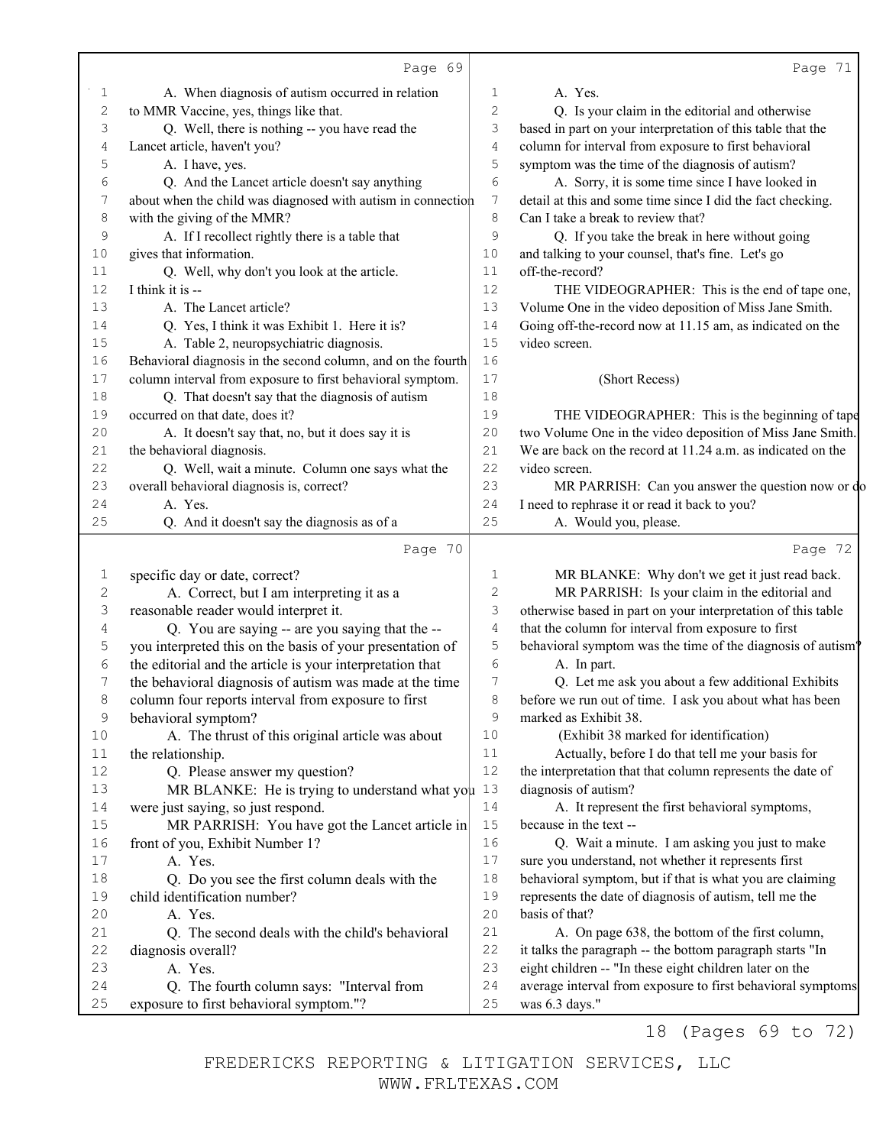|            | Page 69                                                                                                              |             | Page 71                                                                                                                |
|------------|----------------------------------------------------------------------------------------------------------------------|-------------|------------------------------------------------------------------------------------------------------------------------|
| 1          | A. When diagnosis of autism occurred in relation                                                                     | 1           | A. Yes.                                                                                                                |
| 2          | to MMR Vaccine, yes, things like that.                                                                               | 2           | Q. Is your claim in the editorial and otherwise                                                                        |
| 3          | Q. Well, there is nothing -- you have read the                                                                       | 3           | based in part on your interpretation of this table that the                                                            |
| 4          | Lancet article, haven't you?                                                                                         | 4           | column for interval from exposure to first behavioral                                                                  |
| 5          | A. I have, yes.                                                                                                      | 5           | symptom was the time of the diagnosis of autism?                                                                       |
| 6          | Q. And the Lancet article doesn't say anything                                                                       | 6           | A. Sorry, it is some time since I have looked in                                                                       |
| 7          | about when the child was diagnosed with autism in connection                                                         | 7           | detail at this and some time since I did the fact checking.                                                            |
| 8          | with the giving of the MMR?                                                                                          | 8           | Can I take a break to review that?                                                                                     |
| 9          | A. If I recollect rightly there is a table that                                                                      | 9           | Q. If you take the break in here without going                                                                         |
| 10         | gives that information.                                                                                              | 10          | and talking to your counsel, that's fine. Let's go                                                                     |
| 11         | Q. Well, why don't you look at the article.                                                                          | 11          | off-the-record?                                                                                                        |
| 12         | I think it is --                                                                                                     | 12          | THE VIDEOGRAPHER: This is the end of tape one,                                                                         |
| 13         | A. The Lancet article?                                                                                               | 13          | Volume One in the video deposition of Miss Jane Smith.                                                                 |
| 14         | Q. Yes, I think it was Exhibit 1. Here it is?                                                                        | 14          | Going off-the-record now at 11.15 am, as indicated on the                                                              |
| 15         | A. Table 2, neuropsychiatric diagnosis.                                                                              | 15          | video screen.                                                                                                          |
| 16         | Behavioral diagnosis in the second column, and on the fourth                                                         | 16          |                                                                                                                        |
| 17         | column interval from exposure to first behavioral symptom.                                                           | 17          | (Short Recess)                                                                                                         |
| 18         | Q. That doesn't say that the diagnosis of autism                                                                     | 18          |                                                                                                                        |
| 19         | occurred on that date, does it?                                                                                      | 19          | THE VIDEOGRAPHER: This is the beginning of tape                                                                        |
| 20         | A. It doesn't say that, no, but it does say it is                                                                    | 20          | two Volume One in the video deposition of Miss Jane Smith.                                                             |
| 21         | the behavioral diagnosis.                                                                                            | 21          | We are back on the record at 11.24 a.m. as indicated on the                                                            |
| 22         | Q. Well, wait a minute. Column one says what the                                                                     | 22          | video screen.                                                                                                          |
| 23         | overall behavioral diagnosis is, correct?                                                                            | 23          | MR PARRISH: Can you answer the question now or do                                                                      |
| 24         | A. Yes.                                                                                                              | 24          | I need to rephrase it or read it back to you?                                                                          |
| 25         | Q. And it doesn't say the diagnosis as of a                                                                          | 25          | A. Would you, please.                                                                                                  |
|            | Page 70                                                                                                              |             | Page 72                                                                                                                |
|            |                                                                                                                      |             |                                                                                                                        |
| 1          | specific day or date, correct?                                                                                       | 1<br>2      | MR BLANKE. Why don't we get it just read back.                                                                         |
| 2<br>3     | A. Correct, but I am interpreting it as a                                                                            | 3           | MR PARRISH: Is your claim in the editorial and<br>otherwise based in part on your interpretation of this table         |
|            | reasonable reader would interpret it.                                                                                | 4           | that the column for interval from exposure to first                                                                    |
| 4<br>5     | Q. You are saying -- are you saying that the --<br>you interpreted this on the basis of your presentation of         | 5           | behavioral symptom was the time of the diagnosis of autism <sup>9</sup>                                                |
| $\epsilon$ |                                                                                                                      | 6           | A. In part.                                                                                                            |
| 7          | the editorial and the article is your interpretation that<br>the behavioral diagnosis of autism was made at the time | 7           |                                                                                                                        |
| 8          |                                                                                                                      |             |                                                                                                                        |
|            |                                                                                                                      |             | Q. Let me ask you about a few additional Exhibits                                                                      |
|            | column four reports interval from exposure to first                                                                  | 8           | before we run out of time. I ask you about what has been                                                               |
| 9          | behavioral symptom?                                                                                                  | $\mathsf 9$ | marked as Exhibit 38.                                                                                                  |
| 10         | A. The thrust of this original article was about                                                                     | 10          | (Exhibit 38 marked for identification)                                                                                 |
| 11         | the relationship.                                                                                                    | 11          | Actually, before I do that tell me your basis for                                                                      |
| 12         | Q. Please answer my question?                                                                                        | 12          | the interpretation that that column represents the date of                                                             |
| 13         | MR BLANKE: He is trying to understand what you $13$                                                                  |             | diagnosis of autism?                                                                                                   |
| 14         | were just saying, so just respond.                                                                                   | 14          | A. It represent the first behavioral symptoms,                                                                         |
| 15         | MR PARRISH: You have got the Lancet article in                                                                       | 15          | because in the text --                                                                                                 |
| 16         | front of you, Exhibit Number 1?                                                                                      | 16          | Q. Wait a minute. I am asking you just to make                                                                         |
| 17         | A. Yes.                                                                                                              | 17          | sure you understand, not whether it represents first                                                                   |
| 18         | Q. Do you see the first column deals with the                                                                        | 18          | behavioral symptom, but if that is what you are claiming                                                               |
| 19<br>20   | child identification number?                                                                                         | 19<br>20    | represents the date of diagnosis of autism, tell me the                                                                |
|            | A. Yes.                                                                                                              | 21          | basis of that?                                                                                                         |
| 21<br>22   | Q. The second deals with the child's behavioral                                                                      | 22          | A. On page 638, the bottom of the first column,                                                                        |
| 23         | diagnosis overall?<br>A. Yes.                                                                                        | 23          | it talks the paragraph -- the bottom paragraph starts "In                                                              |
| 24         | Q. The fourth column says: "Interval from                                                                            | 24          | eight children -- "In these eight children later on the<br>average interval from exposure to first behavioral symptoms |

18 (Pages 69 to 72)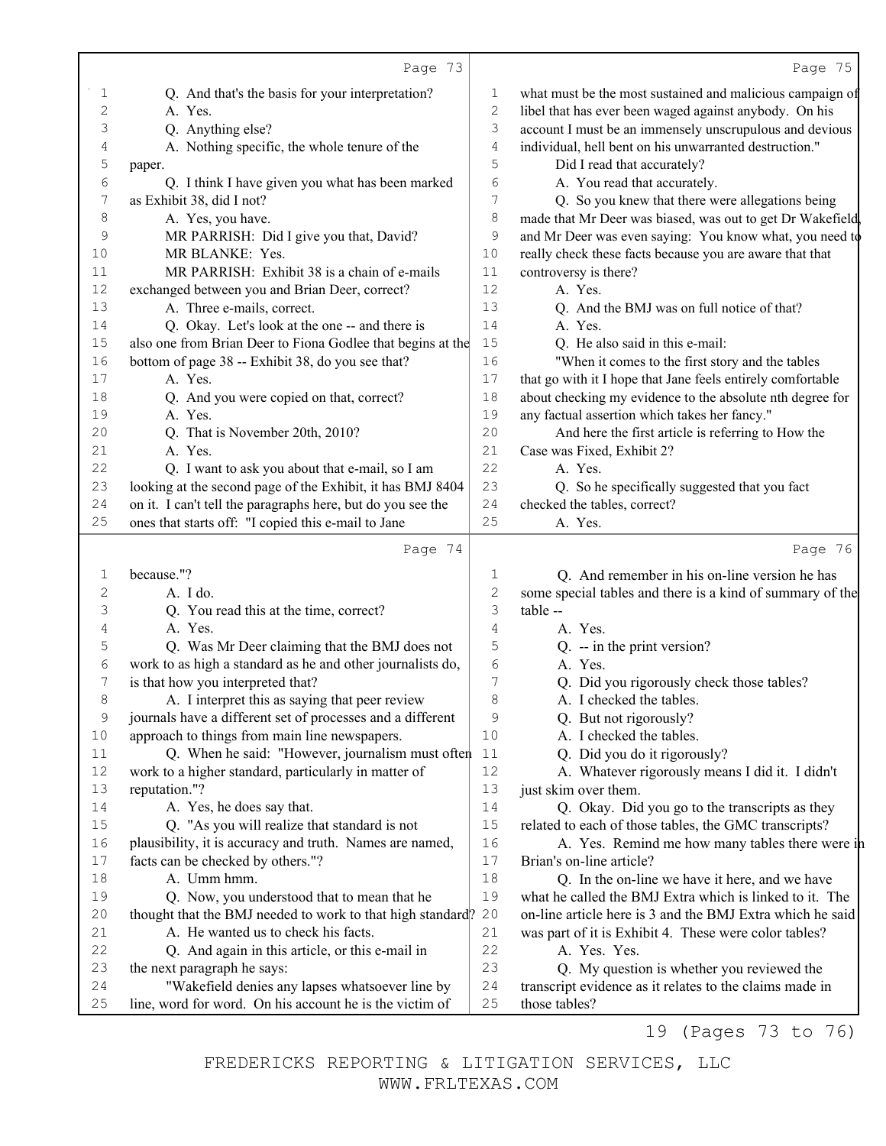|             | Page 73                                                     |                                      | Page 75                                                     |
|-------------|-------------------------------------------------------------|--------------------------------------|-------------------------------------------------------------|
| 1           | Q. And that's the basis for your interpretation?            | 1                                    | what must be the most sustained and malicious campaign of   |
| 2           | A. Yes.                                                     | $\mathbf{2}$                         | libel that has ever been waged against anybody. On his      |
| 3           | Q. Anything else?                                           | 3                                    | account I must be an immensely unscrupulous and devious     |
| 4           | A. Nothing specific, the whole tenure of the                | $\sqrt{4}$                           | individual, hell bent on his unwarranted destruction."      |
| 5           | paper.                                                      | 5                                    | Did I read that accurately?                                 |
| 6           | Q. I think I have given you what has been marked            | 6                                    | A. You read that accurately.                                |
| 7           | as Exhibit 38, did I not?                                   | 7                                    | Q. So you knew that there were allegations being            |
| 8           | A. Yes, you have.                                           | $\,8\,$                              | made that Mr Deer was biased, was out to get Dr Wakefield   |
| 9           | MR PARRISH: Did I give you that, David?                     | 9                                    | and Mr Deer was even saying: You know what, you need to     |
| 10          | MR BLANKE: Yes.                                             | 10                                   | really check these facts because you are aware that that    |
| 11          | MR PARRISH: Exhibit 38 is a chain of e-mails                | 11                                   | controversy is there?                                       |
| 12          | exchanged between you and Brian Deer, correct?              | 12                                   | A. Yes.                                                     |
| 13          | A. Three e-mails, correct.                                  | 13                                   | Q. And the BMJ was on full notice of that?                  |
| 14          | Q. Okay. Let's look at the one -- and there is              | 14                                   | A. Yes.                                                     |
| 15          | also one from Brian Deer to Fiona Godlee that begins at the | 15                                   | Q. He also said in this e-mail:                             |
| 16          | bottom of page 38 -- Exhibit 38, do you see that?           | 16                                   | "When it comes to the first story and the tables            |
| 17          | A. Yes.                                                     | 17                                   | that go with it I hope that Jane feels entirely comfortable |
| 18          | Q. And you were copied on that, correct?                    | $1\,8$                               | about checking my evidence to the absolute nth degree for   |
| 19          | A. Yes.                                                     | 19                                   | any factual assertion which takes her fancy."               |
| 20          | Q. That is November 20th, 2010?                             | 20                                   | And here the first article is referring to How the          |
| 21          | A. Yes.                                                     | 21                                   | Case was Fixed, Exhibit 2?                                  |
| 22          | Q. I want to ask you about that e-mail, so I am             | 22                                   | A. Yes.                                                     |
| 23          | looking at the second page of the Exhibit, it has BMJ 8404  | 23                                   | Q. So he specifically suggested that you fact               |
| 24          | on it. I can't tell the paragraphs here, but do you see the | 24                                   | checked the tables, correct?                                |
| 25          | ones that starts off: "I copied this e-mail to Jane         | 25                                   | A. Yes.                                                     |
|             |                                                             |                                      |                                                             |
|             | Page 74                                                     |                                      | Page 76                                                     |
| 1           | because."?                                                  | 1                                    | Q. And remember in his on-line version he has               |
| $\sqrt{2}$  | A. I do.                                                    | $\mathfrak{2}% _{G}(\mathbb{Z}_{+})$ | some special tables and there is a kind of summary of the   |
| 3           | Q. You read this at the time, correct?                      | 3                                    | table --                                                    |
| 4           | A. Yes.                                                     | 4                                    | A. Yes.                                                     |
| 5           | Q. Was Mr Deer claiming that the BMJ does not               | 5                                    | $Q_{\cdot}$ -- in the print version?                        |
| 6           | work to as high a standard as he and other journalists do,  | 6                                    | A. Yes.                                                     |
| 7           | is that how you interpreted that?                           | 7                                    | Q. Did you rigorously check those tables?                   |
| 8           | A. I interpret this as saying that peer review              | 8                                    | A. I checked the tables.                                    |
| $\mathsf 9$ | journals have a different set of processes and a different  | 9                                    | Q. But not rigorously?                                      |
| $10$        | approach to things from main line newspapers.               | $10$                                 | A. I checked the tables.                                    |
| $11$        | Q. When he said: "However, journalism must often            | 11                                   | Q. Did you do it rigorously?                                |
| 12          | work to a higher standard, particularly in matter of        | 12                                   | A. Whatever rigorously means I did it. I didn't             |
| 13          | reputation."?                                               | 13                                   | just skim over them.                                        |
| 14          | A. Yes, he does say that.                                   | 14                                   | Q. Okay. Did you go to the transcripts as they              |
| 15          | Q. "As you will realize that standard is not                | 15                                   | related to each of those tables, the GMC transcripts?       |
| 16          | plausibility, it is accuracy and truth. Names are named,    | 16                                   | A. Yes. Remind me how many tables there were in             |
| 17          | facts can be checked by others."?                           | $17$                                 | Brian's on-line article?                                    |
| 18          | A. Umm hmm.                                                 | $18\,$                               | Q. In the on-line we have it here, and we have              |
| 19          | Q. Now, you understood that to mean that he                 | 19                                   | what he called the BMJ Extra which is linked to it. The     |
| 20          | thought that the BMJ needed to work to that high standard?  | 20                                   | on-line article here is 3 and the BMJ Extra which he said   |
| 21          | A. He wanted us to check his facts.                         | 21                                   | was part of it is Exhibit 4. These were color tables?       |
| 22          | Q. And again in this article, or this e-mail in             | 22                                   | A. Yes. Yes.                                                |
| 23          | the next paragraph he says:                                 | 23                                   | Q. My question is whether you reviewed the                  |
| 24          | "Wakefield denies any lapses whatsoever line by             | 24                                   | transcript evidence as it relates to the claims made in     |
| 25          | line, word for word. On his account he is the victim of     | 25                                   | those tables?                                               |
|             |                                                             |                                      | $\neg \curvearrowright \wedge$<br>1 O<br>ר ד                |

19 (Pages 73 to 76)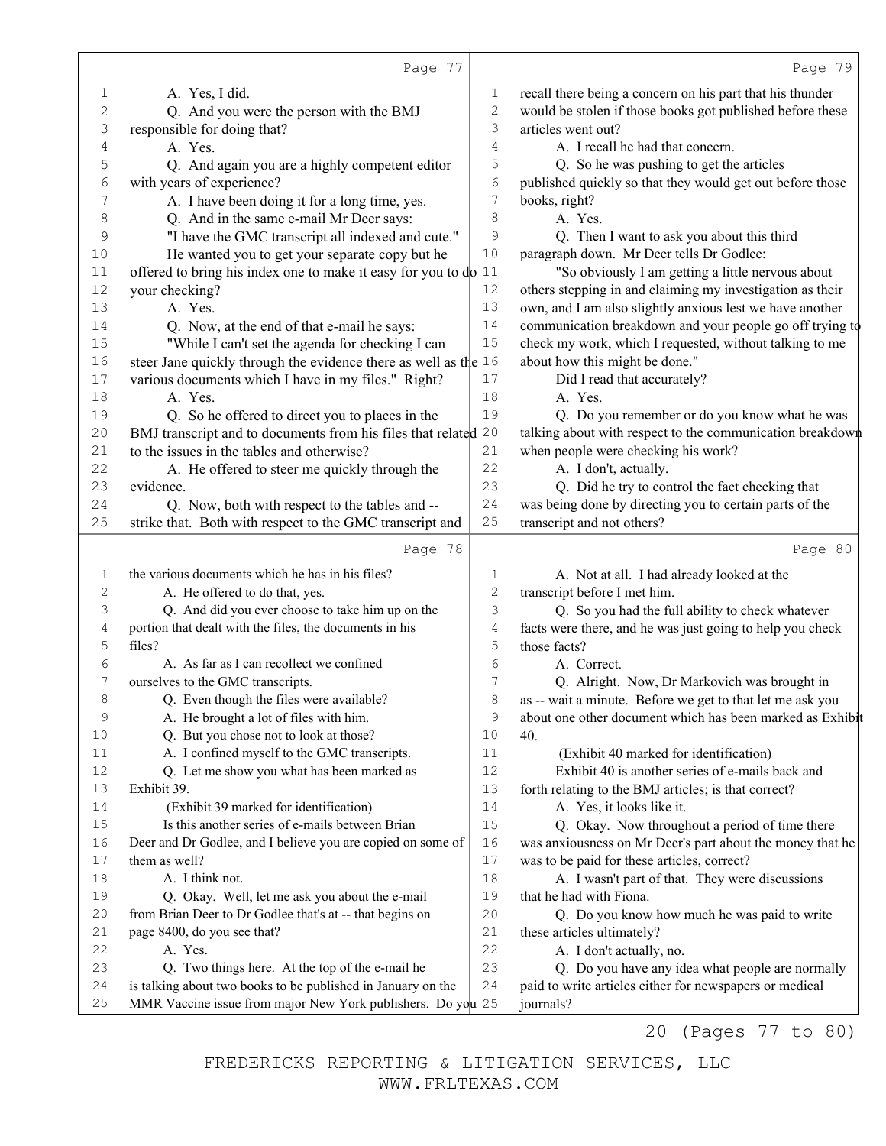|              | Page 77                                                            |                   | Page 79                                                                                                     |
|--------------|--------------------------------------------------------------------|-------------------|-------------------------------------------------------------------------------------------------------------|
| 1            | A. Yes, I did.                                                     | 1                 | recall there being a concern on his part that his thunder                                                   |
| $\mathbf{2}$ | Q. And you were the person with the BMJ                            | $\overline{c}$    | would be stolen if those books got published before these                                                   |
| 3            | responsible for doing that?                                        | 3                 | articles went out?                                                                                          |
| 4            | A. Yes.                                                            | 4                 | A. I recall he had that concern.                                                                            |
| 5            | Q. And again you are a highly competent editor                     | 5                 | Q. So he was pushing to get the articles                                                                    |
| 6            | with years of experience?                                          | 6                 | published quickly so that they would get out before those                                                   |
| 7            | A. I have been doing it for a long time, yes.                      | 7                 | books, right?                                                                                               |
| 8            | Q. And in the same e-mail Mr Deer says:                            | 8                 | A. Yes.                                                                                                     |
| 9            | "I have the GMC transcript all indexed and cute."                  | 9                 | Q. Then I want to ask you about this third                                                                  |
| 10           | He wanted you to get your separate copy but he                     | $10$              | paragraph down. Mr Deer tells Dr Godlee:                                                                    |
| 11           | offered to bring his index one to make it easy for you to $d_0$ 11 |                   | "So obviously I am getting a little nervous about                                                           |
| 12           | your checking?                                                     | 12                | others stepping in and claiming my investigation as their                                                   |
| 13           | A. Yes.                                                            | 13                | own, and I am also slightly anxious lest we have another                                                    |
| 14           | Q. Now, at the end of that e-mail he says:                         | 14                | communication breakdown and your people go off trying to                                                    |
| 15           | "While I can't set the agenda for checking I can                   | 15                | check my work, which I requested, without talking to me                                                     |
| 16           | steer Jane quickly through the evidence there as well as the 16    |                   | about how this might be done."                                                                              |
| $17$         | various documents which I have in my files." Right?                | 17                | Did I read that accurately?                                                                                 |
| 18           | A. Yes.                                                            | 18                | A. Yes.                                                                                                     |
| 19           | Q. So he offered to direct you to places in the                    | 19                | Q. Do you remember or do you know what he was                                                               |
| 20           | BMJ transcript and to documents from his files that related 20     |                   | talking about with respect to the communication breakdown                                                   |
| 21           | to the issues in the tables and otherwise?                         | 21                | when people were checking his work?                                                                         |
| 22           | A. He offered to steer me quickly through the                      | 22                | A. I don't, actually.                                                                                       |
| 23           | evidence.                                                          | 23                | Q. Did he try to control the fact checking that                                                             |
| 24           | Q. Now, both with respect to the tables and --                     | 24                | was being done by directing you to certain parts of the                                                     |
| 25           | strike that. Both with respect to the GMC transcript and           | 25                | transcript and not others?                                                                                  |
|              | Page 78                                                            |                   | Page 80                                                                                                     |
|              |                                                                    |                   |                                                                                                             |
| 1            | the various documents which he has in his files?                   | 1                 | A. Not at all. I had already looked at the                                                                  |
| 2            | A. He offered to do that, yes.                                     | $\mathbf{2}$<br>3 | transcript before I met him.                                                                                |
| З            | Q. And did you ever choose to take him up on the                   |                   | Q. So you had the full ability to check whatever                                                            |
| 4            | portion that dealt with the files, the documents in his            | 4                 | facts were there, and he was just going to help you check                                                   |
| 5            | files?<br>A. As far as I can recollect we confined                 | 5<br>6            | those facts?                                                                                                |
| 6<br>7       |                                                                    |                   | A. Correct.                                                                                                 |
|              | ourselves to the GMC transcripts.                                  | 7<br>8            | Q. Alright. Now, Dr Markovich was brought in                                                                |
| 8            | Q. Even though the files were available?                           |                   | as -- wait a minute. Before we get to that let me ask you                                                   |
| 9            | A. He brought a lot of files with him.                             | 9                 | about one other document which has been marked as Exhibit<br>40.                                            |
| 10           | Q. But you chose not to look at those?                             | 10<br>11          |                                                                                                             |
| 11<br>12     | A. I confined myself to the GMC transcripts.                       | 12                | (Exhibit 40 marked for identification)<br>Exhibit 40 is another series of e-mails back and                  |
| 13           | Q. Let me show you what has been marked as<br>Exhibit 39.          | 13                |                                                                                                             |
| 14           | (Exhibit 39 marked for identification)                             | 14                | forth relating to the BMJ articles; is that correct?                                                        |
| 15           | Is this another series of e-mails between Brian                    | 15                | A. Yes, it looks like it.                                                                                   |
| 16           | Deer and Dr Godlee, and I believe you are copied on some of        | 16                | Q. Okay. Now throughout a period of time there                                                              |
| 17           | them as well?                                                      | 17                | was anxiousness on Mr Deer's part about the money that he                                                   |
| 18           | A. I think not.                                                    | 18                | was to be paid for these articles, correct?<br>A. I wasn't part of that. They were discussions              |
| 19           |                                                                    | 19                | that he had with Fiona.                                                                                     |
| 20           | Q. Okay. Well, let me ask you about the e-mail                     | 20                |                                                                                                             |
|              | from Brian Deer to Dr Godlee that's at -- that begins on           |                   | Q. Do you know how much he was paid to write                                                                |
| 21<br>22     | page 8400, do you see that?<br>A. Yes.                             | 21<br>22          | these articles ultimately?                                                                                  |
| 23           | Q. Two things here. At the top of the e-mail he                    | 23                | A. I don't actually, no.                                                                                    |
| 24           | is talking about two books to be published in January on the       | 24                | Q. Do you have any idea what people are normally<br>paid to write articles either for newspapers or medical |
| 25           | MMR Vaccine issue from major New York publishers. Do you 25        |                   |                                                                                                             |
|              |                                                                    |                   | journals?                                                                                                   |

20 (Pages 77 to 80)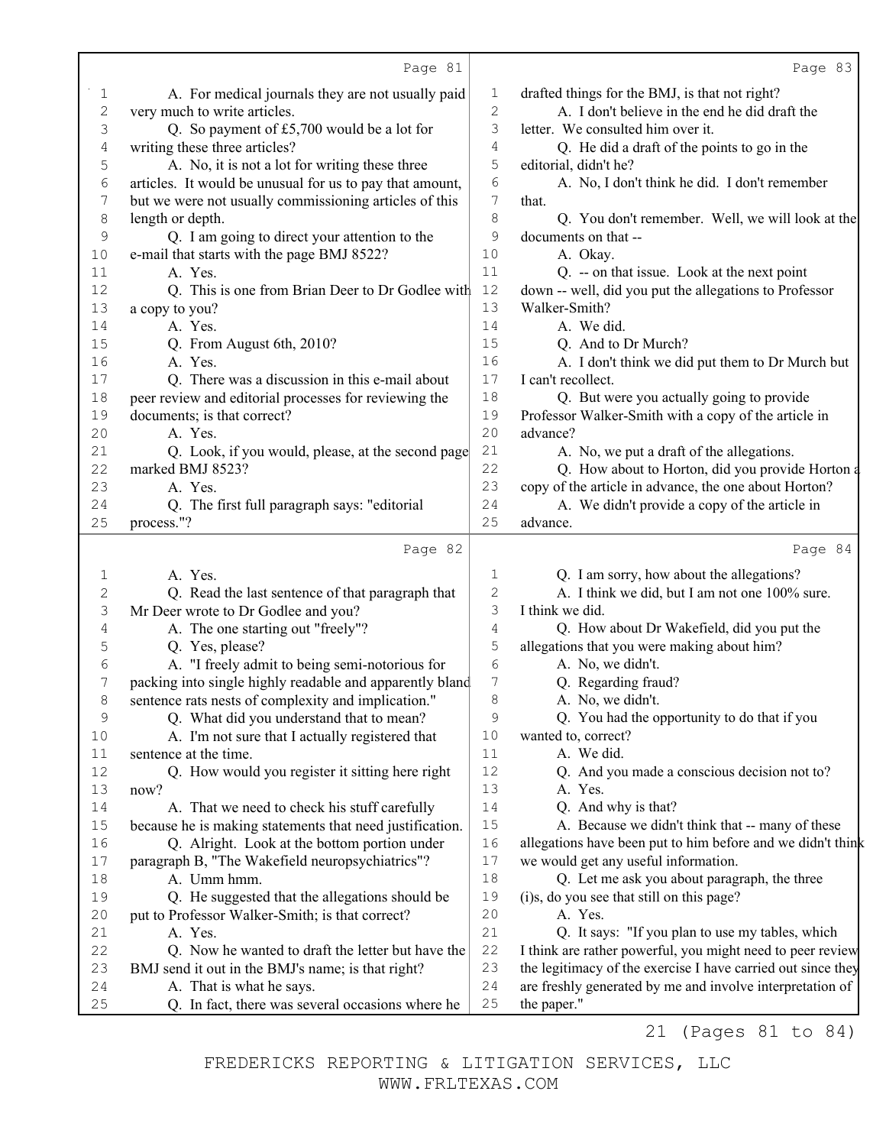|                | Page 81                                                                                         |              | Page 83                                                                  |
|----------------|-------------------------------------------------------------------------------------------------|--------------|--------------------------------------------------------------------------|
| 1              | A. For medical journals they are not usually paid                                               | 1            | drafted things for the BMJ, is that not right?                           |
| $\overline{c}$ | very much to write articles.                                                                    | $\mathbf{2}$ | A. I don't believe in the end he did draft the                           |
| 3              | Q. So payment of £5,700 would be a lot for                                                      | 3            | letter. We consulted him over it.                                        |
| 4              | writing these three articles?                                                                   | 4            | Q. He did a draft of the points to go in the                             |
| 5              | A. No, it is not a lot for writing these three                                                  | 5            | editorial, didn't he?                                                    |
| 6              | articles. It would be unusual for us to pay that amount,                                        | $\epsilon$   | A. No, I don't think he did. I don't remember                            |
| 7              | but we were not usually commissioning articles of this                                          | 7            | that.                                                                    |
| $\,8\,$        | length or depth.                                                                                | 8            | Q. You don't remember. Well, we will look at the                         |
| 9              | Q. I am going to direct your attention to the                                                   | 9            | documents on that --                                                     |
| 10             | e-mail that starts with the page BMJ 8522?                                                      | 10           | A. Okay.                                                                 |
| 11             | A. Yes.                                                                                         | 11           | Q. -- on that issue. Look at the next point                              |
| 12             | Q. This is one from Brian Deer to Dr Godlee with                                                | 12           | down -- well, did you put the allegations to Professor                   |
| 13             | a copy to you?                                                                                  | 13           | Walker-Smith?                                                            |
| 14             | A. Yes.                                                                                         | 14           | A. We did.                                                               |
| 15             | Q. From August 6th, 2010?                                                                       | 15           | Q. And to Dr Murch?                                                      |
| 16             | A. Yes.                                                                                         | 16           | A. I don't think we did put them to Dr Murch but                         |
| 17             | Q. There was a discussion in this e-mail about                                                  | 17           | I can't recollect.                                                       |
| 18             | peer review and editorial processes for reviewing the                                           | 18           | Q. But were you actually going to provide                                |
| 19             | documents; is that correct?                                                                     | 19           | Professor Walker-Smith with a copy of the article in                     |
| 20             | A. Yes.                                                                                         | 20           | advance?                                                                 |
| 21             | Q. Look, if you would, please, at the second page                                               | 21           | A. No, we put a draft of the allegations.                                |
| 22             | marked BMJ 8523?                                                                                | 22           | Q. How about to Horton, did you provide Horton a                         |
| 23             | A. Yes.                                                                                         | 23           | copy of the article in advance, the one about Horton?                    |
| 24             | Q. The first full paragraph says: "editorial                                                    | 24           | A. We didn't provide a copy of the article in                            |
| 25             | process."?                                                                                      | 25           | advance.                                                                 |
|                |                                                                                                 |              |                                                                          |
|                | Page 82                                                                                         |              | Page 84                                                                  |
| 1              | A. Yes.                                                                                         | 1            |                                                                          |
| $\overline{c}$ |                                                                                                 | 2            | Q. I am sorry, how about the allegations?                                |
| 3              | Q. Read the last sentence of that paragraph that<br>Mr Deer wrote to Dr Godlee and you?         | 3            | A. I think we did, but I am not one 100% sure.<br>I think we did.        |
| 4              | A. The one starting out "freely"?                                                               | 4            | Q. How about Dr Wakefield, did you put the                               |
| 5              |                                                                                                 | 5            | allegations that you were making about him?                              |
| 6              | Q. Yes, please?<br>A. "I freely admit to being semi-notorious for                               | $\epsilon$   | A. No, we didn't.                                                        |
| 7              | packing into single highly readable and apparently bland                                        | 7            | Q. Regarding fraud?                                                      |
| 8              |                                                                                                 | 8            | A. No, we didn't.                                                        |
| 9              | sentence rats nests of complexity and implication."<br>Q. What did you understand that to mean? | 9            | Q. You had the opportunity to do that if you                             |
| 10             | A. I'm not sure that I actually registered that                                                 | 10           | wanted to, correct?                                                      |
| 11             | sentence at the time.                                                                           | 11           | A. We did.                                                               |
| 12             | Q. How would you register it sitting here right                                                 | 12           | Q. And you made a conscious decision not to?                             |
| 13             | now?                                                                                            | 13           | A. Yes.                                                                  |
| 14             | A. That we need to check his stuff carefully                                                    | 14           | Q. And why is that?                                                      |
| 15             | because he is making statements that need justification.                                        | 15           | A. Because we didn't think that -- many of these                         |
| 16             | Q. Alright. Look at the bottom portion under                                                    | 16           | allegations have been put to him before and we didn't think              |
| 17             | paragraph B, "The Wakefield neuropsychiatrics"?                                                 | 17           | we would get any useful information.                                     |
| 18             | A. Umm hmm.                                                                                     | 18           | Q. Let me ask you about paragraph, the three                             |
| 19             | Q. He suggested that the allegations should be                                                  | 19           | (i)s, do you see that still on this page?                                |
| 20             | put to Professor Walker-Smith; is that correct?                                                 | 20           | A. Yes.                                                                  |
| 21             | A. Yes.                                                                                         | 21           | Q. It says: "If you plan to use my tables, which                         |
| 22             | Q. Now he wanted to draft the letter but have the                                               | 22           | I think are rather powerful, you might need to peer review               |
| 23             | BMJ send it out in the BMJ's name; is that right?                                               | 23           | the legitimacy of the exercise I have carried out since they             |
| 24<br>25       | A. That is what he says.<br>Q. In fact, there was several occasions where he                    | 24<br>25     | are freshly generated by me and involve interpretation of<br>the paper." |

21 (Pages 81 to 84)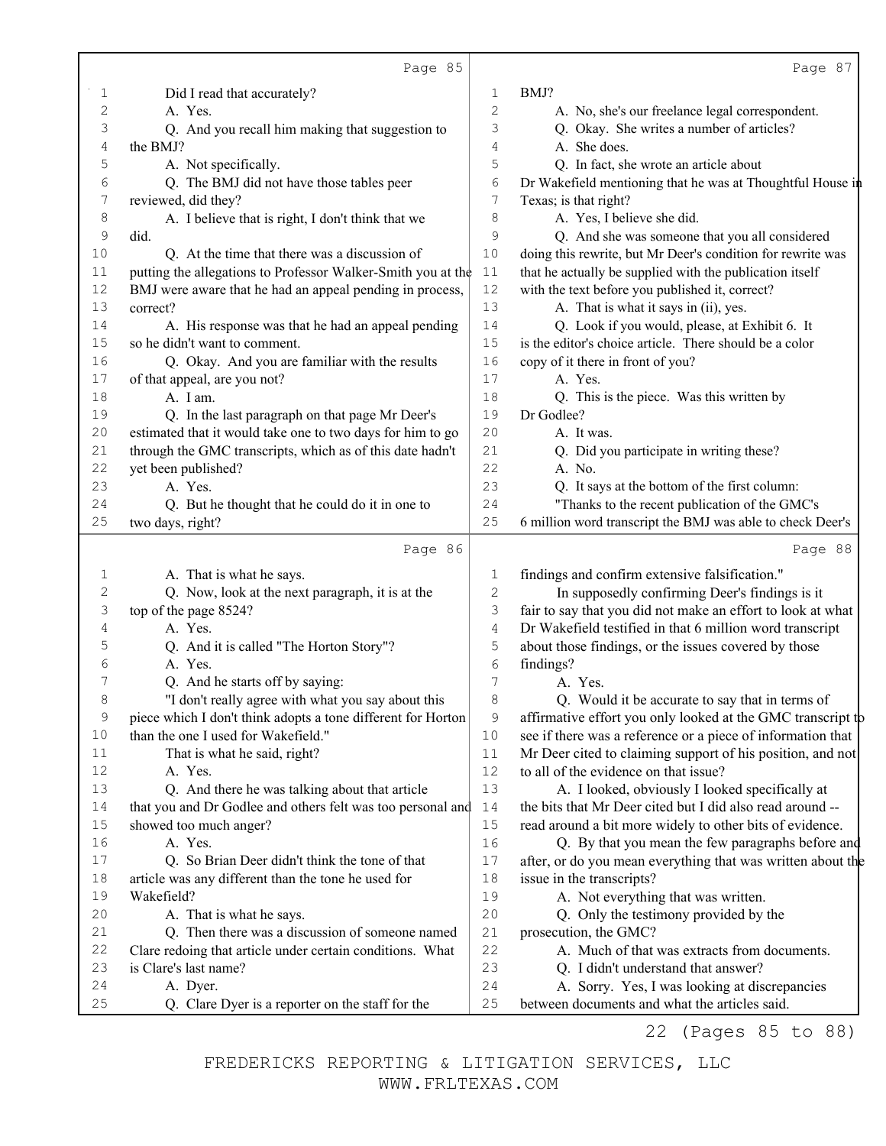|          | Page 85                                                      |                | Page 87                                                                                        |
|----------|--------------------------------------------------------------|----------------|------------------------------------------------------------------------------------------------|
| 1        | Did I read that accurately?                                  | 1              | BMJ?                                                                                           |
| 2        | A. Yes.                                                      | 2              | A. No, she's our freelance legal correspondent.                                                |
| 3        | Q. And you recall him making that suggestion to              | 3              | Q. Okay. She writes a number of articles?                                                      |
| 4        | the BMJ?                                                     | 4              | A. She does.                                                                                   |
| 5        | A. Not specifically.                                         | 5              | Q. In fact, she wrote an article about                                                         |
| 6        | Q. The BMJ did not have those tables peer                    | 6              | Dr Wakefield mentioning that he was at Thoughtful House in                                     |
| 7        | reviewed, did they?                                          | $\overline{7}$ | Texas; is that right?                                                                          |
| 8        | A. I believe that is right, I don't think that we            | $\,8\,$        | A. Yes, I believe she did.                                                                     |
| 9        | did.                                                         | 9              | Q. And she was someone that you all considered                                                 |
| 10       | Q. At the time that there was a discussion of                | 10             | doing this rewrite, but Mr Deer's condition for rewrite was                                    |
| $1\,1$   | putting the allegations to Professor Walker-Smith you at the | 11             | that he actually be supplied with the publication itself                                       |
| 12       | BMJ were aware that he had an appeal pending in process,     | 12             | with the text before you published it, correct?                                                |
| 13       | correct?                                                     | 13             | A. That is what it says in (ii), yes.                                                          |
| 14       | A. His response was that he had an appeal pending            | 14             | Q. Look if you would, please, at Exhibit 6. It                                                 |
| 15       | so he didn't want to comment.                                | 15             | is the editor's choice article. There should be a color                                        |
| 16       | Q. Okay. And you are familiar with the results               | 16             | copy of it there in front of you?                                                              |
| 17       | of that appeal, are you not?                                 | 17             | A. Yes.                                                                                        |
| 18       | A. I am.                                                     | 18             | Q. This is the piece. Was this written by                                                      |
| 19       | Q. In the last paragraph on that page Mr Deer's              | 19             | Dr Godlee?                                                                                     |
| 20       | estimated that it would take one to two days for him to go   | 20             | A. It was.                                                                                     |
| 21       | through the GMC transcripts, which as of this date hadn't    | 21             | Q. Did you participate in writing these?                                                       |
| 22       | yet been published?                                          | 22             | A. No.                                                                                         |
| 23       | A. Yes.                                                      | 23             | Q. It says at the bottom of the first column:                                                  |
| 24       | Q. But he thought that he could do it in one to              | 24             | "Thanks to the recent publication of the GMC's                                                 |
| 25       | two days, right?                                             | 25             | 6 million word transcript the BMJ was able to check Deer's                                     |
|          | Page 86                                                      |                | Page 88                                                                                        |
| 1        | A. That is what he says.                                     | 1              | findings and confirm extensive falsification."                                                 |
| 2        | Q. Now, look at the next paragraph, it is at the             | $\mathbf{2}$   | In supposedly confirming Deer's findings is it                                                 |
| 3        | top of the page 8524?                                        | $\mathsf 3$    | fair to say that you did not make an effort to look at what                                    |
| 4        | A. Yes.                                                      | $\sqrt{4}$     | Dr Wakefield testified in that 6 million word transcript                                       |
| 5        | Q. And it is called "The Horton Story"?                      | 5              | about those findings, or the issues covered by those                                           |
| 6        | A. Yes.                                                      | 6              | findings?                                                                                      |
| 7        | Q. And he starts off by saying:                              | 7              | A. Yes.                                                                                        |
| 8        | "I don't really agree with what you say about this           | 8              | Q. Would it be accurate to say that in terms of                                                |
| 9        | piece which I don't think adopts a tone different for Horton | 9              | affirmative effort you only looked at the GMC transcript to                                    |
| 10       | than the one I used for Wakefield."                          | 10             | see if there was a reference or a piece of information that                                    |
| 11       | That is what he said, right?                                 | 11             | Mr Deer cited to claiming support of his position, and not                                     |
| 12       | A. Yes.                                                      | 12             | to all of the evidence on that issue?                                                          |
| 13       | Q. And there he was talking about that article               | 13             | A. I looked, obviously I looked specifically at                                                |
| 14       | that you and Dr Godlee and others felt was too personal and  | 14             | the bits that Mr Deer cited but I did also read around --                                      |
| 15       | showed too much anger?                                       | $15$           | read around a bit more widely to other bits of evidence.                                       |
| 16       | A. Yes.                                                      | 16             | Q. By that you mean the few paragraphs before and                                              |
| 17       | Q. So Brian Deer didn't think the tone of that               | 17             | after, or do you mean everything that was written about the                                    |
| $1\,8$   | article was any different than the tone he used for          | 18             | issue in the transcripts?                                                                      |
| 19       | Wakefield?                                                   | 19             | A. Not everything that was written.                                                            |
| 20       | A. That is what he says.                                     | 20             | Q. Only the testimony provided by the                                                          |
| 21       | Q. Then there was a discussion of someone named              | 21             | prosecution, the GMC?                                                                          |
|          |                                                              |                |                                                                                                |
| 22       | Clare redoing that article under certain conditions. What    | 22             | A. Much of that was extracts from documents.                                                   |
| 23       | is Clare's last name?                                        | 23             | Q. I didn't understand that answer?                                                            |
| 24<br>25 | A. Dyer.<br>Q. Clare Dyer is a reporter on the staff for the | 24<br>25       | A. Sorry. Yes, I was looking at discrepancies<br>between documents and what the articles said. |

22 (Pages 85 to 88)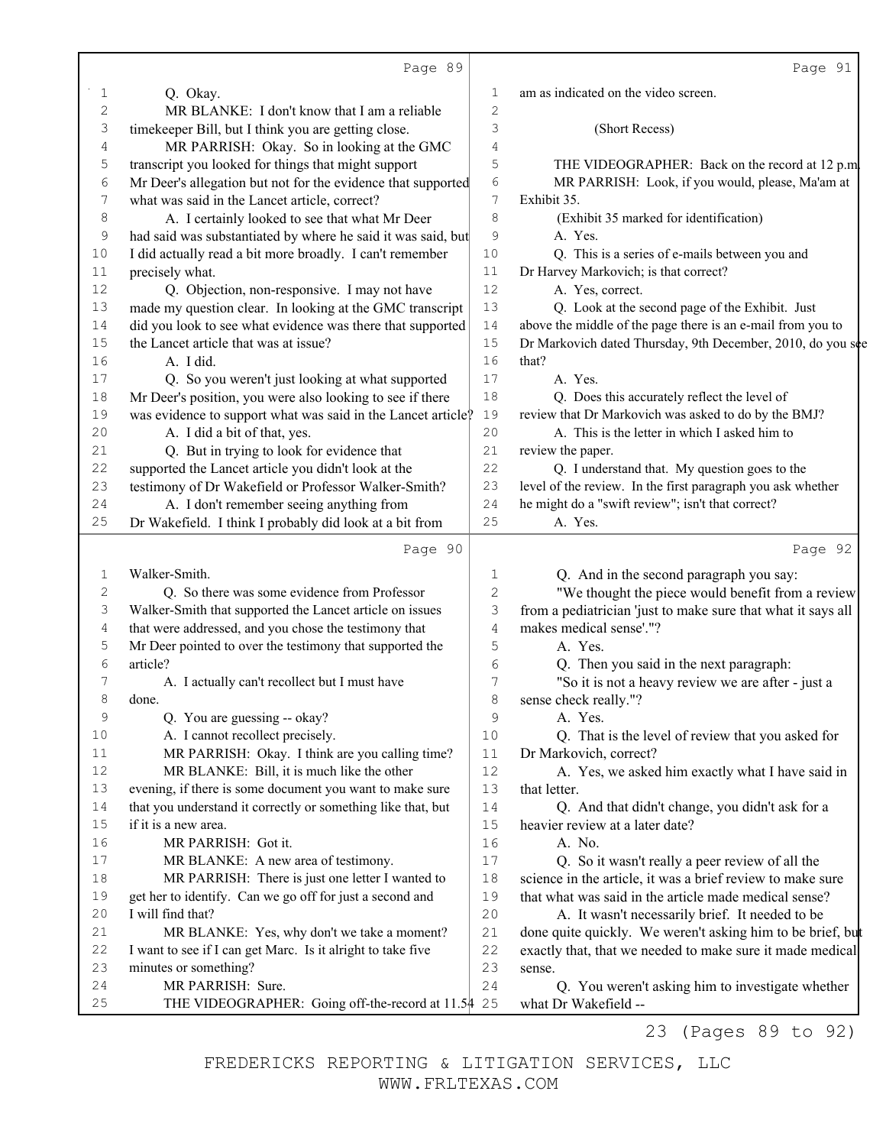|                           | Page 89                                                      |                | Page 91                                                      |
|---------------------------|--------------------------------------------------------------|----------------|--------------------------------------------------------------|
| 1                         | Q. Okay.                                                     | 1              | am as indicated on the video screen.                         |
| $\mathbf 2$               | MR BLANKE: I don't know that I am a reliable                 | $\sqrt{2}$     |                                                              |
| $\ensuremath{\mathsf{3}}$ | timekeeper Bill, but I think you are getting close.          | 3              | (Short Recess)                                               |
| 4                         | MR PARRISH: Okay. So in looking at the GMC                   | 4              |                                                              |
| 5                         | transcript you looked for things that might support          | 5              | THE VIDEOGRAPHER: Back on the record at 12 p.m.              |
| 6                         | Mr Deer's allegation but not for the evidence that supported | 6              | MR PARRISH: Look, if you would, please, Ma'am at             |
| $\boldsymbol{7}$          | what was said in the Lancet article, correct?                | 7              | Exhibit 35.                                                  |
| 8                         | A. I certainly looked to see that what Mr Deer               | 8              | (Exhibit 35 marked for identification)                       |
| 9                         | had said was substantiated by where he said it was said, but | 9              | A. Yes.                                                      |
| 10                        | I did actually read a bit more broadly. I can't remember     | 10             | Q. This is a series of e-mails between you and               |
| 11                        | precisely what.                                              | 11             | Dr Harvey Markovich; is that correct?                        |
| 12                        | Q. Objection, non-responsive. I may not have                 | 12             | A. Yes, correct.                                             |
| 13                        | made my question clear. In looking at the GMC transcript     | 13             | Q. Look at the second page of the Exhibit. Just              |
| 14                        | did you look to see what evidence was there that supported   | 14             | above the middle of the page there is an e-mail from you to  |
| 15                        | the Lancet article that was at issue?                        | 15             | Dr Markovich dated Thursday, 9th December, 2010, do you see  |
| 16                        | A. I did.                                                    | 16             | that?                                                        |
| 17                        | Q. So you weren't just looking at what supported             | 17             | A. Yes.                                                      |
| 18                        | Mr Deer's position, you were also looking to see if there    | 18             | Q. Does this accurately reflect the level of                 |
| 19                        | was evidence to support what was said in the Lancet article? | 19             | review that Dr Markovich was asked to do by the BMJ?         |
| 20                        | A. I did a bit of that, yes.                                 | 20             | A. This is the letter in which I asked him to                |
| 21                        | Q. But in trying to look for evidence that                   | 21             | review the paper.                                            |
| 22                        | supported the Lancet article you didn't look at the          | 22             | Q. I understand that. My question goes to the                |
| 23                        | testimony of Dr Wakefield or Professor Walker-Smith?         | 23             | level of the review. In the first paragraph you ask whether  |
| 24                        | A. I don't remember seeing anything from                     | 24             | he might do a "swift review"; isn't that correct?            |
| 25                        | Dr Wakefield. I think I probably did look at a bit from      | 25             | A. Yes.                                                      |
|                           |                                                              |                |                                                              |
|                           | Page 90                                                      |                | Page 92                                                      |
| 1                         | Walker-Smith.                                                | 1              | Q. And in the second paragraph you say:                      |
| $\mathbf{2}$              | Q. So there was some evidence from Professor                 | $\mathbf 2$    | "We thought the piece would benefit from a review            |
| 3                         | Walker-Smith that supported the Lancet article on issues     | 3              | from a pediatrician 'just to make sure that what it says all |
| 4                         | that were addressed, and you chose the testimony that        | $\overline{4}$ | makes medical sense'."?                                      |
| 5                         | Mr Deer pointed to over the testimony that supported the     | 5              | A. Yes.                                                      |
| 6                         | article?                                                     | 6              | Q. Then you said in the next paragraph:                      |
| 7                         | A. I actually can't recollect but I must have                | 7              | "So it is not a heavy review we are after - just a           |
| 8                         | done.                                                        | 8              | sense check really."?                                        |
| 9                         | Q. You are guessing -- okay?                                 | 9              | A. Yes.                                                      |
| 10                        | A. I cannot recollect precisely.                             | 10             | Q. That is the level of review that you asked for            |
| 11                        | MR PARRISH: Okay. I think are you calling time?              | 11             | Dr Markovich, correct?                                       |
| 12                        | MR BLANKE: Bill, it is much like the other                   | 12             | A. Yes, we asked him exactly what I have said in             |
| 13                        | evening, if there is some document you want to make sure     | 13             | that letter.                                                 |
| 14                        | that you understand it correctly or something like that, but | 14             | Q. And that didn't change, you didn't ask for a              |
| 15                        | if it is a new area.                                         | 15             | heavier review at a later date?                              |
| 16                        | MR PARRISH: Got it.                                          | 16             | A. No.                                                       |
| 17                        | MR BLANKE: A new area of testimony.                          | $17$           | Q. So it wasn't really a peer review of all the              |
| 18                        | MR PARRISH: There is just one letter I wanted to             | 18             | science in the article, it was a brief review to make sure   |
| 19                        | get her to identify. Can we go off for just a second and     | 19             | that what was said in the article made medical sense?        |
| 20                        | I will find that?                                            | 20             | A. It wasn't necessarily brief. It needed to be              |
| 21                        | MR BLANKE: Yes, why don't we take a moment?                  | 21             | done quite quickly. We weren't asking him to be brief, but   |
| 22                        | I want to see if I can get Marc. Is it alright to take five  | 22             | exactly that, that we needed to make sure it made medical    |
| 23                        | minutes or something?                                        | 23             | sense.                                                       |
| 24                        | MR PARRISH: Sure.                                            | 24             | Q. You weren't asking him to investigate whether             |
| 25                        | THE VIDEOGRAPHER: Going off-the-record at 11.54 25           |                | what Dr Wakefield --                                         |

23 (Pages 89 to 92)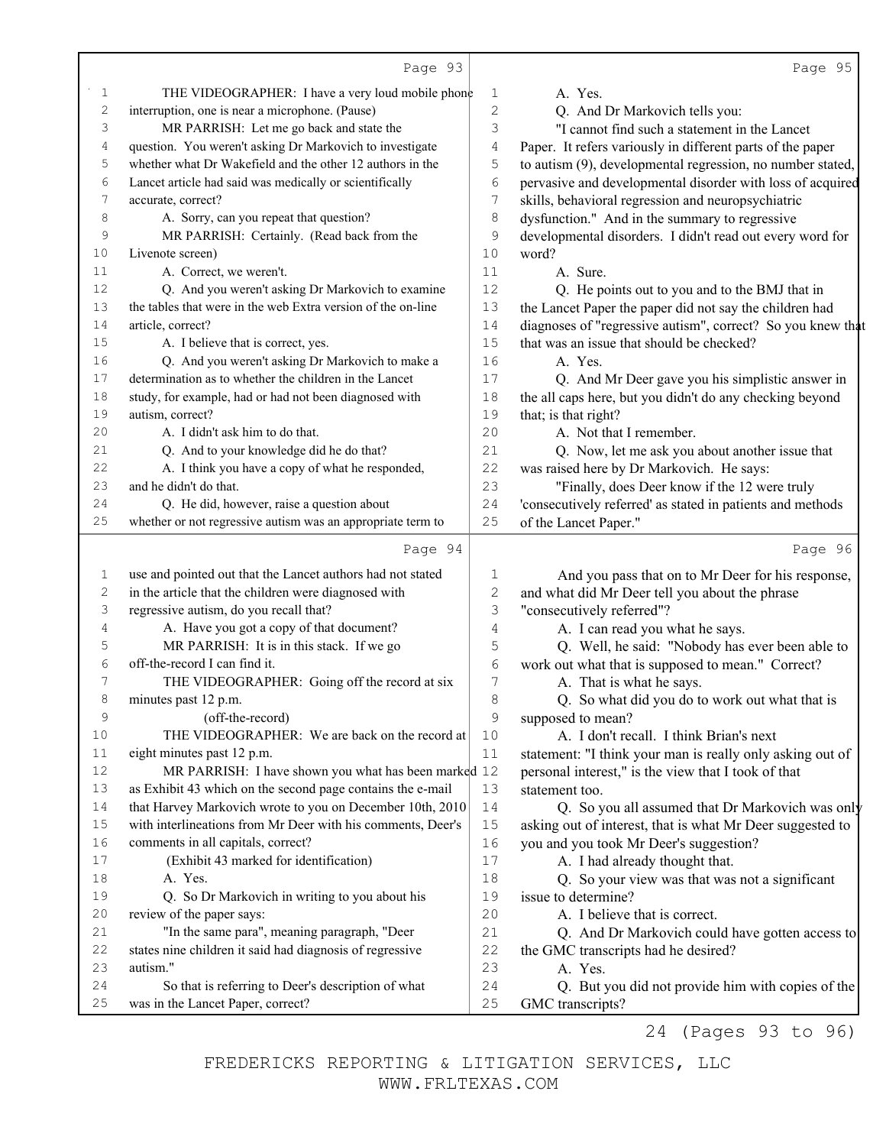|                | Page 93                                                      |              | Page 95                                                     |
|----------------|--------------------------------------------------------------|--------------|-------------------------------------------------------------|
| 1              | THE VIDEOGRAPHER: I have a very loud mobile phone            | 1            | A. Yes.                                                     |
| $\sqrt{2}$     | interruption, one is near a microphone. (Pause)              | $\mathbf{2}$ | Q. And Dr Markovich tells you:                              |
| 3              | MR PARRISH: Let me go back and state the                     | 3            | "I cannot find such a statement in the Lancet               |
| 4              | question. You weren't asking Dr Markovich to investigate     | 4            | Paper. It refers variously in different parts of the paper  |
| 5              | whether what Dr Wakefield and the other 12 authors in the    | 5            | to autism (9), developmental regression, no number stated,  |
| 6              | Lancet article had said was medically or scientifically      | 6            | pervasive and developmental disorder with loss of acquired  |
| $\overline{7}$ | accurate, correct?                                           | 7            | skills, behavioral regression and neuropsychiatric          |
| 8              | A. Sorry, can you repeat that question?                      | 8            | dysfunction." And in the summary to regressive              |
| $\mathsf 9$    | MR PARRISH: Certainly. (Read back from the                   | 9            | developmental disorders. I didn't read out every word for   |
| 10             | Livenote screen)                                             | 10           | word?                                                       |
| 11             | A. Correct, we weren't.                                      | 11           | A. Sure.                                                    |
| 12             | Q. And you weren't asking Dr Markovich to examine            | 12           | Q. He points out to you and to the BMJ that in              |
| 13             | the tables that were in the web Extra version of the on-line | 13           | the Lancet Paper the paper did not say the children had     |
| 14             | article, correct?                                            | 14           | diagnoses of "regressive autism", correct? So you knew that |
| 15             | A. I believe that is correct, yes.                           | 15           | that was an issue that should be checked?                   |
| 16             | Q. And you weren't asking Dr Markovich to make a             | 16           | A. Yes.                                                     |
| 17             | determination as to whether the children in the Lancet       | 17           | Q. And Mr Deer gave you his simplistic answer in            |
| 18             | study, for example, had or had not been diagnosed with       | 18           | the all caps here, but you didn't do any checking beyond    |
| 19             | autism, correct?                                             | 19           | that; is that right?                                        |
| 20             | A. I didn't ask him to do that.                              | 20           | A. Not that I remember.                                     |
| 21             | Q. And to your knowledge did he do that?                     | 21           | Q. Now, let me ask you about another issue that             |
| 22             | A. I think you have a copy of what he responded,             | 22           | was raised here by Dr Markovich. He says:                   |
| 23             | and he didn't do that.                                       | 23           | "Finally, does Deer know if the 12 were truly               |
| 24             | Q. He did, however, raise a question about                   | 24           | 'consecutively referred' as stated in patients and methods  |
| 25             | whether or not regressive autism was an appropriate term to  | 25           | of the Lancet Paper."                                       |
|                | Page 94                                                      |              | Page 96                                                     |
| 1              | use and pointed out that the Lancet authors had not stated   | 1            | And you pass that on to Mr Deer for his response,           |
| $\sqrt{2}$     | in the article that the children were diagnosed with         | $\mathbf{2}$ | and what did Mr Deer tell you about the phrase              |
| 3              | regressive autism, do you recall that?                       | 3            | "consecutively referred"?                                   |
| 4              | A. Have you got a copy of that document?                     | 4            | A. I can read you what he says.                             |
| 5              | MR PARRISH: It is in this stack. If we go                    | 5            | Q. Well, he said: "Nobody has ever been able to             |
| 6              | off-the-record I can find it.                                | $\sqrt{6}$   | work out what that is supposed to mean." Correct?           |
| 7              | THE VIDEOGRAPHER: Going off the record at six                | 7            | A. That is what he says.                                    |
| 8              | minutes past 12 p.m.                                         | 8            | Q. So what did you do to work out what that is              |
| 9              | (off-the-record)                                             | $\mathsf 9$  | supposed to mean?                                           |
| 10             | THE VIDEOGRAPHER: We are back on the record at               | 10           | A. I don't recall. I think Brian's next                     |
| 11             | eight minutes past 12 p.m.                                   | 11           | statement: "I think your man is really only asking out of   |
| 12             | MR PARRISH: I have shown you what has been marked 12         |              | personal interest," is the view that I took of that         |
| 13             | as Exhibit 43 which on the second page contains the e-mail   | 13           | statement too.                                              |
| 14             | that Harvey Markovich wrote to you on December 10th, 2010    | 14           | Q. So you all assumed that Dr Markovich was only            |
| 15             | with interlineations from Mr Deer with his comments, Deer's  | 15           | asking out of interest, that is what Mr Deer suggested to   |
| 16             | comments in all capitals, correct?                           | 16           | you and you took Mr Deer's suggestion?                      |
| 17             | (Exhibit 43 marked for identification)                       | $17$         | A. I had already thought that.                              |
| 18             | A. Yes.                                                      | 18           | Q. So your view was that was not a significant              |
| 19             | Q. So Dr Markovich in writing to you about his               | 19           | issue to determine?                                         |
| 20             | review of the paper says:                                    | 20           | A. I believe that is correct.                               |
| 21             | "In the same para", meaning paragraph, "Deer                 | 21           | Q. And Dr Markovich could have gotten access to             |
| 22             | states nine children it said had diagnosis of regressive     | 22           | the GMC transcripts had he desired?                         |
| 23             | autism."                                                     | 23           | A. Yes.                                                     |
| 24             | So that is referring to Deer's description of what           | 24           | Q. But you did not provide him with copies of the           |
| 25             | was in the Lancet Paper, correct?                            | 25           | GMC transcripts?                                            |

24 (Pages 93 to 96)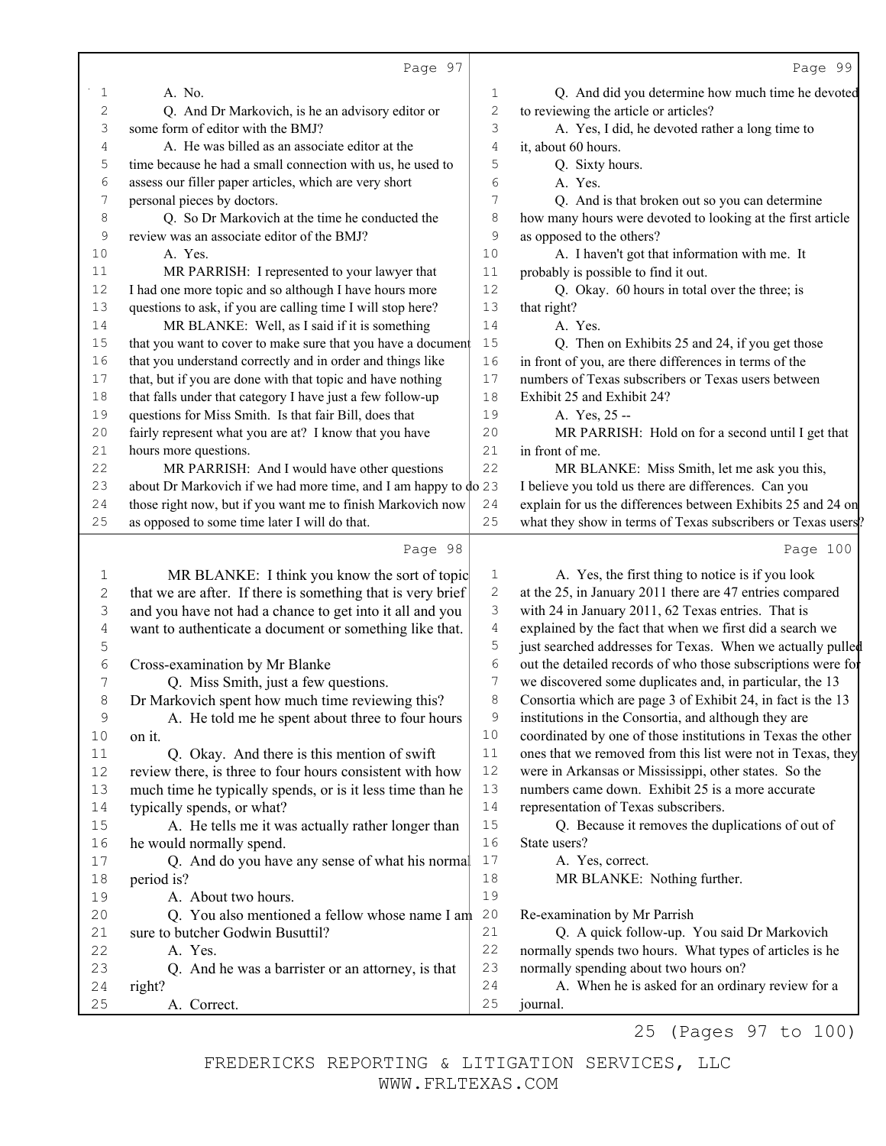|                | Page 97                                                             |                | Page 99                                                      |
|----------------|---------------------------------------------------------------------|----------------|--------------------------------------------------------------|
| 1              | A. No.                                                              | 1              | Q. And did you determine how much time he devoted            |
| $\mathbf{2}$   | Q. And Dr Markovich, is he an advisory editor or                    | $\overline{c}$ | to reviewing the article or articles?                        |
| 3              | some form of editor with the BMJ?                                   | 3              | A. Yes, I did, he devoted rather a long time to              |
| 4              | A. He was billed as an associate editor at the                      | 4              | it, about 60 hours.                                          |
| 5              | time because he had a small connection with us, he used to          | 5              | Q. Sixty hours.                                              |
| 6              | assess our filler paper articles, which are very short              | 6              | A. Yes.                                                      |
| 7              | personal pieces by doctors.                                         | 7              | Q. And is that broken out so you can determine               |
| 8              | Q. So Dr Markovich at the time he conducted the                     | 8              | how many hours were devoted to looking at the first article  |
| $\mathsf 9$    | review was an associate editor of the BMJ?                          | 9              | as opposed to the others?                                    |
| 10             | A. Yes.                                                             | 10             | A. I haven't got that information with me. It                |
| 11             | MR PARRISH: I represented to your lawyer that                       | 11             | probably is possible to find it out.                         |
| $12$           | I had one more topic and so although I have hours more              | 12             | Q. Okay. 60 hours in total over the three; is                |
| 13             | questions to ask, if you are calling time I will stop here?         | 13             | that right?                                                  |
| 14             | MR BLANKE: Well, as I said if it is something                       | 14             | A. Yes.                                                      |
| $15$           | that you want to cover to make sure that you have a document        | 15             | Q. Then on Exhibits 25 and 24, if you get those              |
| 16             | that you understand correctly and in order and things like          | 16             | in front of you, are there differences in terms of the       |
| 17             | that, but if you are done with that topic and have nothing          | 17             | numbers of Texas subscribers or Texas users between          |
| 18             | that falls under that category I have just a few follow-up          | 18             | Exhibit 25 and Exhibit 24?                                   |
| 19             | questions for Miss Smith. Is that fair Bill, does that              | 19             | A. Yes, 25 --                                                |
| $20$           | fairly represent what you are at? I know that you have              | 20             | MR PARRISH: Hold on for a second until I get that            |
| 21             | hours more questions.                                               | 21             | in front of me.                                              |
| $2\sqrt{2}$    | MR PARRISH: And I would have other questions                        | 22             | MR BLANKE: Miss Smith, let me ask you this,                  |
| 23             | about Dr Markovich if we had more time, and I am happy to $\phi$ 23 |                | I believe you told us there are differences. Can you         |
| 24             | those right now, but if you want me to finish Markovich now         | 24             | explain for us the differences between Exhibits 25 and 24 on |
| 25             | as opposed to some time later I will do that.                       | 25             | what they show in terms of Texas subscribers or Texas users? |
|                |                                                                     |                |                                                              |
|                | Page 98                                                             |                | Page 100                                                     |
| 1              | MR BLANKE: I think you know the sort of topic                       | $\mathbf 1$    | A. Yes, the first thing to notice is if you look             |
| $\mathbf{2}$   | that we are after. If there is something that is very brief         | $\mathbf{2}$   | at the 25, in January 2011 there are 47 entries compared     |
| 3              | and you have not had a chance to get into it all and you            | 3              | with 24 in January 2011, 62 Texas entries. That is           |
| $\overline{4}$ | want to authenticate a document or something like that.             | $\overline{4}$ | explained by the fact that when we first did a search we     |
| 5              |                                                                     | 5              | just searched addresses for Texas. When we actually pulled   |
| 6              | Cross-examination by Mr Blanke                                      | $\sqrt{6}$     | out the detailed records of who those subscriptions were for |
| 7              | Q. Miss Smith, just a few questions.                                | 7              | we discovered some duplicates and, in particular, the 13     |
| 8              | Dr Markovich spent how much time reviewing this?                    | 8              | Consortia which are page 3 of Exhibit 24, in fact is the 13  |
| 9              | A. He told me he spent about three to four hours                    | 9              | institutions in the Consortia, and although they are         |
| 10             | on it.                                                              | 10             | coordinated by one of those institutions in Texas the other  |
| 11             | Q. Okay. And there is this mention of swift                         | $1\,1$         | ones that we removed from this list were not in Texas, they  |
| 12             | review there, is three to four hours consistent with how            | 12             | were in Arkansas or Mississippi, other states. So the        |
| 13             | much time he typically spends, or is it less time than he           | 13             | numbers came down. Exhibit 25 is a more accurate             |
| 14             | typically spends, or what?                                          | 14             | representation of Texas subscribers.                         |
| 15             | A. He tells me it was actually rather longer than                   | 15             | Q. Because it removes the duplications of out of             |
| 16             | he would normally spend.                                            | 16             | State users?                                                 |
| 17             | Q. And do you have any sense of what his normal                     | 17             | A. Yes, correct.                                             |
| 18             | period is?                                                          | 18             | MR BLANKE: Nothing further.                                  |
| 19             | A. About two hours.                                                 | 19             |                                                              |
| 20             | Q. You also mentioned a fellow whose name I am                      | 20             | Re-examination by Mr Parrish                                 |
| 21             | sure to butcher Godwin Busuttil?                                    | 21             | Q. A quick follow-up. You said Dr Markovich                  |
| 22             | A. Yes.                                                             | 22             | normally spends two hours. What types of articles is he      |
| 23             | Q. And he was a barrister or an attorney, is that                   | 23             | normally spending about two hours on?                        |
|                |                                                                     |                |                                                              |
| 24<br>25       | right?<br>A. Correct.                                               | 24<br>25       | A. When he is asked for an ordinary review for a<br>journal. |

25 (Pages 97 to 100)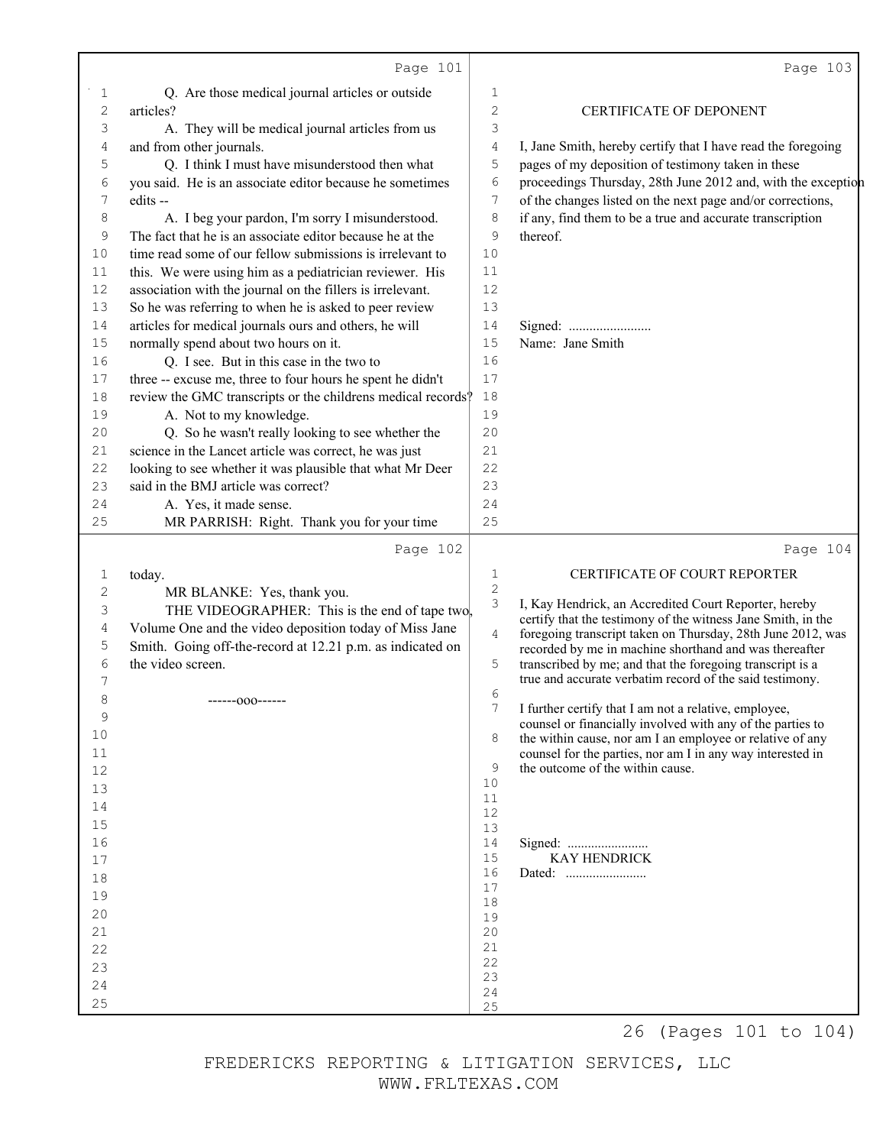|              | Page 101                                                     |                     | Page 103                                                                                                              |
|--------------|--------------------------------------------------------------|---------------------|-----------------------------------------------------------------------------------------------------------------------|
| 1            | Q. Are those medical journal articles or outside             | 1                   |                                                                                                                       |
| $\mathbf{2}$ | articles?                                                    | 2                   | CERTIFICATE OF DEPONENT                                                                                               |
| 3            | A. They will be medical journal articles from us             | 3                   |                                                                                                                       |
| 4            | and from other journals.                                     | 4                   | I, Jane Smith, hereby certify that I have read the foregoing                                                          |
| 5            | Q. I think I must have misunderstood then what               | 5                   | pages of my deposition of testimony taken in these                                                                    |
| 6            | you said. He is an associate editor because he sometimes     | 6                   | proceedings Thursday, 28th June 2012 and, with the exception                                                          |
| 7            | edits --                                                     | 7                   | of the changes listed on the next page and/or corrections,                                                            |
| 8            | A. I beg your pardon, I'm sorry I misunderstood.             | 8                   | if any, find them to be a true and accurate transcription                                                             |
| 9            | The fact that he is an associate editor because he at the    | 9                   | thereof.                                                                                                              |
| 10           | time read some of our fellow submissions is irrelevant to    | 10                  |                                                                                                                       |
| 11           | this. We were using him as a pediatrician reviewer. His      | 11                  |                                                                                                                       |
| 12           | association with the journal on the fillers is irrelevant.   | 12                  |                                                                                                                       |
| 13           | So he was referring to when he is asked to peer review       | 13                  |                                                                                                                       |
| 14           | articles for medical journals ours and others, he will       | 14                  | Signed:                                                                                                               |
| 15           | normally spend about two hours on it.                        | 15                  | Name: Jane Smith                                                                                                      |
| 16           | Q. I see. But in this case in the two to                     | 16                  |                                                                                                                       |
| 17           | three -- excuse me, three to four hours he spent he didn't   | 17                  |                                                                                                                       |
| 18           | review the GMC transcripts or the childrens medical records? | 18                  |                                                                                                                       |
| 19           | A. Not to my knowledge.                                      | 19                  |                                                                                                                       |
| 20           | Q. So he wasn't really looking to see whether the            | 20                  |                                                                                                                       |
| 21           | science in the Lancet article was correct, he was just       | 21                  |                                                                                                                       |
| 22           | looking to see whether it was plausible that what Mr Deer    | 22                  |                                                                                                                       |
| 23           | said in the BMJ article was correct?                         | 23                  |                                                                                                                       |
| 24           | A. Yes, it made sense.                                       | 24                  |                                                                                                                       |
| 25           | MR PARRISH: Right. Thank you for your time                   | 25                  |                                                                                                                       |
|              | Page 102                                                     |                     | Page 104                                                                                                              |
| 1            | today.                                                       | 1                   | CERTIFICATE OF COURT REPORTER                                                                                         |
| 2            | MR BLANKE: Yes, thank you.                                   | $\overline{c}$<br>3 |                                                                                                                       |
| 3            | THE VIDEOGRAPHER: This is the end of tape two.               |                     | I, Kay Hendrick, an Accredited Court Reporter, hereby<br>certify that the testimony of the witness Jane Smith, in the |
| 4            | Volume One and the video deposition today of Miss Jane       | $\overline{4}$      | foregoing transcript taken on Thursday, 28th June 2012, was                                                           |
| 5            | Smith. Going off-the-record at 12.21 p.m. as indicated on    |                     | recorded by me in machine shorthand and was thereafter                                                                |
| 6            | the video screen.                                            | 5                   | transcribed by me; and that the foregoing transcript is a                                                             |
| 7            |                                                              | 6                   | true and accurate verbatim record of the said testimony.                                                              |
| 8            | ------000------                                              | 7                   | I further certify that I am not a relative, employee,                                                                 |
| 9            |                                                              |                     | counsel or financially involved with any of the parties to                                                            |
| 10           |                                                              | 8                   | the within cause, nor am I an employee or relative of any                                                             |
| 11           |                                                              | 9                   | counsel for the parties, nor am I in any way interested in<br>the outcome of the within cause.                        |
| 12           |                                                              | 10                  |                                                                                                                       |
| 13           |                                                              | 11                  |                                                                                                                       |
| 14<br>15     |                                                              | 12                  |                                                                                                                       |
| 16           |                                                              | 13<br>14            |                                                                                                                       |
| 17           |                                                              | 15                  | <b>KAY HENDRICK</b>                                                                                                   |
| 18           |                                                              | 16                  |                                                                                                                       |
| 19           |                                                              | 17                  |                                                                                                                       |
| 20           |                                                              | 18                  |                                                                                                                       |
| 21           |                                                              | 19<br>20            |                                                                                                                       |
| 22           |                                                              | 21                  |                                                                                                                       |
| 23           |                                                              | 22                  |                                                                                                                       |
| 24           |                                                              | 23<br>24            |                                                                                                                       |
| 25           |                                                              | 25                  |                                                                                                                       |
|              |                                                              |                     | 26 (Pages 101 to 104)                                                                                                 |